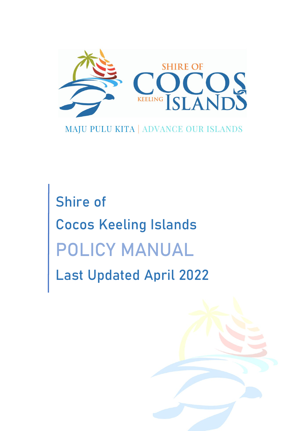

# MAJU PULU KITA | ADVANCE OUR ISLANDS

Shire of Cocos Keeling Islands POLICY MANUAL Last Updated April 2022

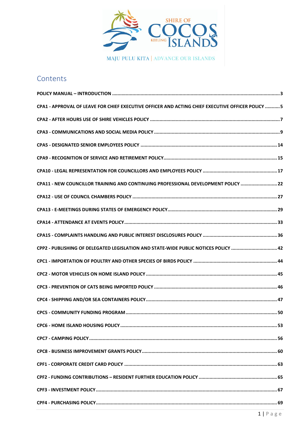

# Contents

| CPA1 - APPROVAL OF LEAVE FOR CHIEF EXECUTIVE OFFICER AND ACTING CHIEF EXECUTIVE OFFICER POLICY  5 |  |
|---------------------------------------------------------------------------------------------------|--|
|                                                                                                   |  |
|                                                                                                   |  |
|                                                                                                   |  |
|                                                                                                   |  |
|                                                                                                   |  |
| CPA11 - NEW COUNCILLOR TRAINING AND CONTINUING PROFESSIONAL DEVELOPMENT POLICY 22                 |  |
|                                                                                                   |  |
|                                                                                                   |  |
|                                                                                                   |  |
|                                                                                                   |  |
| CPP2 - PUBLISHING OF DELEGATED LEGISLATION AND STATE-WIDE PUBLIC NOTICES POLICY  42               |  |
|                                                                                                   |  |
|                                                                                                   |  |
|                                                                                                   |  |
|                                                                                                   |  |
|                                                                                                   |  |
|                                                                                                   |  |
|                                                                                                   |  |
|                                                                                                   |  |
|                                                                                                   |  |
|                                                                                                   |  |
|                                                                                                   |  |
|                                                                                                   |  |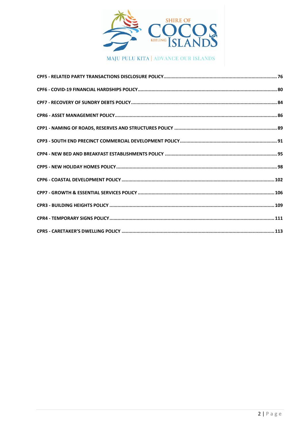

MAJU PULU KITA | ADVANCE OUR ISLANDS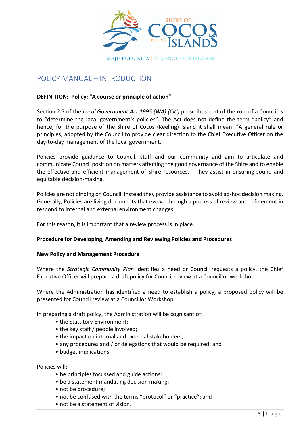

# <span id="page-3-0"></span>POLICY MANUAL – INTRODUCTION

### **DEFINITION: Policy: "A course or principle of action"**

Section 2.7 of the *Local Government Act 1995 (WA) (CKI)* prescribes part of the role of a Council is to "determine the local government's policies". The Act does not define the term "policy" and hence, for the purpose of the Shire of Cocos (Keeling) Island it shall mean: "A general rule or principles, adopted by the Council to provide clear direction to the Chief Executive Officer on the day-to-day management of the local government.

Policies provide guidance to Council, staff and our community and aim to articulate and communicate Council position on matters affecting the good governance of the Shire and to enable the effective and efficient management of Shire resources. They assist in ensuring sound and equitable decision-making.

Policies are not binding on Council, instead they provide assistance to avoid ad-hoc decision making. Generally, Policies are living documents that evolve through a process of review and refinement in respond to internal and external environment changes.

For this reason, it is important that a review process is in place.

#### **Procedure for Developing, Amending and Reviewing Policies and Procedures**

#### **New Policy and Management Procedure**

Where the *Strategic Community Plan* identifies a need or Council requests a policy, the Chief Executive Officer will prepare a draft policy for Council review at a Councillor workshop.

Where the Administration has identified a need to establish a policy, a proposed policy will be presented for Council review at a Councillor Workshop.

In preparing a draft policy, the Administration will be cognisant of:

- the Statutory Environment;
- the key staff / people involved;
- the impact on internal and external stakeholders;
- any procedures and / or delegations that would be required; and
- budget implications.

Policies will:

- be principles focussed and guide actions;
- be a statement mandating decision making;
- not be procedure;
- not be confused with the terms "protocol" or "practice"; and
- not be a statement of vision.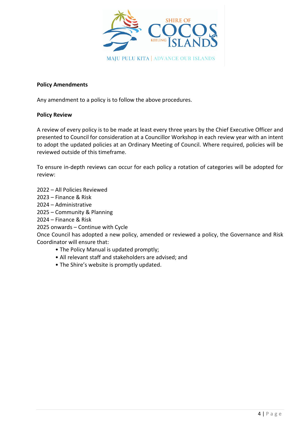

### **Policy Amendments**

Any amendment to a policy is to follow the above procedures.

#### **Policy Review**

A review of every policy is to be made at least every three years by the Chief Executive Officer and presented to Council for consideration at a Councillor Workshop in each review year with an intent to adopt the updated policies at an Ordinary Meeting of Council. Where required, policies will be reviewed outside of this timeframe.

To ensure in-depth reviews can occur for each policy a rotation of categories will be adopted for review:

- 2022 All Policies Reviewed
- 2023 Finance & Risk
- 2024 Administrative
- 2025 Community & Planning
- 2024 Finance & Risk
- 2025 onwards Continue with Cycle

Once Council has adopted a new policy, amended or reviewed a policy, the Governance and Risk Coordinator will ensure that:

- The Policy Manual is updated promptly;
- All relevant staff and stakeholders are advised; and
- The Shire's website is promptly updated.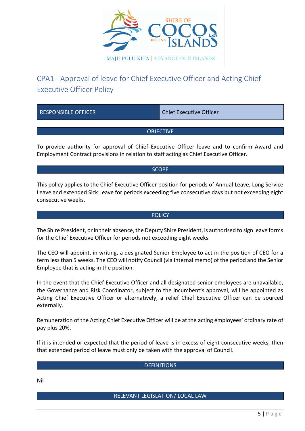

# <span id="page-5-0"></span>CPA1 - Approval of leave for Chief Executive Officer and Acting Chief Executive Officer Policy

| <b>RESPONSIBLE OFFICER</b>                                                                                                                                                            | <b>Chief Executive Officer</b> |  |  |  |
|---------------------------------------------------------------------------------------------------------------------------------------------------------------------------------------|--------------------------------|--|--|--|
| <b>OBJECTIVE</b>                                                                                                                                                                      |                                |  |  |  |
| To provide authority for approval of Chief Executive Officer leave and to confirm Award and<br>Employment Contract provisions in relation to staff acting as Chief Executive Officer. |                                |  |  |  |

SCOPE

This policy applies to the Chief Executive Officer position for periods of Annual Leave, Long Service Leave and extended Sick Leave for periods exceeding five consecutive days but not exceeding eight consecutive weeks.

#### **POLICY**

The Shire President, or in their absence, the Deputy Shire President, is authorised to sign leave forms for the Chief Executive Officer for periods not exceeding eight weeks.

The CEO will appoint, in writing, a designated Senior Employee to act in the position of CEO for a term less than 5 weeks. The CEO will notify Council (via internal memo) of the period and the Senior Employee that is acting in the position.

In the event that the Chief Executive Officer and all designated senior employees are unavailable, the Governance and Risk Coordinator, subject to the incumbent's approval, will be appointed as Acting Chief Executive Officer or alternatively, a relief Chief Executive Officer can be sourced externally.

Remuneration of the Acting Chief Executive Officer will be at the acting employees' ordinary rate of pay plus 20%.

If it is intended or expected that the period of leave is in excess of eight consecutive weeks, then that extended period of leave must only be taken with the approval of Council.

#### **DEFINITIONS**

Nil

#### RELEVANT LEGISLATION/ LOCAL LAW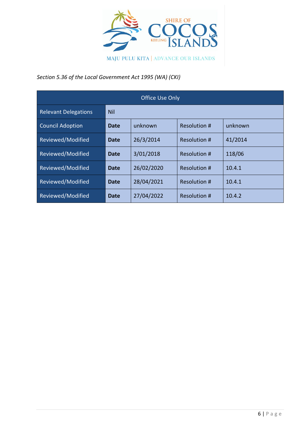

*Section 5.36 of the Local Government Act 1995 (WA) (CKI)*

| <b>Office Use Only</b>      |            |            |                     |         |  |
|-----------------------------|------------|------------|---------------------|---------|--|
| <b>Relevant Delegations</b> | <b>Nil</b> |            |                     |         |  |
| <b>Council Adoption</b>     | Date       | unknown    | <b>Resolution #</b> | unknown |  |
| Reviewed/Modified           | Date       | 26/3/2014  | <b>Resolution #</b> | 41/2014 |  |
| Reviewed/Modified           | Date       | 3/01/2018  | <b>Resolution #</b> | 118/06  |  |
| Reviewed/Modified           | Date       | 26/02/2020 | Resolution #        | 10.4.1  |  |
| Reviewed/Modified           | Date       | 28/04/2021 | Resolution #        | 10.4.1  |  |
| Reviewed/Modified           | Date       | 27/04/2022 | Resolution #        | 10.4.2  |  |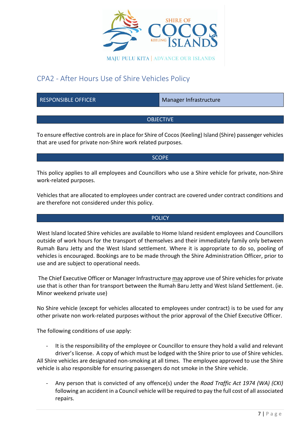

# <span id="page-7-0"></span>CPA2 - After Hours Use of Shire Vehicles Policy

RESPONSIBLE OFFICER Manager Infrastructure

### OBJECTIVE

To ensure effective controls are in place for Shire of Cocos (Keeling) Island (Shire) passenger vehicles that are used for private non-Shire work related purposes.

#### SCOPE

This policy applies to all employees and Councillors who use a Shire vehicle for private, non-Shire work-related purposes.

Vehicles that are allocated to employees under contract are covered under contract conditions and are therefore not considered under this policy.

#### **POLICY**

West Island located Shire vehicles are available to Home Island resident employees and Councillors outside of work hours for the transport of themselves and their immediately family only between Rumah Baru Jetty and the West Island settlement. Where it is appropriate to do so, pooling of vehicles is encouraged. Bookings are to be made through the Shire Administration Officer, prior to use and are subject to operational needs.

The Chief Executive Officer or Manager Infrastructure may approve use of Shire vehicles for private use that is other than for transport between the Rumah Baru Jetty and West Island Settlement. (ie. Minor weekend private use)

No Shire vehicle (except for vehicles allocated to employees under contract) is to be used for any other private non work-related purposes without the prior approval of the Chief Executive Officer.

The following conditions of use apply:

- It is the responsibility of the employee or Councillor to ensure they hold a valid and relevant driver's license. A copy of which must be lodged with the Shire prior to use of Shire vehicles. All Shire vehicles are designated non-smoking at all times. The employee approved to use the Shire vehicle is also responsible for ensuring passengers do not smoke in the Shire vehicle.

- Any person that is convicted of any offence(s) under the *Road Traffic Act 1974 (WA) (CKI)* following an accident in a Council vehicle will be required to pay the full cost of all associated repairs.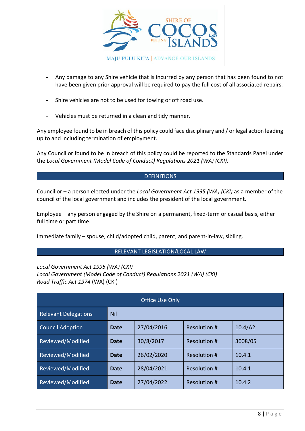

- Any damage to any Shire vehicle that is incurred by any person that has been found to not have been given prior approval will be required to pay the full cost of all associated repairs.
- Shire vehicles are not to be used for towing or off road use.
- Vehicles must be returned in a clean and tidy manner.

Any employee found to be in breach of this policy could face disciplinary and / or legal action leading up to and including termination of employment.

Any Councillor found to be in breach of this policy could be reported to the Standards Panel under the *Local Government (Model Code of Conduct) Regulations 2021 (WA) (CKI)*.

#### DEFINITIONS

Councillor – a person elected under the *Local Government Act 1995 (WA) (CKI)* as a member of the council of the local government and includes the president of the local government.

Employee – any person engaged by the Shire on a permanent, fixed-term or casual basis, either full time or part time.

Immediate family – spouse, child/adopted child, parent, and parent-in-law, sibling.

#### RELEVANT LEGISLATION/LOCAL LAW

*Local Government Act 1995 (WA) (CKI) Local Government (Model Code of Conduct) Regulations 2021 (WA) (CKI) Road Traffic Act 1974* (WA) (CKI)

| <b>Office Use Only</b>      |             |            |                     |         |
|-----------------------------|-------------|------------|---------------------|---------|
| <b>Relevant Delegations</b> | <b>Nil</b>  |            |                     |         |
| <b>Council Adoption</b>     | <b>Date</b> | 27/04/2016 | <b>Resolution #</b> | 10.4/A2 |
| Reviewed/Modified           | Date        | 30/8/2017  | <b>Resolution #</b> | 3008/05 |
| Reviewed/Modified           | Date        | 26/02/2020 | <b>Resolution #</b> | 10.4.1  |
| Reviewed/Modified           | Date        | 28/04/2021 | Resolution #        | 10.4.1  |
| Reviewed/Modified           | Date        | 27/04/2022 | Resolution #        | 10.4.2  |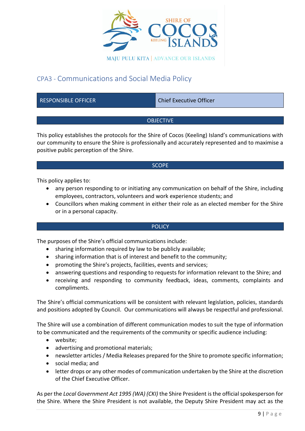

# <span id="page-9-0"></span>CPA3 - Communications and Social Media Policy

RESPONSIBLE OFFICER CHIEF CHIEF Chief Executive Officer

# **OBJECTIVE**

This policy establishes the protocols for the Shire of Cocos (Keeling) Island's communications with our community to ensure the Shire is professionally and accurately represented and to maximise a positive public perception of the Shire.

### **SCOPE**

This policy applies to:

- any person responding to or initiating any communication on behalf of the Shire, including employees, contractors, volunteers and work experience students; and
- Councillors when making comment in either their role as an elected member for the Shire or in a personal capacity.

#### **POLICY**

The purposes of the Shire's official communications include:

- sharing information required by law to be publicly available;
- sharing information that is of interest and benefit to the community;
- promoting the Shire's projects, facilities, events and services;
- answering questions and responding to requests for information relevant to the Shire; and
- receiving and responding to community feedback, ideas, comments, complaints and compliments.

The Shire's official communications will be consistent with relevant legislation, policies, standards and positions adopted by Council. Our communications will always be respectful and professional.

The Shire will use a combination of different communication modes to suit the type of information to be communicated and the requirements of the community or specific audience including:

- website;
- advertising and promotional materials;
- newsletter articles / Media Releases prepared for the Shire to promote specific information;
- social media; and
- letter drops or any other modes of communication undertaken by the Shire at the discretion of the Chief Executive Officer.

As per the *Local Government Act 1995 (WA) (CKI)* the Shire President is the official spokesperson for the Shire. Where the Shire President is not available, the Deputy Shire President may act as the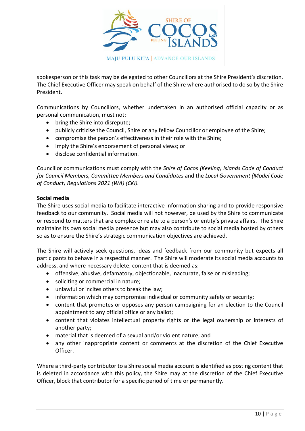

spokesperson or this task may be delegated to other Councillors at the Shire President's discretion. The Chief Executive Officer may speak on behalf of the Shire where authorised to do so by the Shire President.

Communications by Councillors, whether undertaken in an authorised official capacity or as personal communication, must not:

- bring the Shire into disrepute;
- publicly criticise the Council, Shire or any fellow Councillor or employee of the Shire;
- compromise the person's effectiveness in their role with the Shire;
- imply the Shire's endorsement of personal views; or
- disclose confidential information.

Councillor communications must comply with the *Shire of Cocos (Keeling) Islands Code of Conduct for Council Members, Committee Members and Candidates* and the *Local Government (Model Code of Conduct) Regulations 2021 (WA) (CKI).*

#### **Social media**

The Shire uses social media to facilitate interactive information sharing and to provide responsive feedback to our community. Social media will not however, be used by the Shire to communicate or respond to matters that are complex or relate to a person's or entity's private affairs. The Shire maintains its own social media presence but may also contribute to social media hosted by others so as to ensure the Shire's strategic communication objectives are achieved.

The Shire will actively seek questions, ideas and feedback from our community but expects all participants to behave in a respectful manner. The Shire will moderate its social media accounts to address, and where necessary delete, content that is deemed as:

- offensive, abusive, defamatory, objectionable, inaccurate, false or misleading;
- soliciting or commercial in nature;
- unlawful or incites others to break the law;
- information which may compromise individual or community safety or security;
- content that promotes or opposes any person campaigning for an election to the Council appointment to any official office or any ballot;
- content that violates intellectual property rights or the legal ownership or interests of another party;
- material that is deemed of a sexual and/or violent nature; and
- any other inappropriate content or comments at the discretion of the Chief Executive Officer.

Where a third-party contributor to a Shire social media account is identified as posting content that is deleted in accordance with this policy, the Shire may at the discretion of the Chief Executive Officer, block that contributor for a specific period of time or permanently.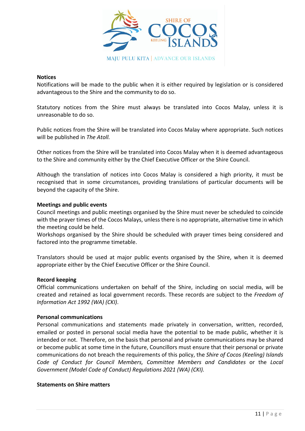

#### **Notices**

Notifications will be made to the public when it is either required by legislation or is considered advantageous to the Shire and the community to do so.

Statutory notices from the Shire must always be translated into Cocos Malay, unless it is unreasonable to do so.

Public notices from the Shire will be translated into Cocos Malay where appropriate. Such notices will be published in *The Atoll.*

Other notices from the Shire will be translated into Cocos Malay when it is deemed advantageous to the Shire and community either by the Chief Executive Officer or the Shire Council.

Although the translation of notices into Cocos Malay is considered a high priority, it must be recognised that in some circumstances, providing translations of particular documents will be beyond the capacity of the Shire.

#### **Meetings and public events**

Council meetings and public meetings organised by the Shire must never be scheduled to coincide with the prayer times of the Cocos Malays, unless there is no appropriate, alternative time in which the meeting could be held.

Workshops organised by the Shire should be scheduled with prayer times being considered and factored into the programme timetable.

Translators should be used at major public events organised by the Shire, when it is deemed appropriate either by the Chief Executive Officer or the Shire Council.

#### **Record keeping**

Official communications undertaken on behalf of the Shire, including on social media, will be created and retained as local government records. These records are subject to the *Freedom of Information Act 1992 (WA) (CKI)*.

#### **Personal communications**

Personal communications and statements made privately in conversation, written, recorded, emailed or posted in personal social media have the potential to be made public, whether it is intended or not. Therefore, on the basis that personal and private communications may be shared or become public at some time in the future, Councillors must ensure that their personal or private communications do not breach the requirements of this policy, the *Shire of Cocos (Keeling) Islands Code of Conduct for Council Members, Committee Members and Candidates* or the *Local Government (Model Code of Conduct) Regulations 2021 (WA) (CKI).*

#### **Statements on Shire matters**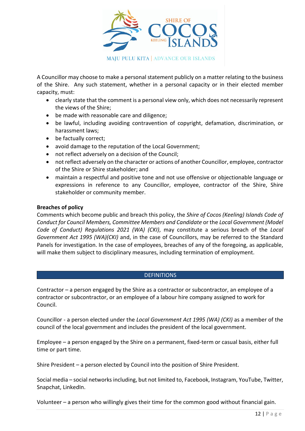

A Councillor may choose to make a personal statement publicly on a matter relating to the business of the Shire. Any such statement, whether in a personal capacity or in their elected member capacity, must:

- clearly state that the comment is a personal view only, which does not necessarily represent the views of the Shire;
- be made with reasonable care and diligence;
- be lawful, including avoiding contravention of copyright, defamation, discrimination, or harassment laws;
- be factually correct;
- avoid damage to the reputation of the Local Government;
- not reflect adversely on a decision of the Council;
- not reflect adversely on the character or actions of another Councillor, employee, contractor of the Shire or Shire stakeholder; and
- maintain a respectful and positive tone and not use offensive or objectionable language or expressions in reference to any Councillor, employee, contractor of the Shire, Shire stakeholder or community member.

### **Breaches of policy**

Comments which become public and breach this policy, the *Shire of Cocos (Keeling) Islands Code of Conduct for Council Members, Committee Members and Candidate* or the *Local Government (Model Code of Conduct) Regulations 2021 (WA) (CKI)*, may constitute a serious breach of the *Local Government Act 1995 (WA)(CKI)* and, in the case of Councillors, may be referred to the Standard Panels for investigation. In the case of employees, breaches of any of the foregoing, as applicable, will make them subject to disciplinary measures, including termination of employment.

#### **DEFINITIONS**

Contractor – a person engaged by the Shire as a contractor or subcontractor, an employee of a contractor or subcontractor, or an employee of a labour hire company assigned to work for Council.

Councillor - a person elected under the *Local Government Act 1995 (WA) (CKI)* as a member of the council of the local government and includes the president of the local government.

Employee – a person engaged by the Shire on a permanent, fixed-term or casual basis, either full time or part time.

Shire President – a person elected by Council into the position of Shire President.

Social media – social networks including, but not limited to, Facebook, Instagram, YouTube, Twitter, Snapchat, LinkedIn.

Volunteer – a person who willingly gives their time for the common good without financial gain.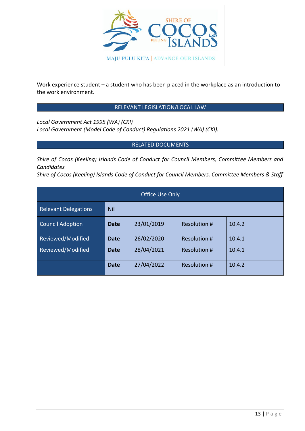

Work experience student – a student who has been placed in the workplace as an introduction to the work environment.

# RELEVANT LEGISLATION/LOCAL LAW

*Local Government Act 1995 (WA) (CKI) Local Government (Model Code of Conduct) Regulations 2021 (WA) (CKI).*

# RELATED DOCUMENTS

*Shire of Cocos (Keeling) Islands Code of Conduct for Council Members, Committee Members and Candidates*

*Shire of Cocos (Keeling) Islands Code of Conduct for Council Members, Committee Members & Staff*

| Office Use Only             |             |            |              |        |  |
|-----------------------------|-------------|------------|--------------|--------|--|
| <b>Relevant Delegations</b> | Nil         |            |              |        |  |
| <b>Council Adoption</b>     | Date        | 23/01/2019 | Resolution # | 10.4.2 |  |
| Reviewed/Modified           | Date        | 26/02/2020 | Resolution # | 10.4.1 |  |
| Reviewed/Modified           | Date        | 28/04/2021 | Resolution # | 10.4.1 |  |
|                             | <b>Date</b> | 27/04/2022 | Resolution # | 10.4.2 |  |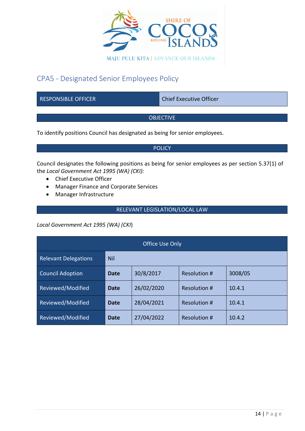

# <span id="page-14-0"></span>CPA5 - Designated Senior Employees Policy

RESPONSIBLE OFFICER Chief Executive Officer

**OBJECTIVE** 

To identify positions Council has designated as being for senior employees.

#### POLICY

Council designates the following positions as being for senior employees as per section 5.37(1) of the *Local Government Act 1995 (WA) (CKI):*

- Chief Executive Officer
- Manager Finance and Corporate Services
- Manager Infrastructure

# RELEVANT LEGISLATION/LOCAL LAW

*Local Government Act 1995 (WA) (CKI*)

| <b>Office Use Only</b>      |             |            |                     |         |  |
|-----------------------------|-------------|------------|---------------------|---------|--|
| <b>Relevant Delegations</b> | Nil         |            |                     |         |  |
| <b>Council Adoption</b>     | <b>Date</b> | 30/8/2017  | <b>Resolution #</b> | 3008/05 |  |
| Reviewed/Modified           | <b>Date</b> | 26/02/2020 | Resolution #        | 10.4.1  |  |
| Reviewed/Modified           | <b>Date</b> | 28/04/2021 | Resolution #        | 10.4.1  |  |
| Reviewed/Modified           | <b>Date</b> | 27/04/2022 | Resolution #        | 10.4.2  |  |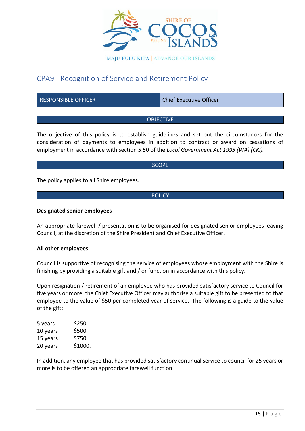

# <span id="page-15-0"></span>CPA9 - Recognition of Service and Retirement Policy

RESPONSIBLE OFFICER CHIEF Chief Executive Officer

### OBJECTIVE

The objective of this policy is to establish guidelines and set out the circumstances for the consideration of payments to employees in addition to contract or award on cessations of employment in accordance with section 5.50 of the *Local Government Act 1995 (WA) (CKI).*

#### **SCOPE**

The policy applies to all Shire employees.

#### **POLICY**

#### **Designated senior employees**

An appropriate farewell / presentation is to be organised for designated senior employees leaving Council, at the discretion of the Shire President and Chief Executive Officer.

#### **All other employees**

Council is supportive of recognising the service of employees whose employment with the Shire is finishing by providing a suitable gift and / or function in accordance with this policy.

Upon resignation / retirement of an employee who has provided satisfactory service to Council for five years or more, the Chief Executive Officer may authorise a suitable gift to be presented to that employee to the value of \$50 per completed year of service. The following is a guide to the value of the gift:

| \$250   |
|---------|
| \$500   |
| \$750   |
| \$1000. |
|         |

In addition, any employee that has provided satisfactory continual service to council for 25 years or more is to be offered an appropriate farewell function.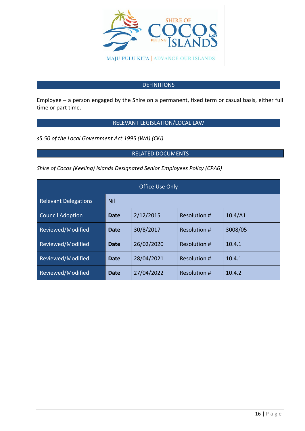

# **DEFINITIONS**

Employee – a person engaged by the Shire on a permanent, fixed term or casual basis, either full time or part time.

### RELEVANT LEGISLATION/LOCAL LAW

*s5.50 of the Local Government Act 1995 (WA) (CKI)*

# RELATED DOCUMENTS

*Shire of Cocos (Keeling) Islands Designated Senior Employees Policy (CPA6)*

| <b>Office Use Only</b>      |      |            |              |         |  |
|-----------------------------|------|------------|--------------|---------|--|
| <b>Relevant Delegations</b> | Nil  |            |              |         |  |
| <b>Council Adoption</b>     | Date | 2/12/2015  | Resolution # | 10.4/A1 |  |
| Reviewed/Modified           | Date | 30/8/2017  | Resolution # | 3008/05 |  |
| Reviewed/Modified           | Date | 26/02/2020 | Resolution # | 10.4.1  |  |
| Reviewed/Modified           | Date | 28/04/2021 | Resolution # | 10.4.1  |  |
| Reviewed/Modified           | Date | 27/04/2022 | Resolution # | 10.4.2  |  |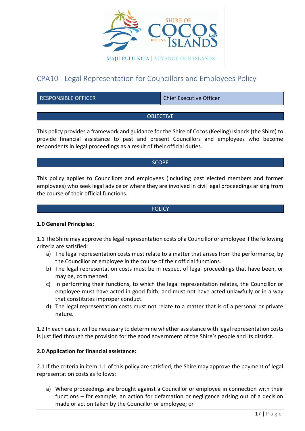

# <span id="page-17-0"></span>CPA10 - Legal Representation for Councillors and Employees Policy

RESPONSIBLE OFFICER CHIEF CHIEF Chief Executive Officer

#### **OBJECTIVE**

This policy provides a framework and guidance for the Shire of Cocos (Keeling) Islands (the Shire) to provide financial assistance to past and present Councillors and employees who become respondents in legal proceedings as a result of their official duties.

#### **SCOPE**

This policy applies to Councillors and employees (including past elected members and former employees) who seek legal advice or where they are involved in civil legal proceedings arising from the course of their official functions.

#### **POLICY**

#### **1.0 General Principles:**

1.1 The Shire may approve the legal representation costs of a Councillor or employee if the following criteria are satisfied:

- a) The legal representation costs must relate to a matter that arises from the performance, by the Councillor or employee in the course of their official functions.
- b) The legal representation costs must be in respect of legal proceedings that have been, or may be, commenced.
- c) In performing their functions, to which the legal representation relates, the Councillor or employee must have acted in good faith, and must not have acted unlawfully or in a way that constitutes improper conduct.
- d) The legal representation costs must not relate to a matter that is of a personal or private nature.

1.2 In each case it will be necessary to determine whether assistance with legal representation costs is justified through the provision for the good government of the Shire's people and its district.

#### **2.0 Application for financial assistance:**

2.1 If the criteria in item 1.1 of this policy are satisfied, the Shire may approve the payment of legal representation costs as follows:

a) Where proceedings are brought against a Councillor or employee in connection with their functions – for example, an action for defamation or negligence arising out of a decision made or action taken by the Councillor or employee; or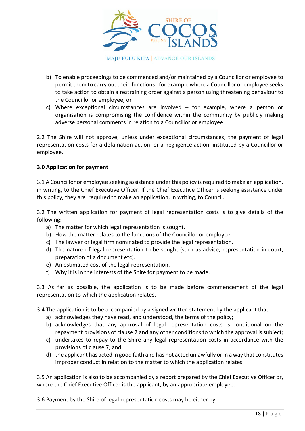

- b) To enable proceedings to be commenced and/or maintained by a Councillor or employee to permit them to carry out their functions - for example where a Councillor or employee seeks to take action to obtain a restraining order against a person using threatening behaviour to the Councillor or employee; or
- c) Where exceptional circumstances are involved for example, where a person or organisation is compromising the confidence within the community by publicly making adverse personal comments in relation to a Councillor or employee.

2.2 The Shire will not approve, unless under exceptional circumstances, the payment of legal representation costs for a defamation action, or a negligence action, instituted by a Councillor or employee.

# **3.0 Application for payment**

3.1 A Councillor or employee seeking assistance under this policy is required to make an application, in writing, to the Chief Executive Officer. If the Chief Executive Officer is seeking assistance under this policy, they are required to make an application, in writing, to Council.

3.2 The written application for payment of legal representation costs is to give details of the following:

- a) The matter for which legal representation is sought.
- b) How the matter relates to the functions of the Councillor or employee.
- c) The lawyer or legal firm nominated to provide the legal representation.
- d) The nature of legal representation to be sought (such as advice, representation in court, preparation of a document etc).
- e) An estimated cost of the legal representation.
- f) Why it is in the interests of the Shire for payment to be made.

3.3 As far as possible, the application is to be made before commencement of the legal representation to which the application relates.

3.4 The application is to be accompanied by a signed written statement by the applicant that:

- a) acknowledges they have read, and understood, the terms of the policy;
- b) acknowledges that any approval of legal representation costs is conditional on the repayment provisions of clause 7 and any other conditions to which the approval is subject;
- c) undertakes to repay to the Shire any legal representation costs in accordance with the provisions of clause 7; and
- d) the applicant has acted in good faith and has not acted unlawfully or in a way that constitutes improper conduct in relation to the matter to which the application relates.

3.5 An application is also to be accompanied by a report prepared by the Chief Executive Officer or, where the Chief Executive Officer is the applicant, by an appropriate employee.

3.6 Payment by the Shire of legal representation costs may be either by: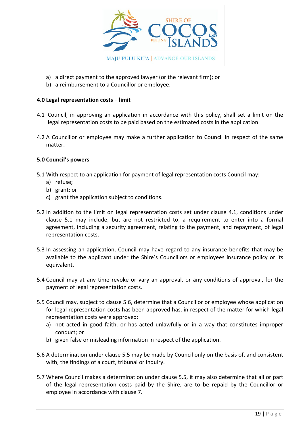

- a) a direct payment to the approved lawyer (or the relevant firm); or
- b) a reimbursement to a Councillor or employee.

### **4.0 Legal representation costs – limit**

- 4.1 Council, in approving an application in accordance with this policy, shall set a limit on the legal representation costs to be paid based on the estimated costs in the application.
- 4.2 A Councillor or employee may make a further application to Council in respect of the same matter.

### **5.0 Council's powers**

- 5.1 With respect to an application for payment of legal representation costs Council may:
	- a) refuse;
	- b) grant; or
	- c) grant the application subject to conditions.
- 5.2 In addition to the limit on legal representation costs set under clause 4.1, conditions under clause 5.1 may include, but are not restricted to, a requirement to enter into a formal agreement, including a security agreement, relating to the payment, and repayment, of legal representation costs.
- 5.3 In assessing an application, Council may have regard to any insurance benefits that may be available to the applicant under the Shire's Councillors or employees insurance policy or its equivalent.
- 5.4 Council may at any time revoke or vary an approval, or any conditions of approval, for the payment of legal representation costs.
- 5.5 Council may, subject to clause 5.6, determine that a Councillor or employee whose application for legal representation costs has been approved has, in respect of the matter for which legal representation costs were approved:
	- a) not acted in good faith, or has acted unlawfully or in a way that constitutes improper conduct; or
	- b) given false or misleading information in respect of the application.
- 5.6 A determination under clause 5.5 may be made by Council only on the basis of, and consistent with, the findings of a court, tribunal or inquiry.
- 5.7 Where Council makes a determination under clause 5.5, it may also determine that all or part of the legal representation costs paid by the Shire, are to be repaid by the Councillor or employee in accordance with clause 7.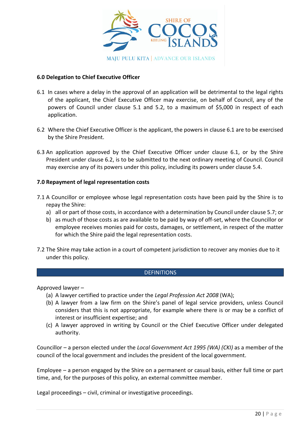

### **6.0 Delegation to Chief Executive Officer**

- 6.1 In cases where a delay in the approval of an application will be detrimental to the legal rights of the applicant, the Chief Executive Officer may exercise, on behalf of Council, any of the powers of Council under clause 5.1 and 5.2, to a maximum of \$5,000 in respect of each application.
- 6.2 Where the Chief Executive Officer is the applicant, the powers in clause 6.1 are to be exercised by the Shire President.
- 6.3 An application approved by the Chief Executive Officer under clause 6.1, or by the Shire President under clause 6.2, is to be submitted to the next ordinary meeting of Council. Council may exercise any of its powers under this policy, including its powers under clause 5.4.

#### **7.0 Repayment of legal representation costs**

- 7.1 A Councillor or employee whose legal representation costs have been paid by the Shire is to repay the Shire:
	- a) all or part of those costs, in accordance with a determination by Council under clause 5.7; or
	- b) as much of those costs as are available to be paid by way of off-set, where the Councillor or employee receives monies paid for costs, damages, or settlement, in respect of the matter for which the Shire paid the legal representation costs.
- 7.2 The Shire may take action in a court of competent jurisdiction to recover any monies due to it under this policy.

#### **DEFINITIONS**

Approved lawyer –

- (a) A lawyer certified to practice under the *Legal Profession Act 2008* (WA);
- (b) A lawyer from a law firm on the Shire's panel of legal service providers, unless Council considers that this is not appropriate, for example where there is or may be a conflict of interest or insufficient expertise; and
- (c) A lawyer approved in writing by Council or the Chief Executive Officer under delegated authority.

Councillor – a person elected under the *Local Government Act 1995 (WA) (CKI)* as a member of the council of the local government and includes the president of the local government.

Employee – a person engaged by the Shire on a permanent or casual basis, either full time or part time, and, for the purposes of this policy, an external committee member.

Legal proceedings – civil, criminal or investigative proceedings.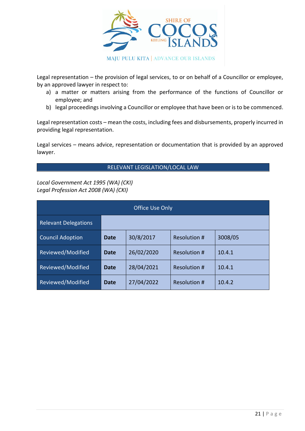

Legal representation – the provision of legal services, to or on behalf of a Councillor or employee, by an approved lawyer in respect to:

- a) a matter or matters arising from the performance of the functions of Councillor or employee; and
- b) legal proceedings involving a Councillor or employee that have been or is to be commenced.

Legal representation costs – mean the costs, including fees and disbursements, properly incurred in providing legal representation.

Legal services – means advice, representation or documentation that is provided by an approved lawyer.

RELEVANT LEGISLATION/LOCAL LAW

*Local Government Act 1995 (WA) (CKI) Legal Profession Act 2008 (WA) (CKI)*

| <b>Office Use Only</b>      |      |            |                     |         |
|-----------------------------|------|------------|---------------------|---------|
| <b>Relevant Delegations</b> |      |            |                     |         |
| <b>Council Adoption</b>     | Date | 30/8/2017  | Resolution #        | 3008/05 |
| Reviewed/Modified           | Date | 26/02/2020 | Resolution #        | 10.4.1  |
| Reviewed/Modified           | Date | 28/04/2021 | <b>Resolution #</b> | 10.4.1  |
| Reviewed/Modified           | Date | 27/04/2022 | Resolution #        | 10.4.2  |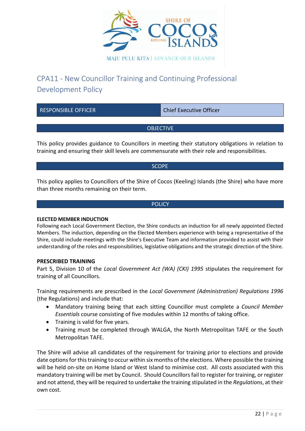

# <span id="page-22-0"></span>CPA11 - New Councillor Training and Continuing Professional Development Policy

| <b>RESPONSIBLE OFFICER</b> | <b>Chief Executive Officer</b> |
|----------------------------|--------------------------------|
|                            |                                |
| <b>OBJECTIVE</b>           |                                |
|                            |                                |

This policy provides guidance to Councillors in meeting their statutory obligations in relation to training and ensuring their skill levels are commensurate with their role and responsibilities.

**SCOPE** 

This policy applies to Councillors of the Shire of Cocos (Keeling) Islands (the Shire) who have more than three months remaining on their term.

#### **POLICY**

#### **ELECTED MEMBER INDUCTION**

Following each Local Government Election, the Shire conducts an induction for all newly appointed Elected Members. The induction, depending on the Elected Members experience with being a representative of the Shire, could include meetings with the Shire's Executive Team and information provided to assist with their understanding of the roles and responsibilities, legislative obligations and the strategic direction of the Shire.

#### **PRESCRIBED TRAINING**

Part 5, Division 10 of the *Local Government Act (WA) (CKI) 1995* stipulates the requirement for training of all Councillors.

Training requirements are prescribed in the *Local Government (Administration) Regulations 1996*  (the Regulations) and include that:

- Mandatory training being that each sitting Councillor must complete a *Council Member Essentials* course consisting of five modules within 12 months of taking office.
- Training is valid for five years.
- Training must be completed through WALGA, the North Metropolitan TAFE or the South Metropolitan TAFE.

The Shire will advise all candidates of the requirement for training prior to elections and provide date options for this training to occur within six months of the elections. Where possible the training will be held on-site on Home Island or West Island to minimise cost. All costs associated with this mandatory training will be met by Council. Should Councillors fail to register for training, or register and not attend, they will be required to undertake the training stipulated in the *Regulations*, at their own cost.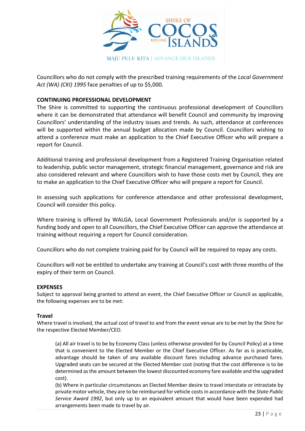

Councillors who do not comply with the prescribed training requirements of the *Local Government Act (WA) (CKI) 1995* face penalties of up to \$5,000.

### **CONTINUING PROFESSIONAL DEVELOPMENT**

The Shire is committed to supporting the continuous professional development of Councillors where it can be demonstrated that attendance will benefit Council and community by improving Councillors' understanding of the industry issues and trends. As such, attendance at conferences will be supported within the annual budget allocation made by Council. Councillors wishing to attend a conference must make an application to the Chief Executive Officer who will prepare a report for Council.

Additional training and professional development from a Registered Training Organisation related to leadership, public sector management, strategic financial management, governance and risk are also considered relevant and where Councillors wish to have those costs met by Council, they are to make an application to the Chief Executive Officer who will prepare a report for Council.

In assessing such applications for conference attendance and other professional development, Council will consider this policy.

Where training is offered by WALGA, Local Government Professionals and/or is supported by a funding body and open to all Councillors, the Chief Executive Officer can approve the attendance at training without requiring a report for Council consideration.

Councillors who do not complete training paid for by Council will be required to repay any costs.

Councillors will not be entitled to undertake any training at Council's cost with three months of the expiry of their term on Council.

#### **EXPENSES**

Subject to approval being granted to attend an event, the Chief Executive Officer or Council as applicable, the following expenses are to be met:

#### **Travel**

Where travel is involved, the actual cost of travel to and from the event venue are to be met by the Shire for the respective Elected Member/CEO.

(a) All air travel is to be by Economy Class (unless otherwise provided for by Council Policy) at a time that is convenient to the Elected Member or the Chief Executive Officer. As far as is practicable, advantage should be taken of any available discount fares including advance purchased fares. Upgraded seats can be secured at the Elected Member cost (noting that the cost difference is to be determined as the amount between the lowest discounted economy fare available and the upgraded cost).

(b) Where in particular circumstances an Elected Member desire to travel interstate or intrastate by private motor vehicle, they are to be reimbursed for vehicle costs in accordance with the *State Public Service Award 1992*, but only up to an equivalent amount that would have been expended had arrangements been made to travel by air.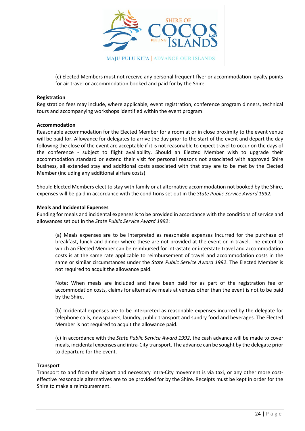

(c) Elected Members must not receive any personal frequent flyer or accommodation loyalty points for air travel or accommodation booked and paid for by the Shire.

#### **Registration**

Registration fees may include, where applicable, event registration, conference program dinners, technical tours and accompanying workshops identified within the event program.

#### **Accommodation**

Reasonable accommodation for the Elected Member for a room at or in close proximity to the event venue will be paid for. Allowance for delegates to arrive the day prior to the start of the event and depart the day following the close of the event are acceptable if it is not reasonable to expect travel to occur on the days of the conference - subject to flight availability. Should an Elected Member wish to upgrade their accommodation standard or extend their visit for personal reasons not associated with approved Shire business, all extended stay and additional costs associated with that stay are to be met by the Elected Member (including any additional airfare costs).

Should Elected Members elect to stay with family or at alternative accommodation not booked by the Shire, expenses will be paid in accordance with the conditions set out in the *State Public Service Award 1992.*

#### **Meals and Incidental Expenses**

Funding for meals and incidental expenses is to be provided in accordance with the conditions of service and allowances set out in the *State Public Service Award 1992*:

(a) Meals expenses are to be interpreted as reasonable expenses incurred for the purchase of breakfast, lunch and dinner where these are not provided at the event or in travel. The extent to which an Elected Member can be reimbursed for intrastate or interstate travel and accommodation costs is at the same rate applicable to reimbursement of travel and accommodation costs in the same or similar circumstances under the *State Public Service Award 1992*. The Elected Member is not required to acquit the allowance paid.

Note: When meals are included and have been paid for as part of the registration fee or accommodation costs, claims for alternative meals at venues other than the event is not to be paid by the Shire.

(b) Incidental expenses are to be interpreted as reasonable expenses incurred by the delegate for telephone calls, newspapers, laundry, public transport and sundry food and beverages. The Elected Member is not required to acquit the allowance paid.

(c) In accordance with the *State Public Service Award 1992*, the cash advance will be made to cover meals, incidental expenses and intra-City transport. The advance can be sought by the delegate prior to departure for the event.

#### **Transport**

Transport to and from the airport and necessary intra-City movement is via taxi, or any other more costeffective reasonable alternatives are to be provided for by the Shire. Receipts must be kept in order for the Shire to make a reimbursement.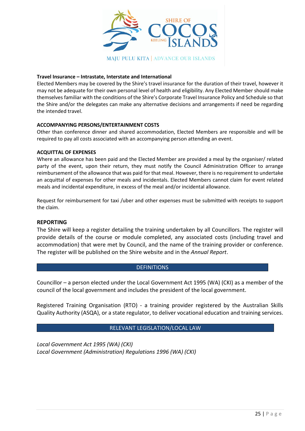

#### **Travel Insurance – Intrastate, Interstate and International**

Elected Members may be covered by the Shire's travel insurance for the duration of their travel, however it may not be adequate for their own personal level of health and eligibility. Any Elected Member should make themselves familiar with the conditions of the Shire's Corporate Travel Insurance Policy and Schedule so that the Shire and/or the delegates can make any alternative decisions and arrangements if need be regarding the intended travel.

#### **ACCOMPANYING PERSONS/ENTERTAINMENT COSTS**

Other than conference dinner and shared accommodation, Elected Members are responsible and will be required to pay all costs associated with an accompanying person attending an event.

#### **ACQUITTAL OF EXPENSES**

Where an allowance has been paid and the Elected Member are provided a meal by the organiser/ related party of the event, upon their return, they must notify the Council Administration Officer to arrange reimbursement of the allowance that was paid for that meal. However, there is no requirement to undertake an acquittal of expenses for other meals and incidentals. Elected Members cannot claim for event related meals and incidental expenditure, in excess of the meal and/or incidental allowance.

Request for reimbursement for taxi /uber and other expenses must be submitted with receipts to support the claim.

#### **REPORTING**

The Shire will keep a register detailing the training undertaken by all Councillors. The register will provide details of the course or module completed, any associated costs (including travel and accommodation) that were met by Council, and the name of the training provider or conference. The register will be published on the Shire website and in the *Annual Report*.

#### **DEFINITIONS**

Councillor – a person elected under the Local Government Act 1995 (WA) (CKI) as a member of the council of the local government and includes the president of the local government.

Registered Training Organisation (RTO) - a training provider registered by the Australian Skills Quality Authority (ASQA), or a state regulator, to deliver vocational education and training services.

#### RELEVANT LEGISLATION/LOCAL LAW

*Local Government Act 1995 (WA) (CKI) Local Government (Administration) Regulations 1996 (WA) (CKI)*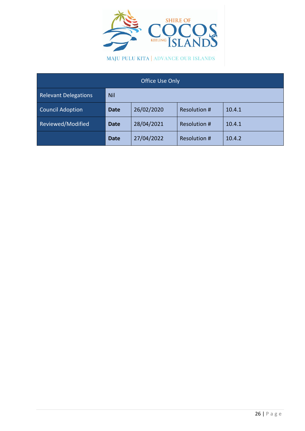

MAJU PULU KITA | ADVANCE OUR ISLANDS

| Office Use Only             |             |            |                     |        |  |
|-----------------------------|-------------|------------|---------------------|--------|--|
| <b>Relevant Delegations</b> | Nil         |            |                     |        |  |
| <b>Council Adoption</b>     | <b>Date</b> | 26/02/2020 | <b>Resolution #</b> | 10.4.1 |  |
| Reviewed/Modified           | <b>Date</b> | 28/04/2021 | <b>Resolution #</b> | 10.4.1 |  |
|                             | <b>Date</b> | 27/04/2022 | <b>Resolution #</b> | 10.4.2 |  |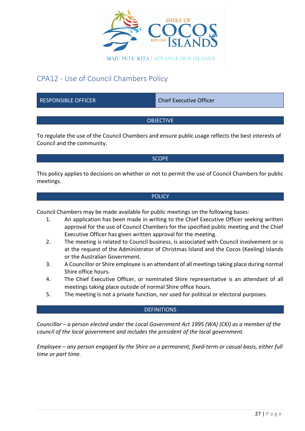

# <span id="page-27-0"></span>CPA12 - Use of Council Chambers Policy

RESPONSIBLE OFFICER CHIEF CHIEF Chief Executive Officer

# **OBJECTIVE**

To regulate the use of the Council Chambers and ensure public usage reflects the best interests of Council and the community.

#### **SCOPE**

This policy applies to decisions on whether or not to permit the use of Council Chambers for public meetings.

#### **POLICY**

Council Chambers may be made available for public meetings on the following bases:

- 1. An application has been made in writing to the Chief Executive Officer seeking written approval for the use of Council Chambers for the specified public meeting and the Chief Executive Officer has given written approval for the meeting.
- 2. The meeting is related to Council business, is associated with Council involvement or is at the request of the Administrator of Christmas Island and the Cocos (Keeling) Islands or the Australian Government.
- 3. A Councillor or Shire employee is an attendant of all meetings taking place during normal Shire office hours.
- 4. The Chief Executive Officer, or nominated Shire representative is an attendant of all meetings taking place outside of normal Shire office hours.
- 5. The meeting is not a private function, nor used for political or electoral purposes.

# **DEFINITIONS**

*Councillor – a person elected under the Local Government Act 1995 (WA) (CKI) as a member of the council of the local government and includes the president of the local government.* 

*Employee – any person engaged by the Shire on a permanent, fixed-term or casual basis, either full time or part time.*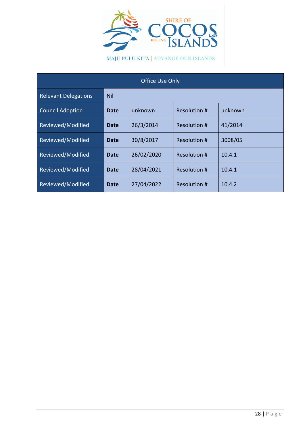

MAJU PULU KITA | ADVANCE OUR ISLANDS

| Office Use Only             |             |            |              |         |  |  |  |
|-----------------------------|-------------|------------|--------------|---------|--|--|--|
| <b>Relevant Delegations</b> | <b>Nil</b>  |            |              |         |  |  |  |
| <b>Council Adoption</b>     | Date        | unknown    | Resolution # | unknown |  |  |  |
| Reviewed/Modified           | Date        | 26/3/2014  | Resolution # | 41/2014 |  |  |  |
| Reviewed/Modified           | Date        | 30/8/2017  | Resolution # | 3008/05 |  |  |  |
| Reviewed/Modified           | <b>Date</b> | 26/02/2020 | Resolution # | 10.4.1  |  |  |  |
| Reviewed/Modified           | <b>Date</b> | 28/04/2021 | Resolution # | 10.4.1  |  |  |  |
| Reviewed/Modified           | <b>Date</b> | 27/04/2022 | Resolution # | 10.4.2  |  |  |  |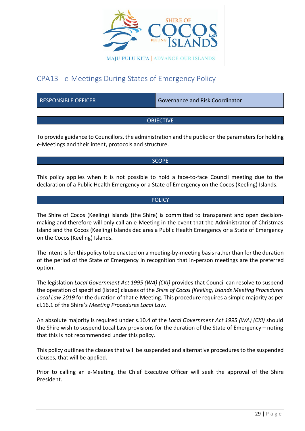

# <span id="page-29-0"></span>CPA13 - e-Meetings During States of Emergency Policy

RESPONSIBLE OFFICER GOVERNATION Governance and Risk Coordinator

# OBJECTIVE

To provide guidance to Councillors, the administration and the public on the parameters for holding e-Meetings and their intent, protocols and structure.

#### **SCOPE**

This policy applies when it is not possible to hold a face-to-face Council meeting due to the declaration of a Public Health Emergency or a State of Emergency on the Cocos (Keeling) Islands.

#### **POLICY**

The Shire of Cocos (Keeling) Islands (the Shire) is committed to transparent and open decisionmaking and therefore will only call an e-Meeting in the event that the Administrator of Christmas Island and the Cocos (Keeling) Islands declares a Public Health Emergency or a State of Emergency on the Cocos (Keeling) Islands.

The intent is for this policy to be enacted on a meeting-by-meeting basis rather than for the duration of the period of the State of Emergency in recognition that in-person meetings are the preferred option.

The legislation *Local Government Act 1995 (WA) (CKI)* provides that Council can resolve to suspend the operation of specified (listed) clauses of the *Shire of Cocos (Keeling) Islands Meeting Procedures Local Law 2019* for the duration of that e-Meeting. This procedure requires a simple majority as per cl.16.1 of the Shire's *Meeting Procedures Local Law*.

An absolute majority is required under s.10.4 of the *Local Government Act 1995 (WA) (CKI)* should the Shire wish to suspend Local Law provisions for the duration of the State of Emergency – noting that this is not recommended under this policy.

This policy outlines the clauses that will be suspended and alternative procedures to the suspended clauses, that will be applied.

Prior to calling an e-Meeting, the Chief Executive Officer will seek the approval of the Shire President.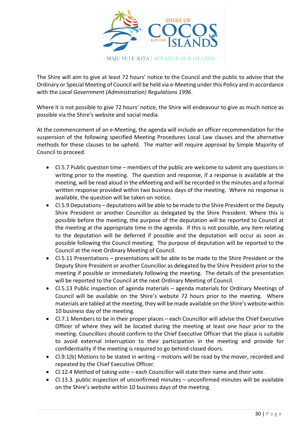

The Shire will aim to give at least 72 hours' notice to the Council and the public to advise that the Ordinary or Special Meeting of Council will be held via e-Meeting under this Policy and in accordance with the *Local Government (Administration) Regulations 1996*.

Where it is not possible to give 72 hours' notice, the Shire will endeavour to give as much notice as possible via the Shire's website and social media.

At the commencement of an e-Meeting, the agenda will include an officer recommendation for the suspension of the following specified Meeting Procedures Local Law clauses and the alternative methods for these clauses to be upheld. The matter will require approval by Simple Majority of Council to proceed.

- Cl.5.7 Public question time members of the public are welcome to submit any questions in writing prior to the meeting. The question and response, if a response is available at the meeting, will be read aloud in the eMeeting and will be recorded in the minutes and a formal written response provided within two business days of the meeting. Where no response is available, the question will be taken on notice.
- Cl.5.9 Deputations deputations will be able to be made to the Shire President or the Deputy Shire President or another Councillor as delegated by the Shire President. Where this is possible before the meeting, the purpose of the deputation will be reported to Council at the meeting at the appropriate time in the agenda. If this is not possible, any item relating to the deputation will be deferred if possible and the deputation will occur as soon as possible following the Council meeting. The purpose of deputation will be reported to the Council at the next Ordinary Meeting of Council.
- Cl.5.11 Presentations presentations will be able to be made to the Shire President or the Deputy Shire President or another Councillor as delegated by the Shire President prior to the meeting if possible or immediately following the meeting. The details of the presentation will be reported to the Council at the next Ordinary Meeting of Council.
- Cl.5.13 Public inspection of agenda materials agenda materials for Ordinary Meetings of Council will be available on the Shire's website 72 hours prior to the meeting. Where materials are tabled at the meeting, they will be made available on the Shire's website within 10 business day of the meeting.
- Cl.7.1 Members to be in their proper places each Councillor will advise the Chief Executive Officer of where they will be located during the meeting at least one hour prior to the meeting. Councillors should confirm to the Chief Executive Officer that the place is suitable to avoid external interruption to their participation in the meeting and provide for confidentiality if the meeting is required to go behind closed doors.
- Cl.9.1(b) Motions to be stated in writing motions will be read by the mover, recorded and repeated by the Chief Executive Officer.
- Cl.12.4 Method of taking vote each Councillor will state their name and their vote.
- Cl.13.3. public inspection of unconfirmed minutes unconfirmed minutes will be available on the Shire's website within 10 business days of the meeting.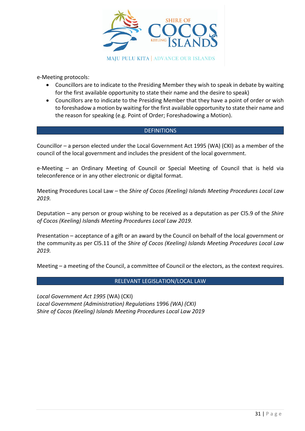

e-Meeting protocols:

- Councillors are to indicate to the Presiding Member they wish to speak in debate by waiting for the first available opportunity to state their name and the desire to speak)
- Councillors are to indicate to the Presiding Member that they have a point of order or wish to foreshadow a motion by waiting for the first available opportunity to state their name and the reason for speaking (e.g. Point of Order; Foreshadowing a Motion).

### **DEFINITIONS**

Councillor – a person elected under the Local Government Act 1995 (WA) (CKI) as a member of the council of the local government and includes the president of the local government.

e-Meeting – an Ordinary Meeting of Council or Special Meeting of Council that is held via teleconference or in any other electronic or digital format.

Meeting Procedures Local Law – the *Shire of Cocos (Keeling) Islands Meeting Procedures Local Law 2019.*

Deputation – any person or group wishing to be received as a deputation as per Cl5.9 of the *Shire of Cocos (Keeling) Islands Meeting Procedures Local Law 2019.*

Presentation – acceptance of a gift or an award by the Council on behalf of the local government or the community.as per Cl5.11 of the *Shire of Cocos (Keeling) Islands Meeting Procedures Local Law 2019.*

Meeting – a meeting of the Council, a committee of Council or the electors, as the context requires.

# RELEVANT LEGISLATION/LOCAL LAW

*Local Government Act 1995* (WA) (CKI) *Local Government (Administration) Regulations* 1996 *(WA) (CKI) Shire of Cocos (Keeling) Islands Meeting Procedures Local Law 2019*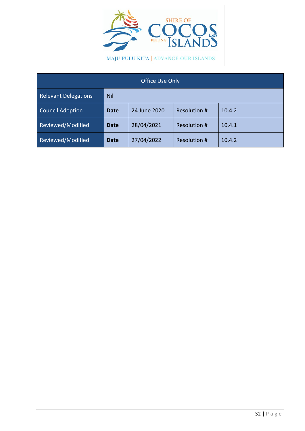

MAJU PULU KITA | ADVANCE OUR ISLANDS

| Office Use Only             |             |              |              |        |  |  |  |
|-----------------------------|-------------|--------------|--------------|--------|--|--|--|
| <b>Relevant Delegations</b> | <b>Nil</b>  |              |              |        |  |  |  |
| <b>Council Adoption</b>     | <b>Date</b> | 24 June 2020 | Resolution # | 10.4.2 |  |  |  |
| Reviewed/Modified           | <b>Date</b> | 28/04/2021   | Resolution # | 10.4.1 |  |  |  |
| Reviewed/Modified           | <b>Date</b> | 27/04/2022   | Resolution # | 10.4.2 |  |  |  |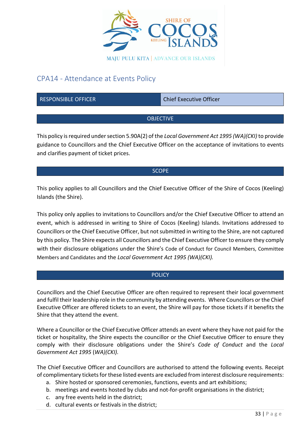

# <span id="page-33-0"></span>CPA14 - Attendance at Events Policy

RESPONSIBLE OFFICER CHIEF CHIEF Chief Executive Officer

# **OBJECTIVE**

This policy is required under section 5.90A(2) of the *Local Government Act 1995 (WA)(CKI)* to provide guidance to Councillors and the Chief Executive Officer on the acceptance of invitations to events and clarifies payment of ticket prices.

### **SCOPE**

This policy applies to all Councillors and the Chief Executive Officer of the Shire of Cocos (Keeling) Islands (the Shire).

This policy only applies to invitations to Councillors and/or the Chief Executive Officer to attend an event, which is addressed in writing to Shire of Cocos (Keeling) Islands. Invitations addressed to Councillors or the Chief Executive Officer, but not submitted in writing to the Shire, are not captured by this policy. The Shire expects all Councillors and the Chief Executive Officer to ensure they comply with their disclosure obligations under the Shire's Code of Conduct for Council Members, Committee Members and Candidates and the *Local Government Act 1995 (WA)(CKI).*

# **POLICY**

Councillors and the Chief Executive Officer are often required to represent their local government and fulfil their leadership role in the community by attending events. Where Councillors or the Chief Executive Officer are offered tickets to an event, the Shire will pay for those tickets if it benefits the Shire that they attend the event.

Where a Councillor or the Chief Executive Officer attends an event where they have not paid for the ticket or hospitality, the Shire expects the councillor or the Chief Executive Officer to ensure they comply with their disclosure obligations under the Shire's *Code of Conduct* and the *Local Government Act 1995* (*WA)(CKI).*

The Chief Executive Officer and Councillors are authorised to attend the following events. Receipt of complimentary tickets for these listed events are excluded from interest disclosure requirements:

- a. Shire hosted or sponsored ceremonies, functions, events and art exhibitions;
- b. meetings and events hosted by clubs and not-for-profit organisations in the district;
- c. any free events held in the district;
- d. cultural events or festivals in the district;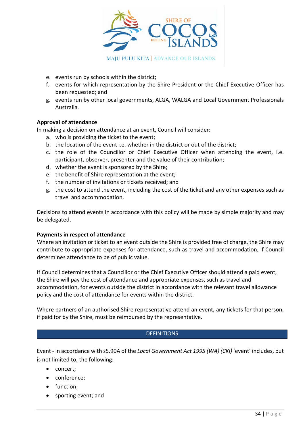

- e. events run by schools within the district;
- f. events for which representation by the Shire President or the Chief Executive Officer has been requested; and
- g. events run by other local governments, ALGA, WALGA and Local Government Professionals Australia.

### **Approval of attendance**

In making a decision on attendance at an event, Council will consider:

- a. who is providing the ticket to the event;
- b. the location of the event i.e. whether in the district or out of the district;
- c. the role of the Councillor or Chief Executive Officer when attending the event, i.e. participant, observer, presenter and the value of their contribution;
- d. whether the event is sponsored by the Shire;
- e. the benefit of Shire representation at the event;
- f. the number of invitations or tickets received; and
- g. the cost to attend the event, including the cost of the ticket and any other expenses such as travel and accommodation.

Decisions to attend events in accordance with this policy will be made by simple majority and may be delegated.

#### **Payments in respect of attendance**

Where an invitation or ticket to an event outside the Shire is provided free of charge, the Shire may contribute to appropriate expenses for attendance, such as travel and accommodation, if Council determines attendance to be of public value.

If Council determines that a Councillor or the Chief Executive Officer should attend a paid event, the Shire will pay the cost of attendance and appropriate expenses, such as travel and accommodation, for events outside the district in accordance with the relevant travel allowance policy and the cost of attendance for events within the district.

Where partners of an authorised Shire representative attend an event, any tickets for that person, if paid for by the Shire, must be reimbursed by the representative.

#### **DEFINITIONS**

Event - in accordance with s5.90A of the *Local Government Act 1995 (WA) (CKI)* 'event' includes, but is not limited to, the following:

- concert;
- conference;
- function;
- sporting event; and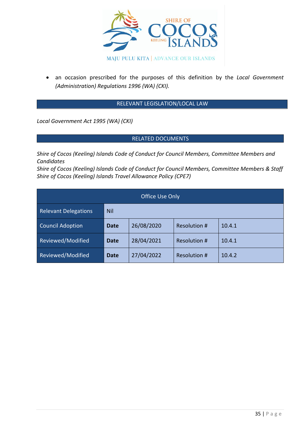

• an occasion prescribed for the purposes of this definition by the *Local Government (Administration) Regulations 1996 (WA) (CKI).*

### RELEVANT LEGISLATION/LOCAL LAW

*Local Government Act 1995 (WA) (CKI)* 

### RELATED DOCUMENTS

*Shire of Cocos (Keeling) Islands Code of Conduct for Council Members, Committee Members and Candidates*

*Shire of Cocos (Keeling) Islands Code of Conduct for Council Members, Committee Members & Staff Shire of Cocos (Keeling) Islands Travel Allowance Policy (CPE7)*

| Office Use Only             |             |            |                     |        |  |  |  |
|-----------------------------|-------------|------------|---------------------|--------|--|--|--|
| <b>Relevant Delegations</b> | <b>Nil</b>  |            |                     |        |  |  |  |
| <b>Council Adoption</b>     | <b>Date</b> | 26/08/2020 | Resolution #        | 10.4.1 |  |  |  |
| Reviewed/Modified           | <b>Date</b> | 28/04/2021 | Resolution #        | 10.4.1 |  |  |  |
| Reviewed/Modified           | <b>Date</b> | 27/04/2022 | <b>Resolution #</b> | 10.4.2 |  |  |  |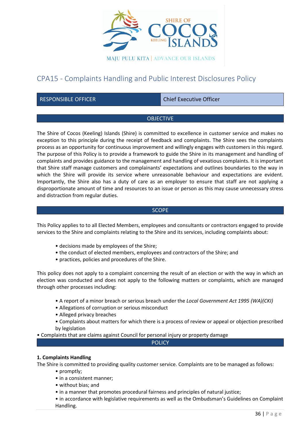

## CPA15 - Complaints Handling and Public Interest Disclosures Policy

RESPONSIBLE OFFICER CHIEF CHIEF Chief Executive Officer

## OBJECTIVE

The Shire of Cocos (Keeling) Islands (Shire) is committed to excellence in customer service and makes no exception to this principle during the receipt of feedback and complaints. The Shire sees the complaints process as an opportunity for continuous improvement and willingly engages with customers in this regard. The purpose of this Policy is to provide a framework to guide the Shire in its management and handling of complaints and provides guidance to the management and handling of vexatious complaints. It is important that Shire staff manage customers and complainants' expectations and outlines boundaries to the way in which the Shire will provide its service where unreasonable behaviour and expectations are evident. Importantly, the Shire also has a duty of care as an employer to ensure that staff are not applying a disproportionate amount of time and resources to an issue or person as this may cause unnecessary stress and distraction from regular duties.

#### **SCOPE**

This Policy applies to to all Elected Members, employees and consultants or contractors engaged to provide services to the Shire and complaints relating to the Shire and its services, including complaints about:

- decisions made by employees of the Shire;
- the conduct of elected members, employees and contractors of the Shire; and
- practices, policies and procedures of the Shire.

This policy does not apply to a complaint concerning the result of an election or with the way in which an election was conducted and does not apply to the following matters or complaints, which are managed through other processes including:

- A report of a minor breach or serious breach under the *Local Government Act 1995 (WA)(CKI)*
- Allegations of corruption or serious misconduct
- Alleged privacy breaches
- Complaints about matters for which there is a process of review or appeal or objection prescribed by legislation

• Complaints that are claims against Council for personal injury or property damage

**POLICY** 

## **1. Complaints Handling**

The Shire is committed to providing quality customer service. Complaints are to be managed as follows:

- promptly;
- in a consistent manner;
- without bias; and
- in a manner that promotes procedural fairness and principles of natural justice;

• in accordance with legislative requirements as well as the Ombudsman's Guidelines on Complaint Handling.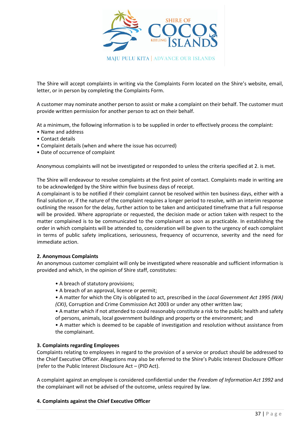

The Shire will accept complaints in writing via the Complaints Form located on the Shire's website, email, letter, or in person by completing the Complaints Form.

A customer may nominate another person to assist or make a complaint on their behalf. The customer must provide written permission for another person to act on their behalf.

At a minimum, the following information is to be supplied in order to effectively process the complaint:

- Name and address
- Contact details
- Complaint details (when and where the issue has occurred)
- Date of occurrence of complaint

Anonymous complaints will not be investigated or responded to unless the criteria specified at 2. is met.

The Shire will endeavour to resolve complaints at the first point of contact. Complaints made in writing are to be acknowledged by the Shire within five business days of receipt.

A complainant is to be notified if their complaint cannot be resolved within ten business days, either with a final solution or, if the nature of the complaint requires a longer period to resolve, with an interim response outlining the reason for the delay, further action to be taken and anticipated timeframe that a full response will be provided. Where appropriate or requested, the decision made or action taken with respect to the matter complained is to be communicated to the complainant as soon as practicable. In establishing the order in which complaints will be attended to, consideration will be given to the urgency of each complaint in terms of public safety implications, seriousness, frequency of occurrence, severity and the need for immediate action.

#### **2. Anonymous Complaints**

An anonymous customer complaint will only be investigated where reasonable and sufficient information is provided and which, in the opinion of Shire staff, constitutes:

- A breach of statutory provisions;
- A breach of an approval, licence or permit;

• A matter for which the City is obligated to act, prescribed in the *Local Government Act 1995 (WA) (CKI)*, Corruption and Crime Commission Act 2003 or under any other written law;

• A matter which if not attended to could reasonably constitute a risk to the public health and safety of persons, animals, local government buildings and property or the environment; and

• A matter which is deemed to be capable of investigation and resolution without assistance from the complainant.

#### **3. Complaints regarding Employees**

Complaints relating to employees in regard to the provision of a service or product should be addressed to the Chief Executive Officer. Allegations may also be referred to the Shire's Public Interest Disclosure Officer (refer to the Public Interest Disclosure Act – (PID Act).

A complaint against an employee is considered confidential under the *Freedom of Information Act 1992* and the complainant will not be advised of the outcome, unless required by law.

#### **4. Complaints against the Chief Executive Officer**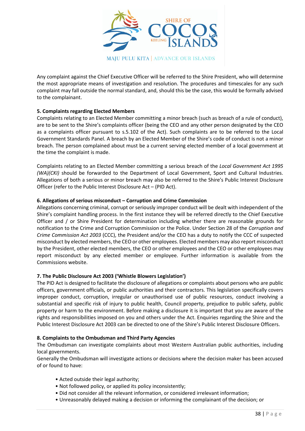

Any complaint against the Chief Executive Officer will be referred to the Shire President, who will determine the most appropriate means of investigation and resolution. The procedures and timescales for any such complaint may fall outside the normal standard, and, should this be the case, this would be formally advised to the complainant.

## **5. Complaints regarding Elected Members**

Complaints relating to an Elected Member committing a minor breach (such as breach of a rule of conduct), are to be sent to the Shire's complaints officer (being the CEO and any other person designated by the CEO as a complaints officer pursuant to s.5.102 of the Act). Such complaints are to be referred to the Local Government Standards Panel. A breach by an Elected Member of the Shire's code of conduct is not a minor breach. The person complained about must be a current serving elected member of a local government at the time the complaint is made.

Complaints relating to an Elected Member committing a serious breach of the *Local Government Act 1995 (WA)(CKI)* should be forwarded to the Department of Local Government, Sport and Cultural Industries. Allegations of both a serious or minor breach may also be referred to the Shire's Public Interest Disclosure Officer (refer to the Public Interest Disclosure Act – (PID Act).

#### **6. Allegations of serious misconduct – Corruption and Crime Commission**

Allegations concerning criminal, corrupt or seriously improper conduct will be dealt with independent of the Shire's complaint handling process. In the first instance they will be referred directly to the Chief Executive Officer and / or Shire President for determination including whether there are reasonable grounds for notification to the Crime and Corruption Commission or the Police. Under Section 28 of the *Corruption and Crime Commission Act 2003* (CCC), the President and/or the CEO has a duty to notify the CCC of suspected misconduct by elected members, the CEO or other employees. Elected members may also report misconduct by the President, other elected members, the CEO or other employees and the CEO or other employees may report misconduct by any elected member or employee. Further information is available from the Commissions website.

## **7. The Public Disclosure Act 2003 ('Whistle Blowers Legislation')**

The PID Act is designed to facilitate the disclosure of allegations or complaints about persons who are public officers, government officials, or public authorities and their contractors. This legislation specifically covers improper conduct, corruption, irregular or unauthorised use of public resources, conduct involving a substantial and specific risk of injury to public health, Council property, prejudice to public safety, public property or harm to the environment. Before making a disclosure it is important that you are aware of the rights and responsibilities imposed on you and others under the Act. Enquiries regarding the Shire and the Public Interest Disclosure Act 2003 can be directed to one of the Shire's Public Interest Disclosure Officers.

#### **8. Complaints to the Ombudsman and Third Party Agencies**

The Ombudsman can investigate complaints about most Western Australian public authorities, including local governments.

Generally the Ombudsman will investigate actions or decisions where the decision maker has been accused of or found to have:

- Acted outside their legal authority;
- Not followed policy, or applied its policy inconsistently;
- Did not consider all the relevant information, or considered irrelevant information;
- Unreasonably delayed making a decision or informing the complainant of the decision; or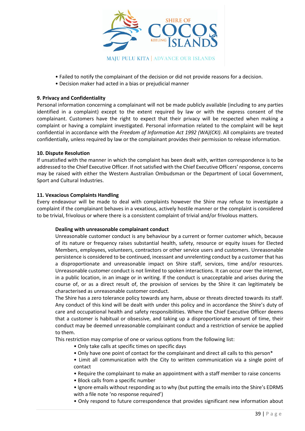

- Failed to notify the complainant of the decision or did not provide reasons for a decision.
- Decision maker had acted in a bias or prejudicial manner

#### **9. Privacy and Confidentiality**

Personal information concerning a complainant will not be made publicly available (including to any parties identified in a complaint) except to the extent required by law or with the express consent of the complainant. Customers have the right to expect that their privacy will be respected when making a complaint or having a complaint investigated. Personal information related to the complaint will be kept confidential in accordance with the *Freedom of Information Act 1992 (WA)(CKI)*. All complaints are treated confidentially, unless required by law or the complainant provides their permission to release information.

#### **10. Dispute Resolution**

If unsatisfied with the manner in which the complaint has been dealt with, written correspondence is to be addressed to the Chief Executive Officer. If not satisfied with the Chief Executive Officers' response, concerns may be raised with either the Western Australian Ombudsman or the Department of Local Government, Sport and Cultural Industries.

#### **11. Vexacious Complaints Handling**

Every endeavour will be made to deal with complaints however the Shire may refuse to investigate a complaint if the complainant behaves in a vexatious, actively hostile manner or the complaint is considered to be trivial, frivolous or where there is a consistent complaint of trivial and/or frivolous matters.

#### **Dealing with unreasonable complainant conduct**

Unreasonable customer conduct is any behaviour by a current or former customer which, because of its nature or frequency raises substantial health, safety, resource or equity issues for Elected Members, employees, volunteers, contractors or other service users and customers. Unreasonable persistence is considered to be continued, incessant and unrelenting conduct by a customer that has a disproportionate and unreasonable impact on Shire staff, services, time and/or resources. Unreasonable customer conduct is not limited to spoken interactions. It can occur over the internet, in a public location, in an image or in writing. If the conduct is unacceptable and arises during the course of, or as a direct result of, the provision of services by the Shire it can legitimately be characterised as unreasonable customer conduct.

The Shire has a zero tolerance policy towards any harm, abuse or threats directed towards its staff. Any conduct of this kind will be dealt with under this policy and in accordance the Shire's duty of care and occupational health and safety responsibilities. Where the Chief Executive Officer deems that a customer is habitual or obsessive, and taking up a disproportionate amount of time, their conduct may be deemed unreasonable complainant conduct and a restriction of service be applied to them.

This restriction may comprise of one or various options from the following list:

- Only take calls at specific times on specific days
- Only have one point of contact for the complainant and direct all calls to this person\*
- Limit all communication with the City to written communication via a single point of contact
- Require the complainant to make an appointment with a staff member to raise concerns
- Block calls from a specific number
- Ignore emails without responding as to why (but putting the emails into the Shire's EDRMS with a file note 'no response required')
- Only respond to future correspondence that provides significant new information about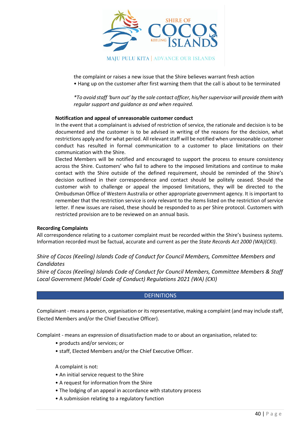

the complaint or raises a new issue that the Shire believes warrant fresh action • Hang up on the customer after first warning them that the call is about to be terminated

*\*To avoid staff 'burn out' by the sole contact officer, his/her supervisor will provide them with regular support and guidance as and when required.*

#### **Notification and appeal of unreasonable customer conduct**

In the event that a complainant is advised of restriction of service, the rationale and decision is to be documented and the customer is to be advised in writing of the reasons for the decision, what restrictions apply and for what period. All relevant staff will be notified when unreasonable customer conduct has resulted in formal communication to a customer to place limitations on their communication with the Shire.

Elected Members will be notified and encouraged to support the process to ensure consistency across the Shire. Customers' who fail to adhere to the imposed limitations and continue to make contact with the Shire outside of the defined requirement, should be reminded of the Shire's decision outlined in their correspondence and contact should be politely ceased. Should the customer wish to challenge or appeal the imposed limitations, they will be directed to the Ombudsman Office of Western Australia or other appropriate government agency. It is important to remember that the restriction service is only relevant to the items listed on the restriction of service letter. If new issues are raised, these should be responded to as per Shire protocol. Customers with restricted provision are to be reviewed on an annual basis.

#### **Recording Complaints**

All correspondence relating to a customer complaint must be recorded within the Shire's business systems. Information recorded must be factual, accurate and current as per the *State Records Act 2000 (WA)(CKI)*.

## *Shire of Cocos (Keeling) Islands Code of Conduct for Council Members, Committee Members and Candidates*

*Shire of Cocos (Keeling) Islands Code of Conduct for Council Members, Committee Members & Staff Local Government (Model Code of Conduct) Regulations 2021 (WA) (CKI)*

#### **DEFINITIONS**

Complainant - means a person, organisation or its representative, making a complaint (and may include staff, Elected Members and/or the Chief Executive Officer).

Complaint - means an expression of dissatisfaction made to or about an organisation, related to:

- products and/or services; or
- staff, Elected Members and/or the Chief Executive Officer.

A complaint is not:

- An initial service request to the Shire
- A request for information from the Shire
- The lodging of an appeal in accordance with statutory process
- A submission relating to a regulatory function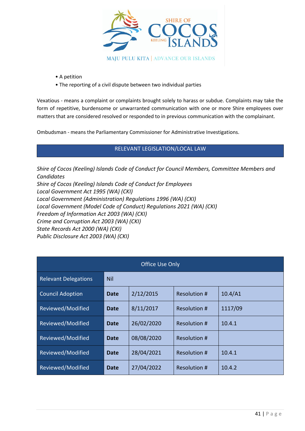

- A petition
- The reporting of a civil dispute between two individual parties

Vexatious - means a complaint or complaints brought solely to harass or subdue. Complaints may take the form of repetitive, burdensome or unwarranted communication with one or more Shire employees over matters that are considered resolved or responded to in previous communication with the complainant.

Ombudsman - means the Parliamentary Commissioner for Administrative Investigations.

## RELEVANT LEGISLATION/LOCAL LAW

*Shire of Cocos (Keeling) Islands Code of Conduct for Council Members, Committee Members and Candidates Shire of Cocos (Keeling) Islands Code of Conduct for Employees Local Government Act 1995 (WA) (CKI) Local Government (Administration) Regulations 1996 (WA) (CKI) Local Government (Model Code of Conduct) Regulations 2021 (WA) (CKI) Freedom of Information Act 2003 (WA) (CKI) Crime and Corruption Act 2003 (WA) (CKI) State Records Act 2000 (WA) (CKI) Public Disclosure Act 2003 (WA) (CKI)*

| <b>Office Use Only</b>      |             |            |              |         |  |
|-----------------------------|-------------|------------|--------------|---------|--|
| <b>Relevant Delegations</b> | <b>Nil</b>  |            |              |         |  |
| <b>Council Adoption</b>     | Date        | 2/12/2015  | Resolution # | 10.4/A1 |  |
| Reviewed/Modified           | Date        | 8/11/2017  | Resolution # | 1117/09 |  |
| Reviewed/Modified           | Date        | 26/02/2020 | Resolution # | 10.4.1  |  |
| Reviewed/Modified           | <b>Date</b> | 08/08/2020 | Resolution # |         |  |
| Reviewed/Modified           | Date        | 28/04/2021 | Resolution # | 10.4.1  |  |
| Reviewed/Modified           | Date        | 27/04/2022 | Resolution # | 10.4.2  |  |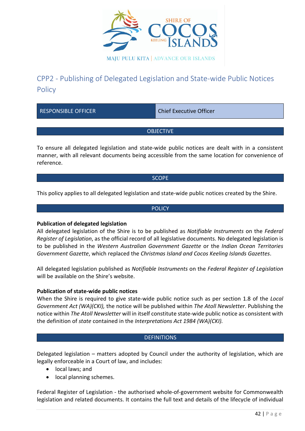

# CPP2 - Publishing of Delegated Legislation and State-wide Public Notices **Policy**

RESPONSIBLE OFFICER CHIEF CHIEF Chief Executive Officer

**OBJECTIVE** 

To ensure all delegated legislation and state-wide public notices are dealt with in a consistent manner, with all relevant documents being accessible from the same location for convenience of reference.

**SCOPE** 

This policy applies to all delegated legislation and state-wide public notices created by the Shire.

**POLICY** 

## **Publication of delegated legislation**

All delegated legislation of the Shire is to be published as *Notifiable Instruments* on the *Federal Register of Legislation*, as the official record of all legislative documents. No delegated legislation is to be published in the *Western Australian Government Gazette* or the *Indian Ocean Territories Government Gazette*, which replaced the *Christmas Island and Cocos Keeling Islands Gazettes*.

All delegated legislation published as *Notifiable Instruments* on the *Federal Register of Legislation* will be available on the Shire's website.

## **Publication of state-wide public notices**

When the Shire is required to give state-wide public notice such as per section 1.8 of the *Local Government Act (WA)(CKI),* the notice will be published within *The Atoll Newsletter*. Publishing the notice within *The Atoll Newsletter* will in itself constitute state-wide public notice as consistent with the definition of *state* contained in the *Interpretations Act 1984 (WA)(CKI).*

## **DEFINITIONS**

Delegated legislation – matters adopted by Council under the authority of legislation, which are legally enforceable in a Court of law, and includes:

- local laws; and
- local planning schemes.

Federal Register of Legislation - the authorised whole-of-government website for Commonwealth legislation and related documents. It contains the full text and details of the lifecycle of individual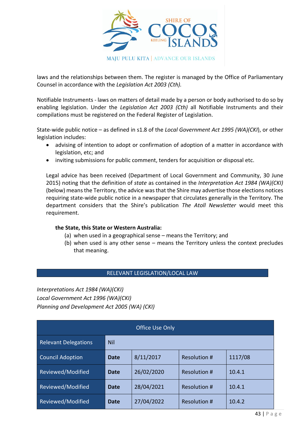

laws and the relationships between them. The register is managed by the Office of Parliamentary Counsel in accordance with the *Legislation Act 2003 (Cth).*

Notifiable Instruments - laws on matters of detail made by a person or body authorised to do so by enabling legislation. Under the *Legislation Act 2003 (Cth)* all Notifiable Instruments and their compilations must be registered on the Federal Register of Legislation.

State-wide public notice – as defined in s1.8 of the *Local Government Act 1995 (WA)(CKI*), or other legislation includes:

- advising of intention to adopt or confirmation of adoption of a matter in accordance with legislation, etc; and
- inviting submissions for public comment, tenders for acquisition or disposal etc.

Legal advice has been received (Department of Local Government and Community, 30 June 2015) noting that the definition of *state* as contained in the *Interpretation Act 1984 (WA)(CKI)* (below) means the Territory, the advice was that the Shire may advertise those elections notices requiring state-wide public notice in a newspaper that circulates generally in the Territory. The department considers that the Shire's publication *The Atoll Newsletter* would meet this requirement.

## **the State, this State or Western Australia:**

- (a) when used in a geographical sense means the Territory; and
- (b) when used is any other sense means the Territory unless the context precludes that meaning.

## RELEVANT LEGISLATION/LOCAL LAW

*Interpretations Act 1984 (WA)(CKI) Local Government Act 1996 (WA)(CKI) Planning and Development Act 2005 (WA) (CKI)*

| Office Use Only             |             |            |                     |         |
|-----------------------------|-------------|------------|---------------------|---------|
| <b>Relevant Delegations</b> | Nil         |            |                     |         |
| <b>Council Adoption</b>     | <b>Date</b> | 8/11/2017  | <b>Resolution #</b> | 1117/08 |
| Reviewed/Modified           | Date        | 26/02/2020 | Resolution #        | 10.4.1  |
| Reviewed/Modified           | <b>Date</b> | 28/04/2021 | Resolution #        | 10.4.1  |
| Reviewed/Modified           | <b>Date</b> | 27/04/2022 | Resolution #        | 10.4.2  |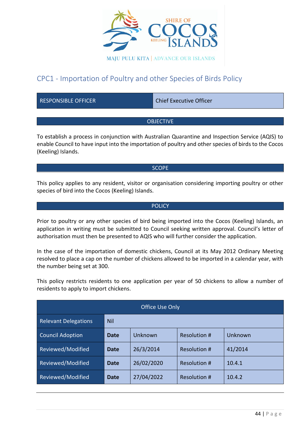

## CPC1 - Importation of Poultry and other Species of Birds Policy

| <b>RESPONSIBLE OFFICER</b> | <b>Chief Executive Officer</b> |
|----------------------------|--------------------------------|
|                            |                                |

## **OBJECTIVE**

To establish a process in conjunction with Australian Quarantine and Inspection Service (AQIS) to enable Council to have input into the importation of poultry and other species of birds to the Cocos (Keeling) Islands.

## **SCOPE**

This policy applies to any resident, visitor or organisation considering importing poultry or other species of bird into the Cocos (Keeling) Islands.

#### **POLICY**

Prior to poultry or any other species of bird being imported into the Cocos (Keeling) Islands, an application in writing must be submitted to Council seeking written approval. Council's letter of authorisation must then be presented to AQIS who will further consider the application.

In the case of the importation of domestic chickens, Council at its May 2012 Ordinary Meeting resolved to place a cap on the number of chickens allowed to be imported in a calendar year, with the number being set at 300.

This policy restricts residents to one application per year of 50 chickens to allow a number of residents to apply to import chickens.

| Office Use Only             |             |            |                     |         |  |
|-----------------------------|-------------|------------|---------------------|---------|--|
| <b>Relevant Delegations</b> | <b>Nil</b>  |            |                     |         |  |
| <b>Council Adoption</b>     | <b>Date</b> | Unknown    | <b>Resolution #</b> | Unknown |  |
| Reviewed/Modified           | <b>Date</b> | 26/3/2014  | Resolution #        | 41/2014 |  |
| Reviewed/Modified           | Date        | 26/02/2020 | Resolution #        | 10.4.1  |  |
| Reviewed/Modified           | <b>Date</b> | 27/04/2022 | Resolution #        | 10.4.2  |  |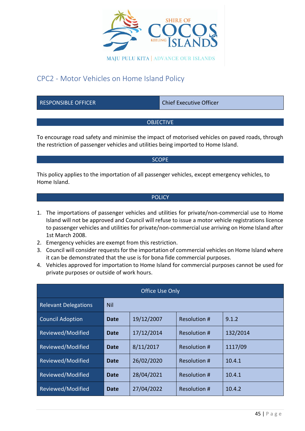

## CPC2 - Motor Vehicles on Home Island Policy

RESPONSIBLE OFFICER CHIEF CHIEF Chief Executive Officer

## **OBJECTIVE**

To encourage road safety and minimise the impact of motorised vehicles on paved roads, through the restriction of passenger vehicles and utilities being imported to Home Island.

#### **SCOPE**

This policy applies to the importation of all passenger vehicles, except emergency vehicles, to Home Island.

## **POLICY**

- 1. The importations of passenger vehicles and utilities for private/non-commercial use to Home Island will not be approved and Council will refuse to issue a motor vehicle registrations licence to passenger vehicles and utilities for private/non-commercial use arriving on Home Island after 1st March 2008.
- 2. Emergency vehicles are exempt from this restriction.
- 3. Council will consider requests for the importation of commercial vehicles on Home Island where it can be demonstrated that the use is for bona fide commercial purposes.
- 4. Vehicles approved for importation to Home Island for commercial purposes cannot be used for private purposes or outside of work hours.

| <b>Office Use Only</b>      |            |            |                     |          |  |
|-----------------------------|------------|------------|---------------------|----------|--|
| <b>Relevant Delegations</b> | <b>Nil</b> |            |                     |          |  |
| <b>Council Adoption</b>     | Date       | 19/12/2007 | Resolution #        | 9.1.2    |  |
| Reviewed/Modified           | Date       | 17/12/2014 | <b>Resolution #</b> | 132/2014 |  |
| Reviewed/Modified           | Date       | 8/11/2017  | <b>Resolution #</b> | 1117/09  |  |
| Reviewed/Modified           | Date       | 26/02/2020 | Resolution #        | 10.4.1   |  |
| Reviewed/Modified           | Date       | 28/04/2021 | <b>Resolution #</b> | 10.4.1   |  |
| Reviewed/Modified           | Date       | 27/04/2022 | <b>Resolution #</b> | 10.4.2   |  |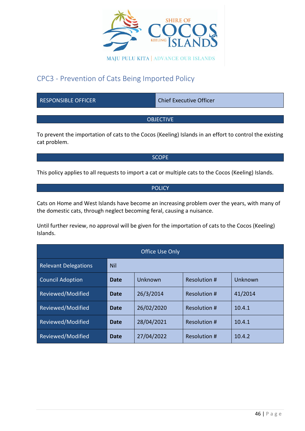

## CPC3 - Prevention of Cats Being Imported Policy

RESPONSIBLE OFFICER CHIEF Chief Executive Officer

## **OBJECTIVE**

To prevent the importation of cats to the Cocos (Keeling) Islands in an effort to control the existing cat problem.

**SCOPE** 

This policy applies to all requests to import a cat or multiple cats to the Cocos (Keeling) Islands.

## **POLICY**

Cats on Home and West Islands have become an increasing problem over the years, with many of the domestic cats, through neglect becoming feral, causing a nuisance.

Until further review, no approval will be given for the importation of cats to the Cocos (Keeling) Islands.

| <b>Office Use Only</b>      |             |            |              |         |
|-----------------------------|-------------|------------|--------------|---------|
| <b>Relevant Delegations</b> | <b>Nil</b>  |            |              |         |
| <b>Council Adoption</b>     | Date        | Unknown    | Resolution # | Unknown |
| Reviewed/Modified           | Date        | 26/3/2014  | Resolution # | 41/2014 |
| Reviewed/Modified           | Date        | 26/02/2020 | Resolution # | 10.4.1  |
| Reviewed/Modified           | <b>Date</b> | 28/04/2021 | Resolution # | 10.4.1  |
| Reviewed/Modified           | Date        | 27/04/2022 | Resolution # | 10.4.2  |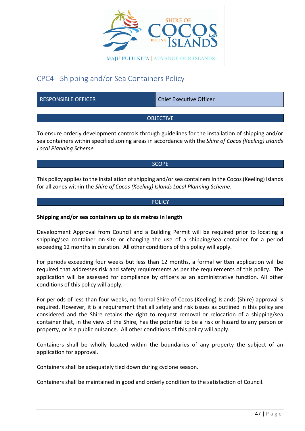

## CPC4 - Shipping and/or Sea Containers Policy

| <b>RESPONSIBLE OFFICER</b> | <b>Chief Executive Officer</b> |
|----------------------------|--------------------------------|
|                            |                                |

## **OBJECTIVE**

To ensure orderly development controls through guidelines for the installation of shipping and/or sea containers within specified zoning areas in accordance with the *Shire of Cocos (Keeling) Islands Local Planning Scheme.*

## SCOPE

This policy applies to the installation of shipping and/or sea containers in the Cocos (Keeling) Islands for all zones within the *Shire of Cocos (Keeling) Islands Local Planning Scheme*.

## **POLICY**

## **Shipping and/or sea containers up to six metres in length**

Development Approval from Council and a Building Permit will be required prior to locating a shipping/sea container on-site or changing the use of a shipping/sea container for a period exceeding 12 months in duration. All other conditions of this policy will apply.

For periods exceeding four weeks but less than 12 months, a formal written application will be required that addresses risk and safety requirements as per the requirements of this policy. The application will be assessed for compliance by officers as an administrative function. All other conditions of this policy will apply.

For periods of less than four weeks, no formal Shire of Cocos (Keeling) Islands (Shire) approval is required. However, it is a requirement that all safety and risk issues as outlined in this policy are considered and the Shire retains the right to request removal or relocation of a shipping/sea container that, in the view of the Shire, has the potential to be a risk or hazard to any person or property, or is a public nuisance. All other conditions of this policy will apply.

Containers shall be wholly located within the boundaries of any property the subject of an application for approval.

Containers shall be adequately tied down during cyclone season.

Containers shall be maintained in good and orderly condition to the satisfaction of Council.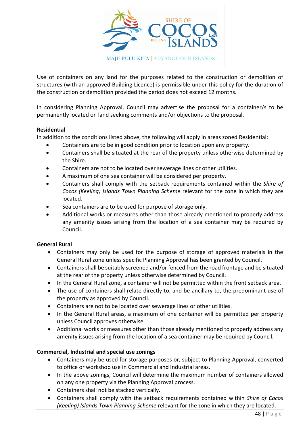

Use of containers on any land for the purposes related to the construction or demolition of structures (with an approved Building Licence) is permissible under this policy for the duration of the construction or demolition provided the period does not exceed 12 months.

In considering Planning Approval, Council may advertise the proposal for a container/s to be permanently located on land seeking comments and/or objections to the proposal.

## **Residential**

In addition to the conditions listed above, the following will apply in areas zoned Residential:

- Containers are to be in good condition prior to location upon any property.
- Containers shall be situated at the rear of the property unless otherwise determined by the Shire.
- Containers are not to be located over sewerage lines or other utilities.
- A maximum of one sea container will be considered per property.
- Containers shall comply with the setback requirements contained within the *Shire of Cocos (Keeling) Islands Town Planning Scheme* relevant for the zone in which they are located.
- Sea containers are to be used for purpose of storage only.
- Additional works or measures other than those already mentioned to properly address any amenity issues arising from the location of a sea container may be required by Council.

## **General Rural**

- Containers may only be used for the purpose of storage of approved materials in the General Rural zone unless specific Planning Approval has been granted by Council.
- Containers shall be suitably screened and/or fenced from the road frontage and be situated at the rear of the property unless otherwise determined by Council.
- In the General Rural zone, a container will not be permitted within the front setback area.
- The use of containers shall relate directly to, and be ancillary to, the predominant use of the property as approved by Council.
- Containers are not to be located over sewerage lines or other utilities.
- In the General Rural areas, a maximum of one container will be permitted per property unless Council approves otherwise.
- Additional works or measures other than those already mentioned to properly address any amenity issues arising from the location of a sea container may be required by Council.

## **Commercial, Industrial and special use zonings**

- Containers may be used for storage purposes or, subject to Planning Approval, converted to office or workshop use in Commercial and Industrial areas.
- In the above zonings, Council will determine the maximum number of containers allowed on any one property via the Planning Approval process.
- Containers shall not be stacked vertically.
- Containers shall comply with the setback requirements contained within *Shire of Cocos (Keeling) Islands Town Planning Scheme* relevant for the zone in which they are located.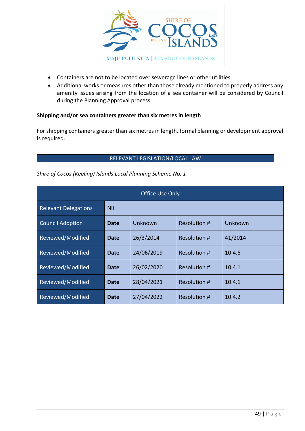

- Containers are not to be located over sewerage lines or other utilities.
- Additional works or measures other than those already mentioned to properly address any amenity issues arising from the location of a sea container will be considered by Council during the Planning Approval process.

## **Shipping and/or sea containers greater than six metres in length**

For shipping containers greater than six metres in length, formal planning or development approval is required.

## RELEVANT LEGISLATION/LOCAL LAW

| Office Use Only             |             |            |              |         |  |
|-----------------------------|-------------|------------|--------------|---------|--|
| <b>Relevant Delegations</b> | <b>Nil</b>  |            |              |         |  |
| <b>Council Adoption</b>     | <b>Date</b> | Unknown    | Resolution # | Unknown |  |
| Reviewed/Modified           | <b>Date</b> | 26/3/2014  | Resolution # | 41/2014 |  |
| Reviewed/Modified           | Date        | 24/06/2019 | Resolution # | 10.4.6  |  |
| Reviewed/Modified           | <b>Date</b> | 26/02/2020 | Resolution # | 10.4.1  |  |
| Reviewed/Modified           | Date        | 28/04/2021 | Resolution # | 10.4.1  |  |
| Reviewed/Modified           | <b>Date</b> | 27/04/2022 | Resolution # | 10.4.2  |  |

*Shire of Cocos (Keeling) Islands Local Planning Scheme No. 1*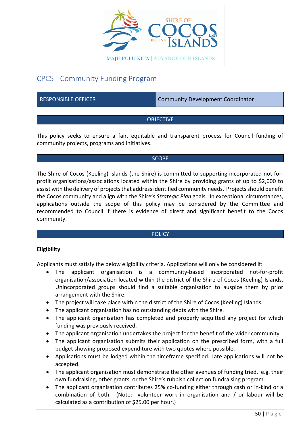

## CPC5 - Community Funding Program

RESPONSIBLE OFFICER COMMUNITY Development Coordinator

## **OBJECTIVE**

This policy seeks to ensure a fair, equitable and transparent process for Council funding of community projects, programs and initiatives.

## **SCOPE**

The Shire of Cocos (Keeling) Islands (the Shire) is committed to supporting incorporated not-forprofit organisations/associations located within the Shire by providing grants of up to \$2,000 to assist with the delivery of projects that address identified community needs. Projects should benefit the Cocos community and align with the Shire's *Strategic Plan* goals. In exceptional circumstances, applications outside the scope of this policy may be considered by the Committee and recommended to Council if there is evidence of direct and significant benefit to the Cocos community.

## **POLICY**

## **Eligibility**

Applicants must satisfy the below eligibility criteria. Applications will only be considered if:

- The applicant organisation is a community-based incorporated not-for-profit organisation/association located within the district of the Shire of Cocos (Keeling) Islands. Unincorporated groups should find a suitable organisation to auspice them by prior arrangement with the Shire.
- The project will take place within the district of the Shire of Cocos (Keeling) Islands.
- The applicant organisation has no outstanding debts with the Shire.
- The applicant organisation has completed and properly acquitted any project for which funding was previously received.
- The applicant organisation undertakes the project for the benefit of the wider community.
- The applicant organisation submits their application on the prescribed form, with a full budget showing proposed expenditure with two quotes where possible.
- Applications must be lodged within the timeframe specified. Late applications will not be accepted.
- The applicant organisation must demonstrate the other avenues of funding tried, e.g. their own fundraising, other grants, or the Shire's rubbish collection fundraising program.
- The applicant organisation contributes 25% co-funding either through cash or in-kind or a combination of both. (Note: volunteer work in organisation and / or labour will be calculated as a contribution of \$25.00 per hour.)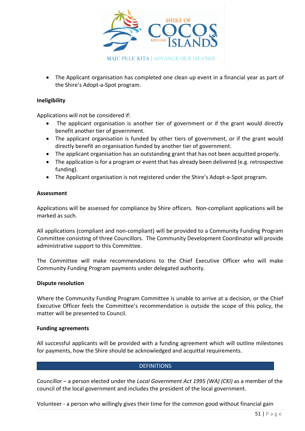

• The Applicant organisation has completed one clean up event in a financial year as part of the Shire's Adopt-a-Spot program.

## **Ineligibility**

Applications will not be considered if:

- The applicant organisation is another tier of government or if the grant would directly benefit another tier of government.
- The applicant organisation is funded by other tiers of government, or if the grant would directly benefit an organisation funded by another tier of government.
- The applicant organisation has an outstanding grant that has not been acquitted properly.
- The application is for a program or event that has already been delivered (e.g. retrospective funding).
- The Applicant organisation is not registered under the Shire's Adopt-a-Spot program.

## **Assessment**

Applications will be assessed for compliance by Shire officers. Non-compliant applications will be marked as such.

All applications (compliant and non-compliant) will be provided to a Community Funding Program Committee consisting of three Councillors. The Community Development Coordinator will provide administrative support to this Committee.

The Committee will make recommendations to the Chief Executive Officer who will make Community Funding Program payments under delegated authority.

## **Dispute resolution**

Where the Community Funding Program Committee is unable to arrive at a decision, or the Chief Executive Officer feels the Committee's recommendation is outside the scope of this policy, the matter will be presented to Council.

## **Funding agreements**

All successful applicants will be provided with a funding agreement which will outline milestones for payments, how the Shire should be acknowledged and acquittal requirements.

## **DEFINITIONS**

Councillor – a person elected under the *Local Government Act 1995 (WA) (CKI)* as a member of the council of the local government and includes the president of the local government.

Volunteer - a person who willingly gives their time for the common good without financial gain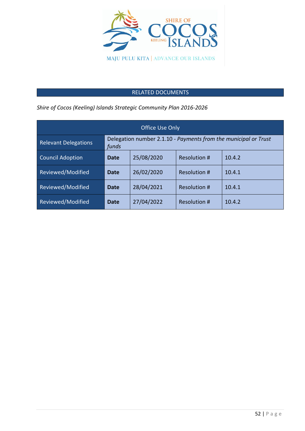

## RELATED DOCUMENTS

*Shire of Cocos (Keeling) Islands Strategic Community Plan 2016-2026*

| <b>Office Use Only</b>      |                                                                          |            |                     |        |  |
|-----------------------------|--------------------------------------------------------------------------|------------|---------------------|--------|--|
| <b>Relevant Delegations</b> | Delegation number 2.1.10 - Payments from the municipal or Trust<br>funds |            |                     |        |  |
| <b>Council Adoption</b>     | Date                                                                     | 25/08/2020 | <b>Resolution #</b> | 10.4.2 |  |
| Reviewed/Modified           | Date                                                                     | 26/02/2020 | Resolution #        | 10.4.1 |  |
| Reviewed/Modified           | <b>Date</b>                                                              | 28/04/2021 | Resolution #        | 10.4.1 |  |
| Reviewed/Modified           | Date                                                                     | 27/04/2022 | Resolution #        | 10.4.2 |  |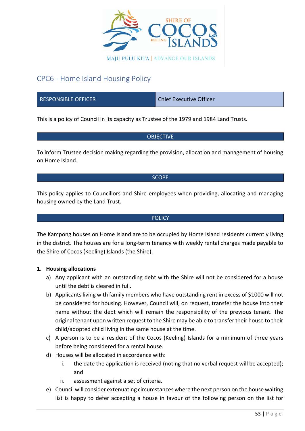

## CPC6 - Home Island Housing Policy

RESPONSIBLE OFFICER CHIEF CHIEF CHIEF CHIEF Executive Officer

This is a policy of Council in its capacity as Trustee of the 1979 and 1984 Land Trusts.

## **OBJECTIVE**

To inform Trustee decision making regarding the provision, allocation and management of housing on Home Island.

#### **SCOPE**

This policy applies to Councillors and Shire employees when providing, allocating and managing housing owned by the Land Trust.

## **POLICY**

The Kampong houses on Home Island are to be occupied by Home Island residents currently living in the district. The houses are for a long-term tenancy with weekly rental charges made payable to the Shire of Cocos (Keeling) Islands (the Shire).

## **1. Housing allocations**

- a) Any applicant with an outstanding debt with the Shire will not be considered for a house until the debt is cleared in full.
- b) Applicants living with family members who have outstanding rent in excess of \$1000 will not be considered for housing. However, Council will, on request, transfer the house into their name without the debt which will remain the responsibility of the previous tenant. The original tenant upon written request to the Shire may be able to transfer their house to their child/adopted child living in the same house at the time.
- c) A person is to be a resident of the Cocos (Keeling) Islands for a minimum of three years before being considered for a rental house.
- d) Houses will be allocated in accordance with:
	- i. the date the application is received (noting that no verbal request will be accepted); and
	- ii. assessment against a set of criteria.
- e) Council will consider extenuating circumstances where the next person on the house waiting list is happy to defer accepting a house in favour of the following person on the list for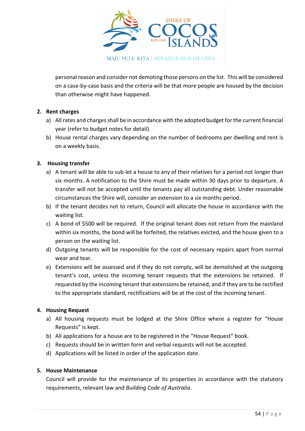

personal reason and consider not demoting those persons on the list. This will be considered on a case-by-case basis and the criteria will be that more people are housed by the decision than otherwise might have happened.

## **2. Rent charges**

- a) All rates and charges shall be in accordance with the adopted budget for the current financial year (refer to budget notes for detail).
- b) House rental charges vary depending on the number of bedrooms per dwelling and rent is on a weekly basis.

## **3. Housing transfer**

- a) A tenant will be able to sub-let a house to any of their relatives for a period not longer than six months. A notification to the Shire must be made within 30 days prior to departure. A transfer will not be accepted until the tenants pay all outstanding debt. Under reasonable circumstances the Shire will, consider an extension to a six months period.
- b) If the tenant decides not to return, Council will allocate the house in accordance with the waiting list.
- c) A bond of \$500 will be required. If the original tenant does not return from the mainland within six months, the bond will be forfeited, the relatives evicted, and the house given to a person on the waiting list.
- d) Outgoing tenants will be responsible for the cost of necessary repairs apart from normal wear and tear.
- e) Extensions will be assessed and if they do not comply, will be demolished at the outgoing tenant's cost, unless the incoming tenant requests that the extensions be retained. If requested by the incoming tenant that extensions be retained, and if they are to be rectified to the appropriate standard, rectifications will be at the cost of the incoming tenant.

## **4. Housing Request**

- a) All housing requests must be lodged at the Shire Office where a register for "House Requests" is kept.
- b) All applications for a house are to be registered in the "House Request" book.
- c) Requests should be in written form and verbal requests will not be accepted.
- d) Applications will be listed in order of the application date.

## **5. House Maintenance**

Council will provide for the maintenance of its properties in accordance with the statutory requirements, relevant law and *Building Code of Australia*.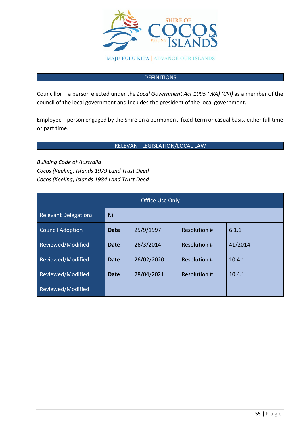

## **DEFINITIONS**

Councillor – a person elected under the *Local Government Act 1995 (WA) (CKI)* as a member of the council of the local government and includes the president of the local government.

Employee – person engaged by the Shire on a permanent, fixed-term or casual basis, either full time or part time.

## RELEVANT LEGISLATION/LOCAL LAW

*Building Code of Australia Cocos (Keeling) Islands 1979 Land Trust Deed Cocos (Keeling) Islands 1984 Land Trust Deed*

| <b>Office Use Only</b>      |            |            |                     |         |
|-----------------------------|------------|------------|---------------------|---------|
| <b>Relevant Delegations</b> | <b>Nil</b> |            |                     |         |
| <b>Council Adoption</b>     | Date       | 25/9/1997  | Resolution #        | 6.1.1   |
| Reviewed/Modified           | Date       | 26/3/2014  | Resolution #        | 41/2014 |
| Reviewed/Modified           | Date       | 26/02/2020 | Resolution #        | 10.4.1  |
| Reviewed/Modified           | Date       | 28/04/2021 | <b>Resolution #</b> | 10.4.1  |
| Reviewed/Modified           |            |            |                     |         |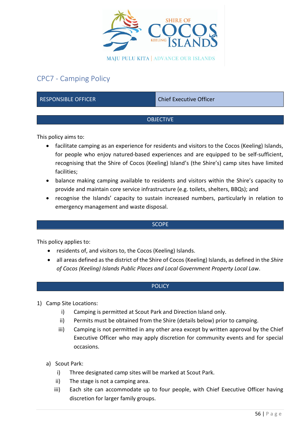

## CPC7 - Camping Policy

RESPONSIBLE OFFICER CHIEF CHIEF Chief Executive Officer

## **OBJECTIVE**

This policy aims to:

- facilitate camping as an experience for residents and visitors to the Cocos (Keeling) Islands, for people who enjoy natured-based experiences and are equipped to be self-sufficient, recognising that the Shire of Cocos (Keeling) Island's (the Shire's) camp sites have limited facilities;
- balance making camping available to residents and visitors within the Shire's capacity to provide and maintain core service infrastructure (e.g. toilets, shelters, BBQs); and
- recognise the Islands' capacity to sustain increased numbers, particularly in relation to emergency management and waste disposal.

## **SCOPE**

This policy applies to:

- residents of, and visitors to, the Cocos (Keeling) Islands.
- all areas defined as the district of the Shire of Cocos (Keeling) Islands, as defined in the *Shire of Cocos (Keeling) Islands Public Places and Local Government Property Local Law*.

## **POLICY**

- 1) Camp Site Locations:
	- i) Camping is permitted at Scout Park and Direction Island only.
	- ii) Permits must be obtained from the Shire (details below) prior to camping.
	- iii) Camping is not permitted in any other area except by written approval by the Chief Executive Officer who may apply discretion for community events and for special occasions.
	- a) Scout Park:
		- i) Three designated camp sites will be marked at Scout Park.
		- ii) The stage is not a camping area.
		- iii) Each site can accommodate up to four people, with Chief Executive Officer having discretion for larger family groups.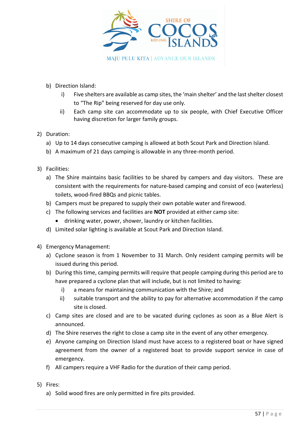

- b) Direction Island:
	- i) Five shelters are available as camp sites, the 'main shelter' and the last shelter closest to "The Rip" being reserved for day use only.
	- ii) Each camp site can accommodate up to six people, with Chief Executive Officer having discretion for larger family groups.
- 2) Duration:
	- a) Up to 14 days consecutive camping is allowed at both Scout Park and Direction Island.
	- b) A maximum of 21 days camping is allowable in any three-month period.
- 3) Facilities:
	- a) The Shire maintains basic facilities to be shared by campers and day visitors. These are consistent with the requirements for nature-based camping and consist of eco (waterless) toilets, wood-fired BBQs and picnic tables.
	- b) Campers must be prepared to supply their own potable water and firewood.
	- c) The following services and facilities are **NOT** provided at either camp site:
		- drinking water, power, shower, laundry or kitchen facilities.
	- d) Limited solar lighting is available at Scout Park and Direction Island.
- 4) Emergency Management:
	- a) Cyclone season is from 1 November to 31 March. Only resident camping permits will be issued during this period.
	- b) During this time, camping permits will require that people camping during this period are to have prepared a cyclone plan that will include, but is not limited to having:
		- i) a means for maintaining communication with the Shire; and
		- ii) suitable transport and the ability to pay for alternative accommodation if the camp site is closed.
	- c) Camp sites are closed and are to be vacated during cyclones as soon as a Blue Alert is announced.
	- d) The Shire reserves the right to close a camp site in the event of any other emergency.
	- e) Anyone camping on Direction Island must have access to a registered boat or have signed agreement from the owner of a registered boat to provide support service in case of emergency.
	- f) All campers require a VHF Radio for the duration of their camp period.
- 5) Fires:
	- a) Solid wood fires are only permitted in fire pits provided.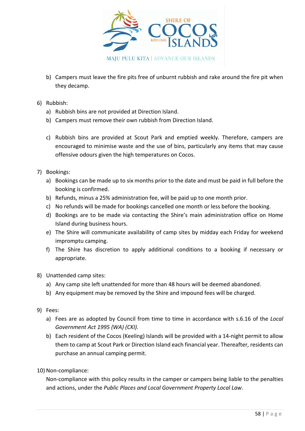

- b) Campers must leave the fire pits free of unburnt rubbish and rake around the fire pit when they decamp.
- 6) Rubbish:
	- a) Rubbish bins are not provided at Direction Island.
	- b) Campers must remove their own rubbish from Direction Island.
	- c) Rubbish bins are provided at Scout Park and emptied weekly. Therefore, campers are encouraged to minimise waste and the use of bins, particularly any items that may cause offensive odours given the high temperatures on Cocos.
- 7) Bookings:
	- a) Bookings can be made up to six months prior to the date and must be paid in full before the booking is confirmed.
	- b) Refunds, minus a 25% administration fee, will be paid up to one month prior.
	- c) No refunds will be made for bookings cancelled one month or less before the booking.
	- d) Bookings are to be made via contacting the Shire's main administration office on Home Island during business hours.
	- e) The Shire will communicate availability of camp sites by midday each Friday for weekend impromptu camping.
	- f) The Shire has discretion to apply additional conditions to a booking if necessary or appropriate.
- 8) Unattended camp sites:
	- a) Any camp site left unattended for more than 48 hours will be deemed abandoned.
	- b) Any equipment may be removed by the Shire and impound fees will be charged.
- 9) Fees:
	- a) Fees are as adopted by Council from time to time in accordance with s.6.16 of the *Local Government Act 1995 (WA) (CKI).*
	- b) Each resident of the Cocos (Keeling) Islands will be provided with a 14-night permit to allow them to camp at Scout Park or Direction Island each financial year. Thereafter, residents can purchase an annual camping permit.
- 10) Non-compliance:

Non-compliance with this policy results in the camper or campers being liable to the penalties and actions, under the *Public Places and Local Government Property Local Law*.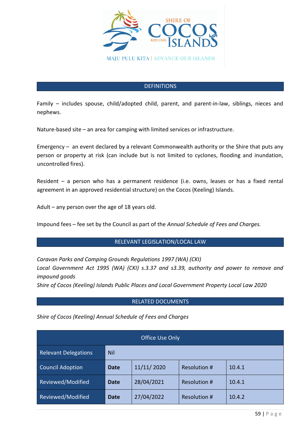

## **DEFINITIONS**

Family – includes spouse, child/adopted child, parent, and parent-in-law, siblings, nieces and nephews.

Nature-based site – an area for camping with limited services or infrastructure.

Emergency – an event declared by a relevant Commonwealth authority or the Shire that puts any person or property at risk (can include but is not limited to cyclones, flooding and inundation, uncontrolled fires).

Resident – a person who has a permanent residence (i.e. owns, leases or has a fixed rental agreement in an approved residential structure) on the Cocos (Keeling) Islands.

Adult – any person over the age of 18 years old.

Impound fees – fee set by the Council as part of the *Annual Schedule of Fees and Charges.*

## RELEVANT LEGISLATION/LOCAL LAW

*Caravan Parks and Camping Grounds Regulations 1997 (WA) (CKI)*

*Local Government Act 1995 (WA) (CKI) s.3.37 and s3.39, authority and power to remove and impound goods*

*Shire of Cocos (Keeling) Islands Public Places and Local Government Property Local Law 2020*

## RELATED DOCUMENTS

*Shire of Cocos (Keeling) Annual Schedule of Fees and Charges*

| Office Use Only             |             |            |                     |        |
|-----------------------------|-------------|------------|---------------------|--------|
| <b>Relevant Delegations</b> | Nil         |            |                     |        |
| <b>Council Adoption</b>     | <b>Date</b> | 11/11/2020 | <b>Resolution #</b> | 10.4.1 |
| Reviewed/Modified           | Date        | 28/04/2021 | <b>Resolution #</b> | 10.4.1 |
| Reviewed/Modified           | <b>Date</b> | 27/04/2022 | Resolution #        | 10.4.2 |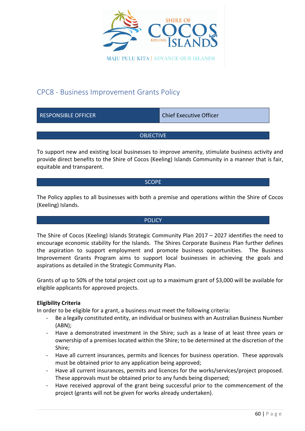

## CPC8 - Business Improvement Grants Policy

| <b>RESPONSIBLE OFFICER</b> | <b>Chief Executive Officer</b> |
|----------------------------|--------------------------------|
|                            |                                |
| <b>OBJECTIVE</b>           |                                |
|                            |                                |

To support new and existing local businesses to improve amenity, stimulate business activity and provide direct benefits to the Shire of Cocos (Keeling) Islands Community in a manner that is fair, equitable and transparent.

## **SCOPE**

The Policy applies to all businesses with both a premise and operations within the Shire of Cocos (Keeling) Islands.

## **POLICY**

The Shire of Cocos (Keeling) Islands Strategic Community Plan 2017 – 2027 identifies the need to encourage economic stability for the Islands. The Shires Corporate Business Plan further defines the aspiration to support employment and promote business opportunities. The Business Improvement Grants Program aims to support local businesses in achieving the goals and aspirations as detailed in the Strategic Community Plan.

Grants of up to 50% of the total project cost up to a maximum grant of \$3,000 will be available for eligible applicants for approved projects.

## **Eligibility Criteria**

In order to be eligible for a grant, a business must meet the following criteria:

- Be a legally constituted entity, an individual or business with an Australian Business Number (ABN);
- Have a demonstrated investment in the Shire; such as a lease of at least three years or ownership of a premises located within the Shire; to be determined at the discretion of the Shire;
- Have all current insurances, permits and licences for business operation. These approvals must be obtained prior to any application being approved;
- Have all current insurances, permits and licences for the works/services/project proposed. These approvals must be obtained prior to any funds being dispersed;
- Have received approval of the grant being successful prior to the commencement of the project (grants will not be given for works already undertaken).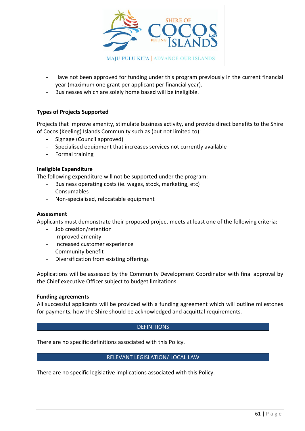

- Have not been approved for funding under this program previously in the current financial year (maximum one grant per applicant per financial year).
- Businesses which are solely home based will be ineligible.

## **Types of Projects Supported**

Projects that improve amenity, stimulate business activity, and provide direct benefits to the Shire of Cocos (Keeling) Islands Community such as (but not limited to):

- Signage (Council approved)
- Specialised equipment that increases services not currently available
- Formal training

## **Ineligible Expenditure**

The following expenditure will not be supported under the program:

- Business operating costs (ie. wages, stock, marketing, etc)
- Consumables
- Non-specialised, relocatable equipment

#### **Assessment**

Applicants must demonstrate their proposed project meets at least one of the following criteria:

- Job creation/retention
- Improved amenity
- Increased customer experience
- Community benefit
- Diversification from existing offerings

Applications will be assessed by the Community Development Coordinator with final approval by the Chief executive Officer subject to budget limitations.

#### **Funding agreements**

All successful applicants will be provided with a funding agreement which will outline milestones for payments, how the Shire should be acknowledged and acquittal requirements.

## **DEFINITIONS**

There are no specific definitions associated with this Policy.

## RELEVANT LEGISLATION/ LOCAL LAW

There are no specific legislative implications associated with this Policy.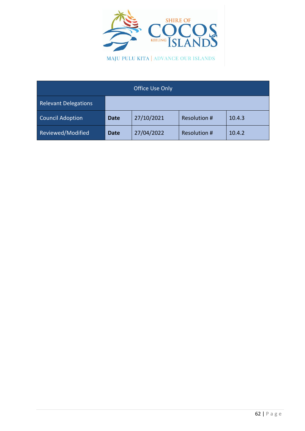

| <b>Office Use Only</b>      |             |            |                     |        |
|-----------------------------|-------------|------------|---------------------|--------|
| <b>Relevant Delegations</b> |             |            |                     |        |
| <b>Council Adoption</b>     | <b>Date</b> | 27/10/2021 | <b>Resolution #</b> | 10.4.3 |
| Reviewed/Modified           | <b>Date</b> | 27/04/2022 | <b>Resolution #</b> | 10.4.2 |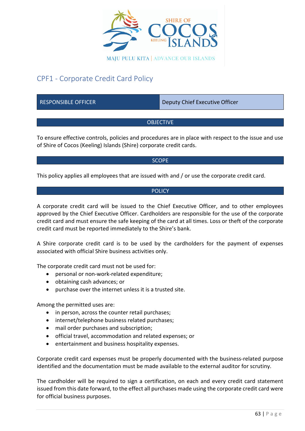

## CPF1 - Corporate Credit Card Policy

RESPONSIBLE OFFICER DEPAPTMENT DEPUTY Chief Executive Officer

## OBJECTIVE

To ensure effective controls, policies and procedures are in place with respect to the issue and use of Shire of Cocos (Keeling) Islands (Shire) corporate credit cards.

## **SCOPE**

This policy applies all employees that are issued with and / or use the corporate credit card.

## POLICY

A corporate credit card will be issued to the Chief Executive Officer, and to other employees approved by the Chief Executive Officer. Cardholders are responsible for the use of the corporate credit card and must ensure the safe keeping of the card at all times. Loss or theft of the corporate credit card must be reported immediately to the Shire's bank.

A Shire corporate credit card is to be used by the cardholders for the payment of expenses associated with official Shire business activities only.

The corporate credit card must not be used for:

- personal or non-work-related expenditure;
- obtaining cash advances; or
- purchase over the internet unless it is a trusted site.

Among the permitted uses are:

- in person, across the counter retail purchases;
- internet/telephone business related purchases;
- mail order purchases and subscription;
- official travel, accommodation and related expenses; or
- entertainment and business hospitality expenses.

Corporate credit card expenses must be properly documented with the business-related purpose identified and the documentation must be made available to the external auditor for scrutiny.

The cardholder will be required to sign a certification, on each and every credit card statement issued from this date forward, to the effect all purchases made using the corporate credit card were for official business purposes.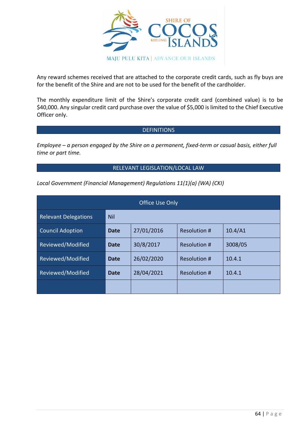

Any reward schemes received that are attached to the corporate credit cards, such as fly buys are for the benefit of the Shire and are not to be used for the benefit of the cardholder.

The monthly expenditure limit of the Shire's corporate credit card (combined value) is to be \$40,000. Any singular credit card purchase over the value of \$5,000 is limited to the Chief Executive Officer only.

## **DEFINITIONS**

*Employee – a person engaged by the Shire on a permanent, fixed-term or casual basis, either full time or part time.*

## RELEVANT LEGISLATION/LOCAL LAW

*Local Government (Financial Management) Regulations 11(1)(a) (WA) (CKI)*

| <b>Office Use Only</b>      |             |            |                     |         |
|-----------------------------|-------------|------------|---------------------|---------|
| <b>Relevant Delegations</b> | <b>Nil</b>  |            |                     |         |
| <b>Council Adoption</b>     | Date        | 27/01/2016 | <b>Resolution #</b> | 10.4/A1 |
| Reviewed/Modified           | Date        | 30/8/2017  | <b>Resolution #</b> | 3008/05 |
| Reviewed/Modified           | <b>Date</b> | 26/02/2020 | <b>Resolution #</b> | 10.4.1  |
| Reviewed/Modified           | Date        | 28/04/2021 | Resolution #        | 10.4.1  |
|                             |             |            |                     |         |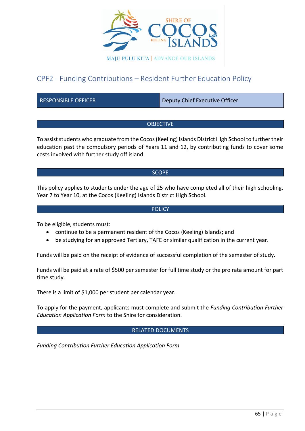

## CPF2 - Funding Contributions – Resident Further Education Policy

RESPONSIBLE OFFICER **Deputy Chief Executive Officer** 

## **OBJECTIVE**

To assist students who graduate from the Cocos (Keeling) Islands District High School to further their education past the compulsory periods of Years 11 and 12, by contributing funds to cover some costs involved with further study off island.

## **SCOPE**

This policy applies to students under the age of 25 who have completed all of their high schooling, Year 7 to Year 10, at the Cocos (Keeling) Islands District High School.

## **POLICY**

To be eligible, students must:

- continue to be a permanent resident of the Cocos (Keeling) Islands; and
- be studying for an approved Tertiary, TAFE or similar qualification in the current year.

Funds will be paid on the receipt of evidence of successful completion of the semester of study.

Funds will be paid at a rate of \$500 per semester for full time study or the pro rata amount for part time study.

There is a limit of \$1,000 per student per calendar year.

To apply for the payment, applicants must complete and submit the *Funding Contribution Further Education Application Form* to the Shire for consideration.

## RELATED DOCUMENTS

*Funding Contribution Further Education Application Form*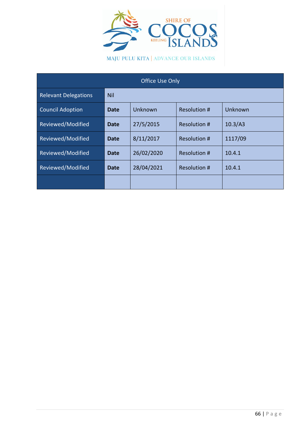

MAJU PULU KITA | ADVANCE OUR ISLANDS

| Office Use Only             |             |            |              |         |
|-----------------------------|-------------|------------|--------------|---------|
| <b>Relevant Delegations</b> | <b>Nil</b>  |            |              |         |
| <b>Council Adoption</b>     | <b>Date</b> | Unknown    | Resolution # | Unknown |
| Reviewed/Modified           | <b>Date</b> | 27/5/2015  | Resolution # | 10.3/A3 |
| Reviewed/Modified           | Date        | 8/11/2017  | Resolution # | 1117/09 |
| Reviewed/Modified           | <b>Date</b> | 26/02/2020 | Resolution # | 10.4.1  |
| Reviewed/Modified           | Date        | 28/04/2021 | Resolution # | 10.4.1  |
|                             |             |            |              |         |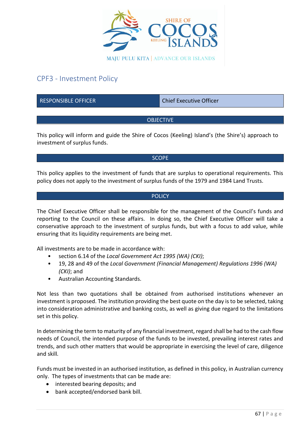

## CPF3 - Investment Policy

RESPONSIBLE OFFICER CHIEF CHIEF Chief Executive Officer

## **OBJECTIVE**

This policy will inform and guide the Shire of Cocos (Keeling) Island's (the Shire's) approach to investment of surplus funds.

## **SCOPE**

This policy applies to the investment of funds that are surplus to operational requirements. This policy does not apply to the investment of surplus funds of the 1979 and 1984 Land Trusts.

## **POLICY**

The Chief Executive Officer shall be responsible for the management of the Council's funds and reporting to the Council on these affairs. In doing so, the Chief Executive Officer will take a conservative approach to the investment of surplus funds, but with a focus to add value, while ensuring that its liquidity requirements are being met.

All investments are to be made in accordance with:

- section 6.14 of the *Local Government Act 1995 (WA) (CKI)*;
- 19, 28 and 49 of the *Local Government (Financial Management) Regulations 1996 (WA) (CKI)*; and
- Australian Accounting Standards.

Not less than two quotations shall be obtained from authorised institutions whenever an investment is proposed. The institution providing the best quote on the day is to be selected, taking into consideration administrative and banking costs, as well as giving due regard to the limitations set in this policy.

In determining the term to maturity of any financial investment, regard shall be had to the cash flow needs of Council, the intended purpose of the funds to be invested, prevailing interest rates and trends, and such other matters that would be appropriate in exercising the level of care, diligence and skill*.*

Funds must be invested in an authorised institution, as defined in this policy, in Australian currency only. The types of investments that can be made are:

- interested bearing deposits; and
- bank accepted/endorsed bank bill.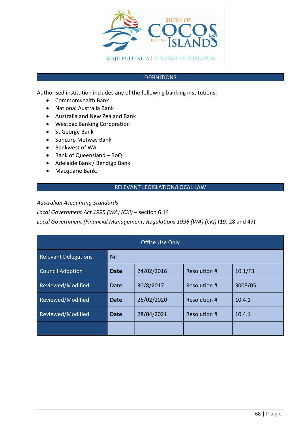

## **DEFINITIONS**

Authorised institution includes any of the following banking institutions:

- Commonwealth Bank
- National Australia Bank
- Australia and New Zealand Bank
- Westpac Banking Corporation
- St George Bank
- Suncorp Metway Bank
- Bankwest of WA
- Bank of Queensland BoQ
- Adelaide Bank / Bendigo Bank
- Macquarie Bank.

## RELEVANT LEGISLATION/LOCAL LAW

*Australian Accounting Standards* 

*Local Government Act 1995 (WA) (CKI)* – section 6.14

*Local Government (Financial Management) Regulations 1996 (WA) (CKI)* (19, 28 and 49)

| <b>Office Use Only</b>      |             |            |                     |         |
|-----------------------------|-------------|------------|---------------------|---------|
| <b>Relevant Delegations</b> | <b>Nil</b>  |            |                     |         |
| <b>Council Adoption</b>     | <b>Date</b> | 24/02/2016 | Resolution #        | 10.1/F3 |
| Reviewed/Modified           | Date        | 30/8/2017  | Resolution #        | 3008/05 |
| Reviewed/Modified           | Date        | 26/02/2020 | Resolution #        | 10.4.1  |
| Reviewed/Modified           | Date        | 28/04/2021 | <b>Resolution #</b> | 10.4.1  |
|                             |             |            |                     |         |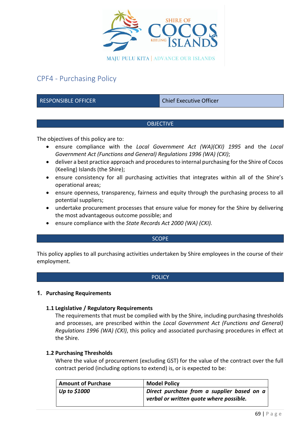

## CPF4 - Purchasing Policy

RESPONSIBLE OFFICER CHIEF CHIEF Chief Executive Officer

## **OBJECTIVE**

The objectives of this policy are to:

- ensure compliance with the *Local Government Act (WA)(CKI) 1995* and the *Local Government Act (Functions and General) Regulations 1996 (WA) (CKI)*;
- deliver a best practice approach and procedures to internal purchasing for the Shire of Cocos (Keeling) Islands (the Shire);
- ensure consistency for all purchasing activities that integrates within all of the Shire's operational areas;
- ensure openness, transparency, fairness and equity through the purchasing process to all potential suppliers;
- undertake procurement processes that ensure value for money for the Shire by delivering the most advantageous outcome possible; and
- ensure compliance with the *State Records Act 2000 (WA) (CKI).*

## **SCOPE**

This policy applies to all purchasing activities undertaken by Shire employees in the course of their employment.

## **POLICY**

## **1. Purchasing Requirements**

## **1.1 Legislative / Regulatory Requirements**

The requirements that must be complied with by the Shire, including purchasing thresholds and processes, are prescribed within the *Local Government Act (Functions and General) Regulations 1996 (WA) (CKI)*, this policy and associated purchasing procedures in effect at the Shire.

## **1.2 Purchasing Thresholds**

Where the value of procurement (excluding GST) for the value of the contract over the full contract period (including options to extend) is, or is expected to be:

| <b>Amount of Purchase</b> | <b>Model Policy</b>                        |  |
|---------------------------|--------------------------------------------|--|
| Up to \$1000              | Direct purchase from a supplier based on a |  |
|                           | verbal or written quote where possible.    |  |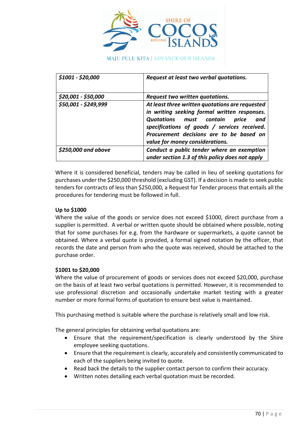

**MAJU PULU KITA | ADVANCE OUR ISLANDS** 

| \$1001 - \$20,000    | Request at least two verbal quotations.                                                                                                                                                                                                                                   |
|----------------------|---------------------------------------------------------------------------------------------------------------------------------------------------------------------------------------------------------------------------------------------------------------------------|
| \$20,001 - \$50,000  | Request two written quotations.                                                                                                                                                                                                                                           |
| \$50,001 - \$249,999 | At least three written quotations are requested<br>in writing seeking formal written responses.<br>Quotations must contain<br>and<br>price<br>specifications of goods / services received.<br>Procurement decisions are to be based on<br>value for money considerations. |
| \$250,000 and above  | Conduct a public tender where an exemption<br>under section 1.3 of this policy does not apply                                                                                                                                                                             |

Where it is considered beneficial, tenders may be called in lieu of seeking quotations for purchases under the \$250,000 threshold (excluding GST). If a decision is made to seek public tenders for contracts of less than \$250,000, a Request for Tender process that entails all the procedures for tendering must be followed in full.

## **Up to \$1000**

Where the value of the goods or service does not exceed \$1000, direct purchase from a supplier is permitted. A verbal or written quote should be obtained where possible, noting that for some purchases for e.g. from the hardware or supermarkets, a quote cannot be obtained. Where a verbal quote is provided, a formal signed notation by the officer, that records the date and person from who the quote was received, should be attached to the purchase order.

## **\$1001 to \$20,000**

Where the value of procurement of goods or services does not exceed \$20,000, purchase on the basis of at least two verbal quotations is permitted. However, it is recommended to use professional discretion and occasionally undertake market testing with a greater number or more formal forms of quotation to ensure best value is maintained.

This purchasing method is suitable where the purchase is relatively small and low risk.

The general principles for obtaining verbal quotations are:

- Ensure that the requirement/specification is clearly understood by the Shire employee seeking quotations.
- Ensure that the requirement is clearly, accurately and consistently communicated to each of the suppliers being invited to quote.
- Read back the details to the supplier contact person to confirm their accuracy.
- Written notes detailing each verbal quotation must be recorded.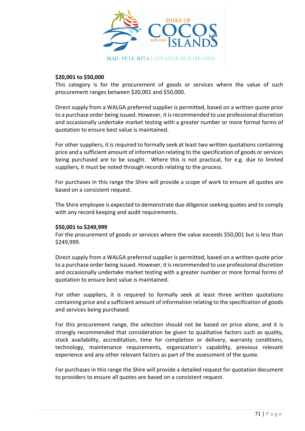

## **\$20,001 to \$50,000**

This category is for the procurement of goods or services where the value of such procurement ranges between \$20,001 and \$50,000.

Direct supply from a WALGA preferred supplier is permitted, based on a written quote prior to a purchase order being issued. However, it is recommended to use professional discretion and occasionally undertake market testing with a greater number or more formal forms of quotation to ensure best value is maintained.

For other suppliers, it is required to formally seek at least two written quotations containing price and a sufficient amount of information relating to the specification of goods or services being purchased are to be sought. Where this is not practical, for e.g. due to limited suppliers, it must be noted through records relating to the process.

For purchases in this range the Shire will provide a scope of work to ensure all quotes are based on a consistent request.

The Shire employee is expected to demonstrate due diligence seeking quotes and to comply with any record keeping and audit requirements.

## **\$50,001 to \$249,999**

For the procurement of goods or services where the value exceeds \$50,001 but is less than \$249,999.

Direct supply from a WALGA preferred supplier is permitted, based on a written quote prior to a purchase order being issued. However, it is recommended to use professional discretion and occasionally undertake market testing with a greater number or more formal forms of quotation to ensure best value is maintained.

For other suppliers, it is required to formally seek at least three written quotations containing price and a sufficient amount of information relating to the specification of goods and services being purchased.

For this procurement range, the selection should not be based on price alone, and it is strongly recommended that consideration be given to qualitative factors such as quality, stock availability, accreditation, time for completion or delivery, warranty conditions, technology, maintenance requirements, organization's capability, previous relevant experience and any other relevant factors as part of the assessment of the quote.

For purchases in this range the Shire will provide a detailed request for quotation document to providers to ensure all quotes are based on a consistent request.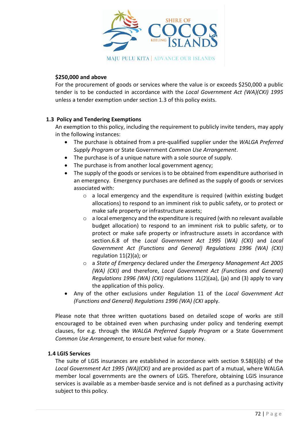

## **\$250,000 and above**

For the procurement of goods or services where the value is or exceeds \$250,000 a public tender is to be conducted in accordance with the *Local Government Act (WA)(CKI) 1995* unless a tender exemption under section 1.3 of this policy exists.

## **1.3 Policy and Tendering Exemptions**

An exemption to this policy, including the requirement to publicly invite tenders, may apply in the following instances:

- The purchase is obtained from a pre-qualified supplier under the *WALGA Preferred Supply Program* or State Government *Common Use Arrangement*.
- The purchase is of a unique nature with a sole source of supply.
- The purchase is from another local government agency;
- The supply of the goods or services is to be obtained from expenditure authorised in an emergency. Emergency purchases are defined as the supply of goods or services associated with:
	- o a local emergency and the expenditure is required (within existing budget allocations) to respond to an imminent risk to public safety, or to protect or make safe property or infrastructure assets;
	- $\circ$  a local emergency and the expenditure is required (with no relevant available budget allocation) to respond to an imminent risk to public safety, or to protect or make safe property or infrastructure assets in accordance with section.6.8 of the *Local Government Act 1995* (*WA) (CKI)* and *Local Government Act (Functions and General) Regulations 1996 (WA) (CKI)* regulation 11(2)(a); or
	- o a *State of Emergency* declared under the *Emergency Management Act 2005 (WA) (CKI) a*nd therefore, *Local Government Act (Functions and General) Regulations 1996 (WA) (CKI)* regulations 11(2)(aa), (ja) and (3) apply to vary the application of this policy.
- Any of the other exclusions under Regulation 11 of the *Local Government Act (Functions and General) Regulations 1996 (WA) (CKI* apply.

Please note that three written quotations based on detailed scope of works are still encouraged to be obtained even when purchasing under policy and tendering exempt clauses, for e.g. through the *WALGA Preferred Supply Program* or a State Government *Common Use Arrangement*, to ensure best value for money.

## **1.4 LGIS Services**

The suite of LGIS insurances are established in accordance with section 9.58(6)(b) of the *Local Government Act 1995 (WA)(CKI)* and are provided as part of a mutual, where WALGA member local governments are the owners of LGIS. Therefore, obtaining LGIS insurance services is available as a member-basde service and is not defined as a purchasing activity subject to this policy.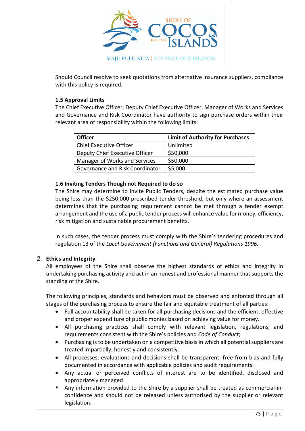

Should Council resolve to seek quotations from alternative insurance suppliers, compliance with this policy is required.

## **1.5 Approval Limits**

The Chief Executive Officer, Deputy Chief Executive Officer, Manager of Works and Services and Governance and Risk Coordinator have authority to sign purchase orders within their relevant area of responsibility within the following limits:

| <b>Officer</b>                  | <b>Limit of Authority for Purchases</b> |
|---------------------------------|-----------------------------------------|
| Chief Executive Officer         | Unlimited                               |
| Deputy Chief Executive Officer  | \$50,000                                |
| Manager of Works and Services   | \$50,000                                |
| Governance and Risk Coordinator | \$5,000                                 |

## **1.6 Inviting Tenders Though not Required to do so**

The Shire may determine to invite Public Tenders, despite the estimated purchase value being less than the \$250,000 prescribed tender threshold, but only where an assessment determines that the purchasing requirement cannot be met through a tender exempt arrangement and the use of a public tender process will enhance value for money, efficiency, risk mitigation and sustainable procurement benefits.

In such cases, the tender process must comply with the Shire's tendering procedures and regulation 13 of the *Local Government (Functions and General) Regulations 1996*.

## 2. **Ethics and Integrity**

All employees of the Shire shall observe the highest standards of ethics and integrity in undertaking purchasing activity and act in an honest and professional manner that supports the standing of the Shire.

The following principles, standards and behaviors must be observed and enforced through all stages of the purchasing process to ensure the fair and equitable treatment of all parties:

- Full accountability shall be taken for all purchasing decisions and the efficient, effective and proper expenditure of public monies based on achieving value for money.
- All purchasing practices shall comply with relevant legislation, regulations, and requirements consistent with the Shire's policies and *Code of Conduct*;
- Purchasing is to be undertaken on a competitive basis in which all potential suppliers are treated impartially, honestly and consistently.
- All processes, evaluations and decisions shall be transparent, free from bias and fully documented in accordance with applicable policies and audit requirements.
- Any actual or perceived conflicts of interest are to be identified, disclosed and appropriately managed.
- Any information provided to the Shire by a supplier shall be treated as commercial-inconfidence and should not be released unless authorised by the supplier or relevant legislation.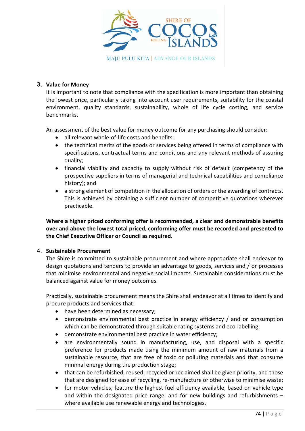

## **3. Value for Money**

It is important to note that compliance with the specification is more important than obtaining the lowest price, particularly taking into account user requirements, suitability for the coastal environment, quality standards, sustainability, whole of life cycle costing, and service benchmarks.

An assessment of the best value for money outcome for any purchasing should consider:

- all relevant whole-of-life costs and benefits:
- the technical merits of the goods or services being offered in terms of compliance with specifications, contractual terms and conditions and any relevant methods of assuring quality;
- financial viability and capacity to supply without risk of default (competency of the prospective suppliers in terms of managerial and technical capabilities and compliance history); and
- a strong element of competition in the allocation of orders or the awarding of contracts. This is achieved by obtaining a sufficient number of competitive quotations wherever practicable.

**Where a higher priced conforming offer is recommended, a clear and demonstrable benefits over and above the lowest total priced, conforming offer must be recorded and presented to the Chief Executive Officer or Council as required.**

## 4. **Sustainable Procurement**

The Shire is committed to sustainable procurement and where appropriate shall endeavor to design quotations and tenders to provide an advantage to goods, services and / or processes that minimise environmental and negative social impacts. Sustainable considerations must be balanced against value for money outcomes.

Practically, sustainable procurement means the Shire shall endeavor at all times to identify and procure products and services that:

- have been determined as necessary:
- demonstrate environmental best practice in energy efficiency / and or consumption which can be demonstrated through suitable rating systems and eco-labelling;
- demonstrate environmental best practice in water efficiency;
- are environmentally sound in manufacturing, use, and disposal with a specific preference for products made using the minimum amount of raw materials from a sustainable resource, that are free of toxic or polluting materials and that consume minimal energy during the production stage;
- that can be refurbished, reused, recycled or reclaimed shall be given priority, and those that are designed for ease of recycling, re-manufacture or otherwise to minimise waste;
- for motor vehicles, feature the highest fuel efficiency available, based on vehicle type and within the designated price range; and for new buildings and refurbishments – where available use renewable energy and technologies.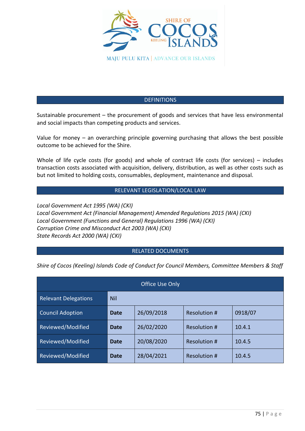

## DEFINITIONS

Sustainable procurement – the procurement of goods and services that have less environmental and social impacts than competing products and services.

Value for money – an overarching principle governing purchasing that allows the best possible outcome to be achieved for the Shire.

Whole of life cycle costs (for goods) and whole of contract life costs (for services) – includes transaction costs associated with acquisition, delivery, distribution, as well as other costs such as but not limited to holding costs, consumables, deployment, maintenance and disposal.

## RELEVANT LEGISLATION/LOCAL LAW

*Local Government Act 1995 (WA) (CKI) Local Government Act (Financial Management) Amended Regulations 2015 (WA) (CKI) Local Government (Functions and General) Regulations 1996 (WA) (CKI) Corruption Crime and Misconduct Act 2003 (WA) (CKI) State Records Act 2000 (WA) (CKI)*

## RELATED DOCUMENTS

*Shire of Cocos (Keeling) Islands Code of Conduct for Council Members, Committee Members & Staff*

| Office Use Only             |            |            |                     |         |
|-----------------------------|------------|------------|---------------------|---------|
| <b>Relevant Delegations</b> | <b>Nil</b> |            |                     |         |
| <b>Council Adoption</b>     | Date       | 26/09/2018 | Resolution #        | 0918/07 |
| Reviewed/Modified           | Date       | 26/02/2020 | <b>Resolution #</b> | 10.4.1  |
| Reviewed/Modified           | Date       | 20/08/2020 | <b>Resolution #</b> | 10.4.5  |
| Reviewed/Modified           | Date       | 28/04/2021 | Resolution #        | 10.4.5  |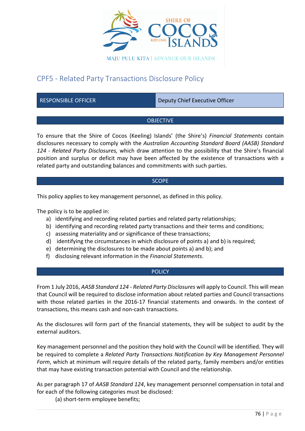

# CPF5 - Related Party Transactions Disclosure Policy

RESPONSIBLE OFFICER **Deputy Chief Executive Officer** 

## **OBJECTIVE**

To ensure that the Shire of Cocos (Keeling) Islands' (the Shire's) *Financial Statements* contain disclosures necessary to comply with the *Australian Accounting Standard Board (AASB) Standard 124 - Related Party Disclosures,* which draw attention to the possibility that the Shire's financial position and surplus or deficit may have been affected by the existence of transactions with a related party and outstanding balances and commitments with such parties.

## **SCOPE**

This policy applies to key management personnel, as defined in this policy.

The policy is to be applied in:

- a) identifying and recording related parties and related party relationships;
- b) identifying and recording related party transactions and their terms and conditions;
- c) assessing materiality and or significance of these transactions;
- d) identifying the circumstances in which disclosure of points a) and b) is required;
- e) determining the disclosures to be made about points a) and b); and
- f) disclosing relevant information in the *Financial Statements*.

## **POLICY**

From 1 July 2016, *AASB Standard 124 - Related Party Disclosures* will apply to Council. This will mean that Council will be required to disclose information about related parties and Council transactions with those related parties in the 2016-17 financial statements and onwards. In the context of transactions, this means cash and non-cash transactions.

As the disclosures will form part of the financial statements, they will be subject to audit by the external auditors.

Key management personnel and the position they hold with the Council will be identified. They will be required to complete a *Related Party Transactions Notification by Key Management Personnel Form*, which at minimum will require details of the related party, family members and/or entities that may have existing transaction potential with Council and the relationship.

As per paragraph 17 of *AASB Standard 124*, key management personnel compensation in total and for each of the following categories must be disclosed:

(a) short-term employee benefits;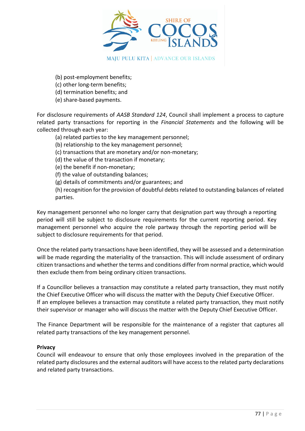

(b) post-employment benefits;

- (c) other long-term benefits;
- (d) termination benefits; and
- (e) share-based payments.

For disclosure requirements of *AASB Standard 124*, Council shall implement a process to capture related party transactions for reporting in the *Financial Statements* and the following will be collected through each year:

- (a) related parties to the key management personnel;
- (b) relationship to the key management personnel;
- (c) transactions that are monetary and/or non-monetary;
- (d) the value of the transaction if monetary;
- (e) the benefit if non-monetary;
- (f) the value of outstanding balances;
- (g) details of commitments and/or guarantees; and

(h) recognition for the provision of doubtful debts related to outstanding balances of related parties.

Key management personnel who no longer carry that designation part way through a reporting period will still be subject to disclosure requirements for the current reporting period. Key management personnel who acquire the role partway through the reporting period will be subject to disclosure requirements for that period.

Once the related party transactions have been identified, they will be assessed and a determination will be made regarding the materiality of the transaction. This will include assessment of ordinary citizen transactions and whether the terms and conditions differ from normal practice, which would then exclude them from being ordinary citizen transactions.

If a Councillor believes a transaction may constitute a related party transaction, they must notify the Chief Executive Officer who will discuss the matter with the Deputy Chief Executive Officer. If an employee believes a transaction may constitute a related party transaction, they must notify their supervisor or manager who will discuss the matter with the Deputy Chief Executive Officer.

The Finance Department will be responsible for the maintenance of a register that captures all related party transactions of the key management personnel.

## **Privacy**

Council will endeavour to ensure that only those employees involved in the preparation of the related party disclosures and the external auditors will have access to the related party declarations and related party transactions.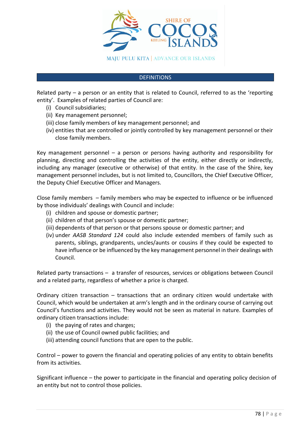

#### **DEFINITIONS**

Related party – a person or an entity that is related to Council, referred to as the 'reporting entity'. Examples of related parties of Council are:

- (i) Council subsidiaries;
- (ii) Key management personnel;
- (iii) close family members of key management personnel; and
- (iv) entities that are controlled or jointly controlled by key management personnel or their close family members.

Key management personnel – a person or persons having authority and responsibility for planning, directing and controlling the activities of the entity, either directly or indirectly, including any manager (executive or otherwise) of that entity. In the case of the Shire, key management personnel includes, but is not limited to, Councillors, the Chief Executive Officer, the Deputy Chief Executive Officer and Managers.

Close family members – family members who may be expected to influence or be influenced by those individuals' dealings with Council and include:

- (i) children and spouse or domestic partner;
- (ii) children of that person's spouse or domestic partner;
- (iii) dependents of that person or that persons spouse or domestic partner; and
- (iv) under *AASB Standard 124* could also include extended members of family such as parents, siblings, grandparents, uncles/aunts or cousins if they could be expected to have influence or be influenced by the key management personnel in their dealings with Council.

Related party transactions – a transfer of resources, services or obligations between Council and a related party, regardless of whether a price is charged.

Ordinary citizen transaction – transactions that an ordinary citizen would undertake with Council, which would be undertaken at arm's length and in the ordinary course of carrying out Council's functions and activities. They would not be seen as material in nature. Examples of ordinary citizen transactions include:

- (i) the paying of rates and charges;
- (ii) the use of Council owned public facilities; and
- (iii) attending council functions that are open to the public.

Control – power to govern the financial and operating policies of any entity to obtain benefits from its activities.

Significant influence – the power to participate in the financial and operating policy decision of an entity but not to control those policies.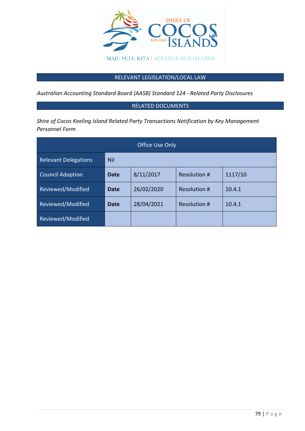

## RELEVANT LEGISLATION/LOCAL LAW

*Australian Accounting Standard Board (AASB) Standard 124 - Related Party Disclosures*

## RELATED DOCUMENTS

*Shire of Cocos Keeling Island Related Party Transactions Notification by Key Management Personnel Form*

| <b>Office Use Only</b>      |      |            |                     |         |
|-----------------------------|------|------------|---------------------|---------|
| <b>Relevant Delegations</b> | Nil  |            |                     |         |
| Council Adoption            | Date | 8/11/2017  | Resolution #        | 1117/10 |
| Reviewed/Modified           | Date | 26/02/2020 | <b>Resolution #</b> | 10.4.1  |
| Reviewed/Modified           | Date | 28/04/2021 | <b>Resolution #</b> | 10.4.1  |
| Reviewed/Modified           |      |            |                     |         |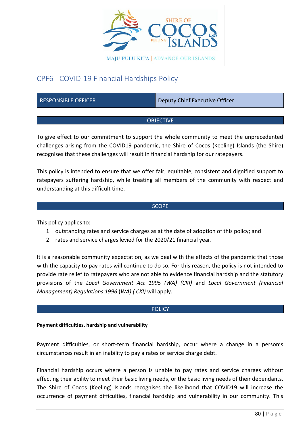

# CPF6 - COVID-19 Financial Hardships Policy

RESPONSIBLE OFFICER **Deputy Chief Executive Officer** 

## OBJECTIVE

To give effect to our commitment to support the whole community to meet the unprecedented challenges arising from the COVID19 pandemic, the Shire of Cocos (Keeling) Islands (the Shire) recognises that these challenges will result in financial hardship for our ratepayers.

This policy is intended to ensure that we offer fair, equitable, consistent and dignified support to ratepayers suffering hardship, while treating all members of the community with respect and understanding at this difficult time.

## SCOPE

This policy applies to:

- 1. outstanding rates and service charges as at the date of adoption of this policy; and
- 2. rates and service charges levied for the 2020/21 financial year.

It is a reasonable community expectation, as we deal with the effects of the pandemic that those with the capacity to pay rates will continue to do so. For this reason, the policy is not intended to provide rate relief to ratepayers who are not able to evidence financial hardship and the statutory provisions of the *Local Government Act 1995 (WA) (CKI)* and *Local Government (Financial Management) Regulations 1996* (*WA) ( CKI)* will apply.

## **POLICY**

## **Payment difficulties, hardship and vulnerability**

Payment difficulties, or short-term financial hardship, occur where a change in a person's circumstances result in an inability to pay a rates or service charge debt.

Financial hardship occurs where a person is unable to pay rates and service charges without affecting their ability to meet their basic living needs, or the basic living needs of their dependants. The Shire of Cocos (Keeling) Islands recognises the likelihood that COVID19 will increase the occurrence of payment difficulties, financial hardship and vulnerability in our community. This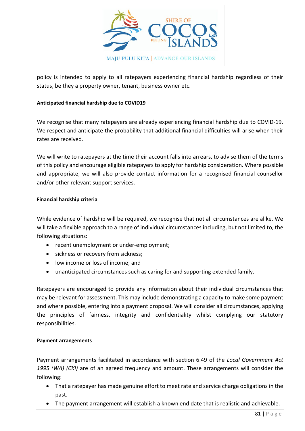

policy is intended to apply to all ratepayers experiencing financial hardship regardless of their status, be they a property owner, tenant, business owner etc.

## **Anticipated financial hardship due to COVID19**

We recognise that many ratepayers are already experiencing financial hardship due to COVID-19. We respect and anticipate the probability that additional financial difficulties will arise when their rates are received.

We will write to ratepayers at the time their account falls into arrears, to advise them of the terms of this policy and encourage eligible ratepayers to apply for hardship consideration. Where possible and appropriate, we will also provide contact information for a recognised financial counsellor and/or other relevant support services.

## **Financial hardship criteria**

While evidence of hardship will be required, we recognise that not all circumstances are alike. We will take a flexible approach to a range of individual circumstances including, but not limited to, the following situations:

- recent unemployment or under-employment;
- sickness or recovery from sickness;
- low income or loss of income; and
- unanticipated circumstances such as caring for and supporting extended family.

Ratepayers are encouraged to provide any information about their individual circumstances that may be relevant for assessment. This may include demonstrating a capacity to make some payment and where possible, entering into a payment proposal. We will consider all circumstances, applying the principles of fairness, integrity and confidentiality whilst complying our statutory responsibilities.

## **Payment arrangements**

Payment arrangements facilitated in accordance with section 6.49 of the *Local Government Act 1995 (WA) (CKI)* are of an agreed frequency and amount. These arrangements will consider the following:

- That a ratepayer has made genuine effort to meet rate and service charge obligations in the past.
- The payment arrangement will establish a known end date that is realistic and achievable.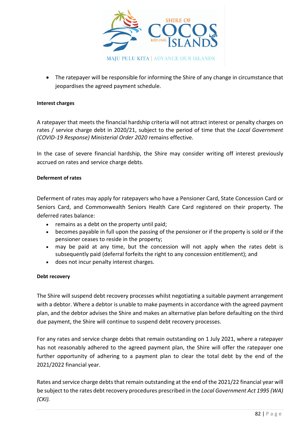

• The ratepayer will be responsible for informing the Shire of any change in circumstance that jeopardises the agreed payment schedule.

## **Interest charges**

A ratepayer that meets the financial hardship criteria will not attract interest or penalty charges on rates / service charge debt in 2020/21, subject to the period of time that the *Local Government (COVID-19 Response) Ministerial Order 2020* remains effective.

In the case of severe financial hardship, the Shire may consider writing off interest previously accrued on rates and service charge debts.

## **Deferment of rates**

Deferment of rates may apply for ratepayers who have a Pensioner Card, State Concession Card or Seniors Card, and Commonwealth Seniors Health Care Card registered on their property. The deferred rates balance:

- remains as a debt on the property until paid;
- becomes payable in full upon the passing of the pensioner or if the property is sold or if the pensioner ceases to reside in the property;
- may be paid at any time, but the concession will not apply when the rates debt is subsequently paid (deferral forfeits the right to any concession entitlement); and
- does not incur penalty interest charges.

## **Debt recovery**

The Shire will suspend debt recovery processes whilst negotiating a suitable payment arrangement with a debtor. Where a debtor is unable to make payments in accordance with the agreed payment plan, and the debtor advises the Shire and makes an alternative plan before defaulting on the third due payment, the Shire will continue to suspend debt recovery processes.

For any rates and service charge debts that remain outstanding on 1 July 2021, where a ratepayer has not reasonably adhered to the agreed payment plan, the Shire will offer the ratepayer one further opportunity of adhering to a payment plan to clear the total debt by the end of the 2021/2022 financial year.

Rates and service charge debts that remain outstanding at the end of the 2021/22 financial year will be subject to the rates debt recovery procedures prescribed in the *Local Government Act 1995 (WA) (CKI).*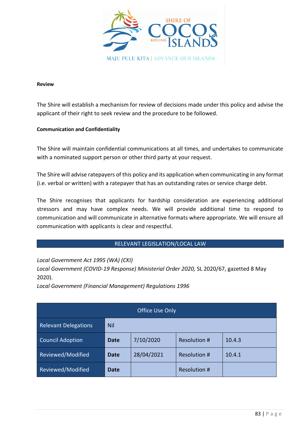

#### **Review**

The Shire will establish a mechanism for review of decisions made under this policy and advise the applicant of their right to seek review and the procedure to be followed.

## **Communication and Confidentiality**

The Shire will maintain confidential communications at all times, and undertakes to communicate with a nominated support person or other third party at your request.

The Shire will advise ratepayers of this policy and its application when communicating in any format (i.e. verbal or written) with a ratepayer that has an outstanding rates or service charge debt.

The Shire recognises that applicants for hardship consideration are experiencing additional stressors and may have complex needs. We will provide additional time to respond to communication and will communicate in alternative formats where appropriate. We will ensure all communication with applicants is clear and respectful.

## RELEVANT LEGISLATION/LOCAL LAW

*Local Government Act 1995 (WA) (CKI)*

*Local Government (COVID-19 Response) Ministerial Order 2020,* SL 2020/67, gazetted 8 May 2020).

*Local Government (Financial Management) Regulations 1996*

| Office Use Only             |                                                    |            |              |        |
|-----------------------------|----------------------------------------------------|------------|--------------|--------|
| <b>Relevant Delegations</b> | <b>Nil</b>                                         |            |              |        |
| <b>Council Adoption</b>     | 7/10/2020<br>Resolution #<br>10.4.3<br><b>Date</b> |            |              |        |
| Reviewed/Modified           | <b>Date</b>                                        | 28/04/2021 | Resolution # | 10.4.1 |
| Reviewed/Modified           | Date                                               |            | Resolution # |        |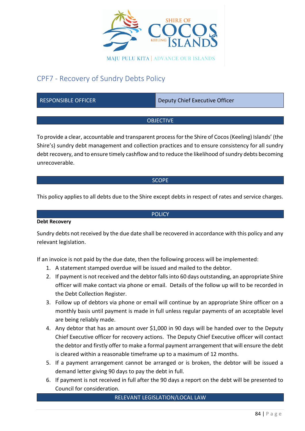

# CPF7 - Recovery of Sundry Debts Policy

| <b>RESPONSIBLE OFFICER</b> | Deputy Chief Executive Officer |  |  |  |
|----------------------------|--------------------------------|--|--|--|
|                            |                                |  |  |  |
| <b>OBJECTIVE</b>           |                                |  |  |  |

To provide a clear, accountable and transparent process for the Shire of Cocos (Keeling) Islands' (the Shire's) sundry debt management and collection practices and to ensure consistency for all sundry debt recovery, and to ensure timely cashflow and to reduce the likelihood of sundry debts becoming unrecoverable.

#### **SCOPE**

This policy applies to all debts due to the Shire except debts in respect of rates and service charges.

POLICY

## **Debt Recovery**

Sundry debts not received by the due date shall be recovered in accordance with this policy and any relevant legislation.

If an invoice is not paid by the due date, then the following process will be implemented:

- 1. A statement stamped overdue will be issued and mailed to the debtor.
- 2. If payment is not received and the debtor falls into 60 days outstanding, an appropriate Shire officer will make contact via phone or email. Details of the follow up will to be recorded in the Debt Collection Register.
- 3. Follow up of debtors via phone or email will continue by an appropriate Shire officer on a monthly basis until payment is made in full unless regular payments of an acceptable level are being reliably made.
- 4. Any debtor that has an amount over \$1,000 in 90 days will be handed over to the Deputy Chief Executive officer for recovery actions. The Deputy Chief Executive officer will contact the debtor and firstly offer to make a formal payment arrangement that will ensure the debt is cleared within a reasonable timeframe up to a maximum of 12 months.
- 5. If a payment arrangement cannot be arranged or is broken, the debtor will be issued a demand letter giving 90 days to pay the debt in full.
- 6. If payment is not received in full after the 90 days a report on the debt will be presented to Council for consideration.

#### RELEVANT LEGISLATION/LOCAL LAW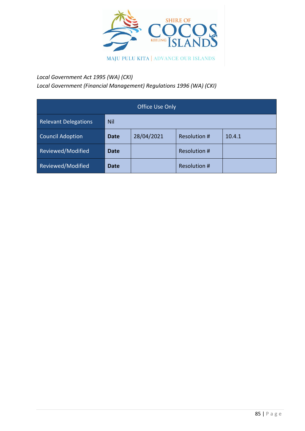

## *Local Government Act 1995 (WA) (CKI)*

*Local Government (Financial Management) Regulations 1996 (WA) (CKI)*

| Office Use Only             |                                              |  |              |  |  |
|-----------------------------|----------------------------------------------|--|--------------|--|--|
| <b>Relevant Delegations</b> | <b>Nil</b>                                   |  |              |  |  |
| <b>Council Adoption</b>     | 28/04/2021<br>Resolution #<br>10.4.1<br>Date |  |              |  |  |
| Reviewed/Modified           | <b>Date</b>                                  |  | Resolution # |  |  |
| Reviewed/Modified           | <b>Date</b>                                  |  | Resolution # |  |  |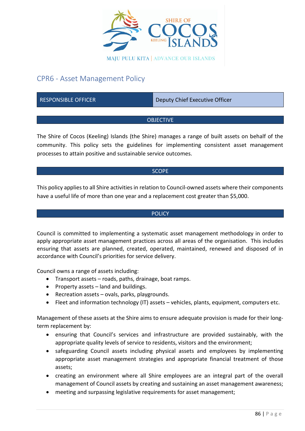

# CPR6 - Asset Management Policy

RESPONSIBLE OFFICER DEPAPDMENT DEPUTY Chief Executive Officer

## **OBJECTIVE**

The Shire of Cocos (Keeling) Islands (the Shire) manages a range of built assets on behalf of the community. This policy sets the guidelines for implementing consistent asset management processes to attain positive and sustainable service outcomes.

## **SCOPE**

This policy applies to all Shire activities in relation to Council-owned assets where their components have a useful life of more than one year and a replacement cost greater than \$5,000.

## **POLICY**

Council is committed to implementing a systematic asset management methodology in order to apply appropriate asset management practices across all areas of the organisation. This includes ensuring that assets are planned, created, operated, maintained, renewed and disposed of in accordance with Council's priorities for service delivery.

Council owns a range of assets including:

- Transport assets roads, paths, drainage, boat ramps.
- Property assets land and buildings.
- Recreation assets ovals, parks, playgrounds.
- Fleet and information technology (IT) assets vehicles, plants, equipment, computers etc.

Management of these assets at the Shire aims to ensure adequate provision is made for their longterm replacement by:

- ensuring that Council's services and infrastructure are provided sustainably, with the appropriate quality levels of service to residents, visitors and the environment;
- safeguarding Council assets including physical assets and employees by implementing appropriate asset management strategies and appropriate financial treatment of those assets;
- creating an environment where all Shire employees are an integral part of the overall management of Council assets by creating and sustaining an asset management awareness;
- meeting and surpassing legislative requirements for asset management;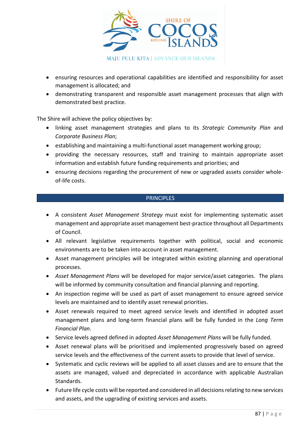

- ensuring resources and operational capabilities are identified and responsibility for asset management is allocated; and
- demonstrating transparent and responsible asset management processes that align with demonstrated best practice.

The Shire will achieve the policy objectives by:

- linking asset management strategies and plans to its *Strategic Community Plan* and *Corporate Business Plan*;
- establishing and maintaining a multi-functional asset management working group;
- providing the necessary resources, staff and training to maintain appropriate asset information and establish future funding requirements and priorities; and
- ensuring decisions regarding the procurement of new or upgraded assets consider wholeof-life costs.

#### **PRINCIPLES**

- A consistent *Asset Management Strategy* must exist for implementing systematic asset management and appropriate asset management best-practice throughout all Departments of Council.
- All relevant legislative requirements together with political, social and economic environments are to be taken into account in asset management.
- Asset management principles will be integrated within existing planning and operational processes.
- *Asset Management Plans* will be developed for major service/asset categories. The plans will be informed by community consultation and financial planning and reporting.
- An inspection regime will be used as part of asset management to ensure agreed service levels are maintained and to identify asset renewal priorities.
- Asset renewals required to meet agreed service levels and identified in adopted asset management plans and long-term financial plans will be fully funded in the *Long Term Financial Plan*.
- Service levels agreed defined in adopted *Asset Management Plans* will be fully funded.
- Asset renewal plans will be prioritised and implemented progressively based on agreed service levels and the effectiveness of the current assets to provide that level of service.
- Systematic and cyclic reviews will be applied to all asset classes and are to ensure that the assets are managed, valued and depreciated in accordance with applicable Australian Standards.
- Future life cycle costs will be reported and considered in all decisions relating to new services and assets, and the upgrading of existing services and assets.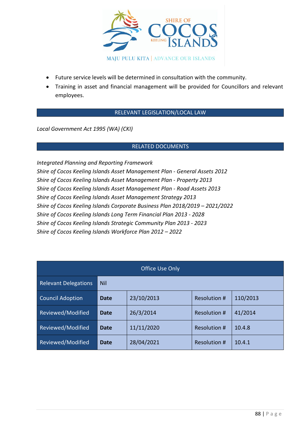

- Future service levels will be determined in consultation with the community.
- Training in asset and financial management will be provided for Councillors and relevant employees.

## RELEVANT LEGISLATION/LOCAL LAW

*Local Government Act 1995 (WA) (CKI)*

## RELATED DOCUMENTS

*Integrated Planning and Reporting Framework Shire of Cocos Keeling Islands Asset Management Plan - General Assets 2012 Shire of Cocos Keeling Islands Asset Management Plan* - *Property 2013 Shire of Cocos Keeling Islands Asset Management Plan - Road Assets 2013 Shire of Cocos Keeling Islands Asset Management Strategy 2013 Shire of Cocos Keeling Islands Corporate Business Plan 2018/2019 – 2021/2022 Shire of Cocos Keeling Islands Long Term Financial Plan 2013 - 2028 Shire of Cocos Keeling Islands Strategic Community Plan 2013 - 2023 Shire of Cocos Keeling Islands Workforce Plan 2012 – 2022*

| Office Use Only             |             |            |                     |          |  |
|-----------------------------|-------------|------------|---------------------|----------|--|
| <b>Relevant Delegations</b> | Nil         |            |                     |          |  |
| <b>Council Adoption</b>     | Date        | 23/10/2013 | Resolution #        | 110/2013 |  |
| Reviewed/Modified           | <b>Date</b> | 26/3/2014  | <b>Resolution #</b> | 41/2014  |  |
| Reviewed/Modified           | <b>Date</b> | 11/11/2020 | <b>Resolution #</b> | 10.4.8   |  |
| Reviewed/Modified           | Date        | 28/04/2021 | <b>Resolution #</b> | 10.4.1   |  |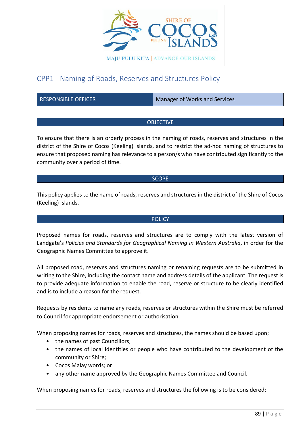

# CPP1 - Naming of Roads, Reserves and Structures Policy

RESPONSIBLE OFFICER Manager of Works and Services

## **OBJECTIVE**

To ensure that there is an orderly process in the naming of roads, reserves and structures in the district of the Shire of Cocos (Keeling) Islands, and to restrict the ad-hoc naming of structures to ensure that proposed naming has relevance to a person/s who have contributed significantly to the community over a period of time.

#### **SCOPE**

This policy applies to the name of roads, reserves and structures in the district of the Shire of Cocos (Keeling) Islands.

## **POLICY**

Proposed names for roads, reserves and structures are to comply with the latest version of Landgate's *Policies and Standards for Geographical Naming in Western Australia*, in order for the Geographic Names Committee to approve it.

All proposed road, reserves and structures naming or renaming requests are to be submitted in writing to the Shire, including the contact name and address details of the applicant. The request is to provide adequate information to enable the road, reserve or structure to be clearly identified and is to include a reason for the request.

Requests by residents to name any roads, reserves or structures within the Shire must be referred to Council for appropriate endorsement or authorisation.

When proposing names for roads, reserves and structures, the names should be based upon;

- the names of past Councillors:
- the names of local identities or people who have contributed to the development of the community or Shire;
- Cocos Malay words; or
- any other name approved by the Geographic Names Committee and Council.

When proposing names for roads, reserves and structures the following is to be considered: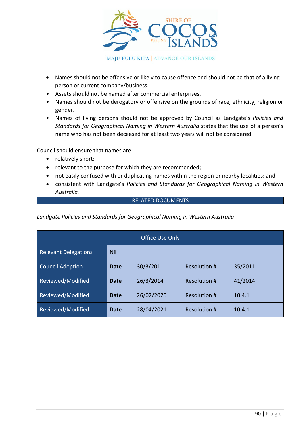

- Names should not be offensive or likely to cause offence and should not be that of a living person or current company/business.
- Assets should not be named after commercial enterprises.
- Names should not be derogatory or offensive on the grounds of race, ethnicity, religion or gender.
- Names of living persons should not be approved by Council as Landgate's *Policies and Standards for Geographical Naming in Western Australia* states that the use of a person's name who has not been deceased for at least two years will not be considered.

Council should ensure that names are:

- relatively short;
- relevant to the purpose for which they are recommended;
- not easily confused with or duplicating names within the region or nearby localities; and
- consistent with Landgate's *Policies and Standards for Geographical Naming in Western Australia.*

## RELATED DOCUMENTS

*Landgate Policies and Standards for Geographical Naming in Western Australia*

| <b>Office Use Only</b>      |             |            |              |         |
|-----------------------------|-------------|------------|--------------|---------|
| <b>Relevant Delegations</b> | <b>Nil</b>  |            |              |         |
| <b>Council Adoption</b>     | <b>Date</b> | 30/3/2011  | Resolution # | 35/2011 |
| Reviewed/Modified           | Date        | 26/3/2014  | Resolution # | 41/2014 |
| Reviewed/Modified           | Date        | 26/02/2020 | Resolution # | 10.4.1  |
| Reviewed/Modified           | Date        | 28/04/2021 | Resolution # | 10.4.1  |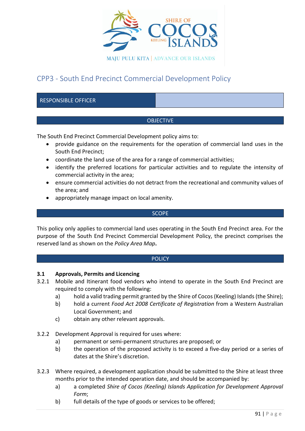

# CPP3 - South End Precinct Commercial Development Policy

## RESPONSIBLE OFFICER

## **OBJECTIVE**

The South End Precinct Commercial Development policy aims to:

- provide guidance on the requirements for the operation of commercial land uses in the South End Precinct;
- coordinate the land use of the area for a range of commercial activities;
- identify the preferred locations for particular activities and to regulate the intensity of commercial activity in the area;
- ensure commercial activities do not detract from the recreational and community values of the area; and
- appropriately manage impact on local amenity.

#### **SCOPE**

This policy only applies to commercial land uses operating in the South End Precinct area. For the purpose of the South End Precinct Commercial Development Policy, the precinct comprises the reserved land as shown on the *Policy Area Map***.**

## **POLICY**

## **3.1 Approvals, Permits and Licencing**

- 3.2.1 Mobile and Itinerant food vendors who intend to operate in the South End Precinct are required to comply with the following:
	- a) hold a valid trading permit granted by the Shire of Cocos (Keeling) Islands (the Shire);
	- b) hold a current *Food Act 2008 Certificate of Registration* from a Western Australian Local Government; and
	- c) obtain any other relevant approvals.
- 3.2.2 Development Approval is required for uses where:
	- a) permanent or semi-permanent structures are proposed; or
	- b) the operation of the proposed activity is to exceed a five-day period or a series of dates at the Shire's discretion.
- 3.2.3 Where required, a development application should be submitted to the Shire at least three months prior to the intended operation date, and should be accompanied by:
	- a) a completed *Shire of Cocos (Keeling) Islands Application for Development Approval Form*;
	- b) full details of the type of goods or services to be offered;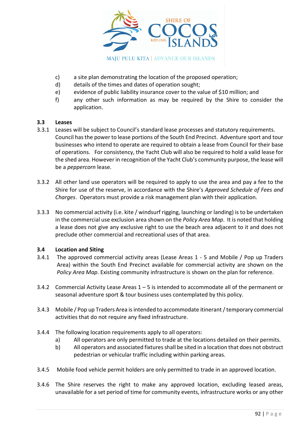

- c) a site plan demonstrating the location of the proposed operation;
- d) details of the times and dates of operation sought;
- e) evidence of public liability insurance cover to the value of \$10 million; and
- f) any other such information as may be required by the Shire to consider the application.

## **3.3 Leases**

- 3.3.1 Leases will be subject to Council's standard lease processes and statutory requirements. Council has the power to lease portions of the South End Precinct. Adventure sport and tour businesses who intend to operate are required to obtain a lease from Council for their base of operations. For consistency, the Yacht Club will also be required to hold a valid lease for the shed area. However in recognition of the Yacht Club's community purpose, the lease will be a *peppercorn* lease.
- 3.3.2 All other land use operators will be required to apply to use the area and pay a fee to the Shire for use of the reserve, in accordance with the Shire's *Approved Schedule of Fees and Charges*. Operators must provide a risk management plan with their application.
- 3.3.3 No commercial activity (i.e. kite / windsurf rigging, launching or landing) is to be undertaken in the commercial use exclusion area shown on the *Policy Area Map*. It is noted that holding a lease does not give any exclusive right to use the beach area adjacent to it and does not preclude other commercial and recreational uses of that area.

## **3.4 Location and Siting**

- 3.4.1 The approved commercial activity areas (Lease Areas 1 5 and Mobile / Pop up Traders Area) within the South End Precinct available for commercial activity are shown on the *Policy Area Map*. Existing community infrastructure is shown on the plan for reference.
- 3.4.2 Commercial Activity Lease Areas  $1 5$  is intended to accommodate all of the permanent or seasonal adventure sport & tour business uses contemplated by this policy.
- 3.4.3 Mobile / Pop up Traders Area is intended to accommodate itinerant / temporary commercial activities that do not require any fixed infrastructure.
- 3.4.4 The following location requirements apply to all operators:
	- a) All operators are only permitted to trade at the locations detailed on their permits.
	- b) All operators and associated fixtures shall be sited in a location that does not obstruct pedestrian or vehicular traffic including within parking areas.
- 3.4.5 Mobile food vehicle permit holders are only permitted to trade in an approved location.
- 3.4.6 The Shire reserves the right to make any approved location, excluding leased areas, unavailable for a set period of time for community events, infrastructure works or any other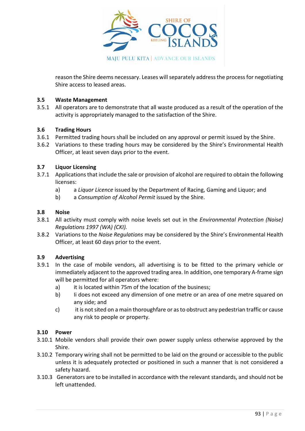

reason the Shire deems necessary. Leases will separately address the process for negotiating Shire access to leased areas.

## **3.5 Waste Management**

3.5.1 All operators are to demonstrate that all waste produced as a result of the operation of the activity is appropriately managed to the satisfaction of the Shire.

## **3.6 Trading Hours**

- 3.6.1 Permitted trading hours shall be included on any approval or permit issued by the Shire.
- 3.6.2 Variations to these trading hours may be considered by the Shire's Environmental Health Officer, at least seven days prior to the event.

## **3.7 Liquor Licensing**

- 3.7.1 Applications that include the sale or provision of alcohol are required to obtain the following licenses:
	- a) a *Liquor Licence* issued by the Department of Racing, Gaming and Liquor; and
	- b) a *Consumption of Alcohol Permit* issued by the Shire.

## **3.8 Noise**

- 3.8.1 All activity must comply with noise levels set out in the *Environmental Protection (Noise) Regulations 1997 (WA) (CKI).*
- 3.8.2 Variations to the *Noise Regulations* may be considered by the Shire's Environmental Health Officer, at least 60 days prior to the event.

## **3.9 Advertising**

- 3.9.1 In the case of mobile vendors, all advertising is to be fitted to the primary vehicle or immediately adjacent to the approved trading area. In addition, one temporary A-frame sign will be permitted for all operators where:
	- a) it is located within 75m of the location of the business:
	- b) Ii does not exceed any dimension of one metre or an area of one metre squared on any side; and
	- c) it is not sited on a main thoroughfare or as to obstruct any pedestrian traffic or cause any risk to people or property.

## **3.10 Power**

- 3.10.1 Mobile vendors shall provide their own power supply unless otherwise approved by the Shire.
- 3.10.2 Temporary wiring shall not be permitted to be laid on the ground or accessible to the public unless it is adequately protected or positioned in such a manner that is not considered a safety hazard.
- 3.10.3 Generators are to be installed in accordance with the relevant standards, and should not be left unattended.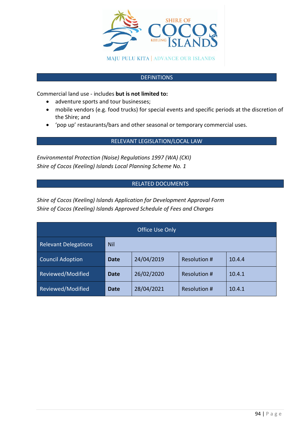

## **DEFINITIONS**

Commercial land use - includes **but is not limited to:** 

- adventure sports and tour businesses;
- mobile vendors (e.g. food trucks) for special events and specific periods at the discretion of the Shire; and
- 'pop up' restaurants/bars and other seasonal or temporary commercial uses.

## RELEVANT LEGISLATION/LOCAL LAW

*Environmental Protection (Noise) Regulations 1997 (WA) (CKI) Shire of Cocos (Keeling) Islands Local Planning Scheme No. 1*

## RELATED DOCUMENTS

*Shire of Cocos (Keeling) Islands Application for Development Approval Form Shire of Cocos (Keeling) Islands Approved Schedule of Fees and Charges*

| <b>Office Use Only</b>      |             |            |                     |        |  |
|-----------------------------|-------------|------------|---------------------|--------|--|
| <b>Relevant Delegations</b> | <b>Nil</b>  |            |                     |        |  |
| <b>Council Adoption</b>     | <b>Date</b> | 24/04/2019 | Resolution #        | 10.4.4 |  |
| Reviewed/Modified           | <b>Date</b> | 26/02/2020 | <b>Resolution #</b> | 10.4.1 |  |
| Reviewed/Modified           | Date        | 28/04/2021 | <b>Resolution #</b> | 10.4.1 |  |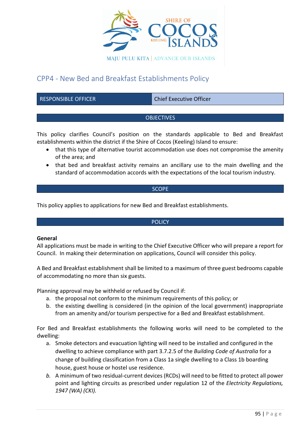

# CPP4 - New Bed and Breakfast Establishments Policy

RESPONSIBLE OFFICER CHIEF CHIEF Chief Executive Officer

## **OBJECTIVES**

This policy clarifies Council's position on the standards applicable to Bed and Breakfast establishments within the district if the Shire of Cocos (Keeling) Island to ensure:

- that this type of alternative tourist accommodation use does not compromise the amenity of the area; and
- that bed and breakfast activity remains an ancillary use to the main dwelling and the standard of accommodation accords with the expectations of the local tourism industry.

## **SCOPE**

This policy applies to applications for new Bed and Breakfast establishments.

## **POLICY**

## **General**

All applications must be made in writing to the Chief Executive Officer who will prepare a report for Council. In making their determination on applications, Council will consider this policy.

A Bed and Breakfast establishment shall be limited to a maximum of three guest bedrooms capable of accommodating no more than six guests.

Planning approval may be withheld or refused by Council if:

- a. the proposal not conform to the minimum requirements of this policy; or
- b. the existing dwelling is considered (in the opinion of the local government) inappropriate from an amenity and/or tourism perspective for a Bed and Breakfast establishment.

For Bed and Breakfast establishments the following works will need to be completed to the dwelling:

- a. Smoke detectors and evacuation lighting will need to be installed and configured in the dwelling to achieve compliance with part 3.7.2.5 of the *Building Code of Australia* for a change of building classification from a Class 1a single dwelling to a Class 1b boarding house, guest house or hostel use residence.
- *b.* A minimum of two residual-current devices (RCDs) will need to be fitted to protect all power point and lighting circuits as prescribed under regulation 12 of the *Electricity Regulations, 1947 (WA) (CKI).*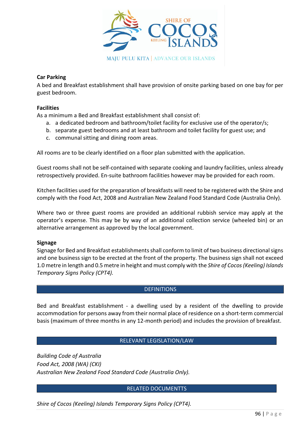

## **Car Parking**

A bed and Breakfast establishment shall have provision of onsite parking based on one bay for per guest bedroom.

## **Facilities**

As a minimum a Bed and Breakfast establishment shall consist of:

- a. a dedicated bedroom and bathroom/toilet facility for exclusive use of the operator/s;
- b. separate guest bedrooms and at least bathroom and toilet facility for guest use; and
- c. communal sitting and dining room areas.

All rooms are to be clearly identified on a floor plan submitted with the application.

Guest rooms shall not be self-contained with separate cooking and laundry facilities, unless already retrospectively provided. En-suite bathroom facilities however may be provided for each room.

Kitchen facilities used for the preparation of breakfasts will need to be registered with the Shire and comply with the Food Act, 2008 and Australian New Zealand Food Standard Code (Australia Only).

Where two or three guest rooms are provided an additional rubbish service may apply at the operator's expense. This may be by way of an additional collection service (wheeled bin) or an alternative arrangement as approved by the local government.

## **Signage**

Signage for Bed and Breakfast establishments shall conform to limit of two business directional signs and one business sign to be erected at the front of the property. The business sign shall not exceed 1.0 metre in length and 0.5 metre in height and must comply with the *Shire of Cocos (Keeling) Islands Temporary Signs Policy (CPT4).*

## **DEFINITIONS**

Bed and Breakfast establishment - a dwelling used by a resident of the dwelling to provide accommodation for persons away from their normal place of residence on a short-term commercial basis (maximum of three months in any 12-month period) and includes the provision of breakfast.

## RELEVANT LEGISLATION/LAW

*Building Code of Australia Food Act, 2008 (WA) (CKI) Australian New Zealand Food Standard Code (Australia Only).*

## RELATED DOCUMENTTS

*Shire of Cocos (Keeling) Islands Temporary Signs Policy (CPT4).*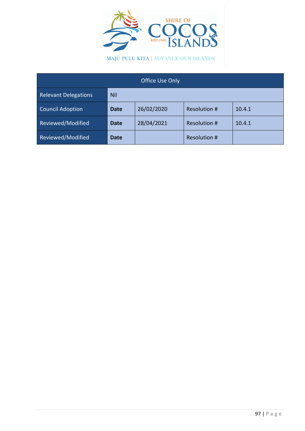

MAJU PULU KITA | ADVANCE OUR ISLANDS

| <b>Office Use Only</b>      |             |            |              |        |  |
|-----------------------------|-------------|------------|--------------|--------|--|
| <b>Relevant Delegations</b> | <b>Nil</b>  |            |              |        |  |
| <b>Council Adoption</b>     | <b>Date</b> | 26/02/2020 | Resolution # | 10.4.1 |  |
| Reviewed/Modified           | <b>Date</b> | 28/04/2021 | Resolution # | 10.4.1 |  |
| Reviewed/Modified           | <b>Date</b> |            | Resolution # |        |  |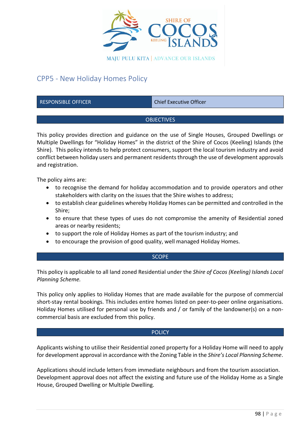

# CPP5 - New Holiday Homes Policy

RESPONSIBLE OFFICER CHIEF CHIEF Chief Executive Officer

## **OBJECTIVES**

This policy provides direction and guidance on the use of Single Houses, Grouped Dwellings or Multiple Dwellings for "Holiday Homes" in the district of the Shire of Cocos (Keeling) Islands (the Shire). This policy intends to help protect consumers, support the local tourism industry and avoid conflict between holiday users and permanent residents through the use of development approvals and registration.

The policy aims are:

- to recognise the demand for holiday accommodation and to provide operators and other stakeholders with clarity on the issues that the Shire wishes to address;
- to establish clear guidelines whereby Holiday Homes can be permitted and controlled in the Shire;
- to ensure that these types of uses do not compromise the amenity of Residential zoned areas or nearby residents;
- to support the role of Holiday Homes as part of the tourism industry; and
- to encourage the provision of good quality, well managed Holiday Homes.

#### **SCOPE**

This policy is applicable to all land zoned Residential under the *Shire of Cocos (Keeling) Islands Local Planning Scheme.*

This policy only applies to Holiday Homes that are made available for the purpose of commercial short-stay rental bookings. This includes entire homes listed on peer-to-peer online organisations. Holiday Homes utilised for personal use by friends and / or family of the landowner(s) on a noncommercial basis are excluded from this policy.

#### **POLICY**

Applicants wishing to utilise their Residential zoned property for a Holiday Home will need to apply for development approval in accordance with the Zoning Table in the *Shire's Local Planning Scheme*.

Applications should include letters from immediate neighbours and from the tourism association. Development approval does not affect the existing and future use of the Holiday Home as a Single House, Grouped Dwelling or Multiple Dwelling.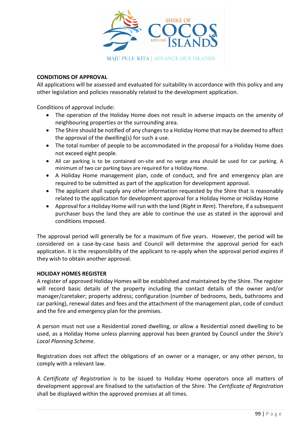

## **CONDITIONS OF APPROVAL**

All applications will be assessed and evaluated for suitability in accordance with this policy and any other legislation and policies reasonably related to the development application.

Conditions of approval include:

- The operation of the Holiday Home does not result in adverse impacts on the amenity of neighbouring properties or the surrounding area.
- The Shire should be notified of any changes to a Holiday Home that may be deemed to affect the approval of the dwelling(s) for such a use.
- The total number of people to be accommodated in the proposal for a Holiday Home does not exceed eight people.
- All car parking is to be contained on-site and no verge area should be used for car parking. A minimum of two car parking bays are required for a Holiday Home.
- A Holiday Home management plan, code of conduct, and fire and emergency plan are required to be submitted as part of the application for development approval.
- The applicant shall supply any other information requested by the Shire that is reasonably related to the application for development approval for a Holiday Home or Holiday Home
- Approval for a Holiday Home will run with the land (*Right in Rem*). Therefore, if a subsequent purchaser buys the land they are able to continue the use as stated in the approval and conditions imposed.

The approval period will generally be for a maximum of five years. However, the period will be considered on a case-by-case basis and Council will determine the approval period for each application. It is the responsibility of the applicant to re-apply when the approval period expires if they wish to obtain another approval.

## **HOLIDAY HOMES REGISTER**

A register of approved Holiday Homes will be established and maintained by the Shire. The register will record basic details of the property including the contact details of the owner and/or manager/caretaker; property address; configuration (number of bedrooms, beds, bathrooms and car parking), renewal dates and fees and the attachment of the management plan, code of conduct and the fire and emergency plan for the premises.

A person must not use a Residential zoned dwelling, or allow a Residential zoned dwelling to be used, as a Holiday Home unless planning approval has been granted by Council under the *Shire's Local Planning Scheme.*

Registration does not affect the obligations of an owner or a manager, or any other person, to comply with a relevant law.

A *Certificate of Registration* is to be issued to Holiday Home operators once all matters of development approval are finalised to the satisfaction of the Shire. The *Certificate of Registration* shall be displayed within the approved premises at all times.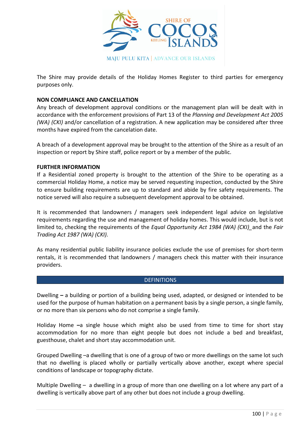

The Shire may provide details of the Holiday Homes Register to third parties for emergency purposes only.

## **NON COMPLIANCE AND CANCELLATION**

Any breach of development approval conditions or the management plan will be dealt with in accordance with the enforcement provisions of Part 13 of the *Planning and Development Act 2005 (WA) (CKI)* and/or cancellation of a registration. A new application may be considered after three months have expired from the cancelation date.

A breach of a development approval may be brought to the attention of the Shire as a result of an inspection or report by Shire staff, police report or by a member of the public.

## **FURTHER INFORMATION**

If a Residential zoned property is brought to the attention of the Shire to be operating as a commercial Holiday Home, a notice may be served requesting inspection, conducted by the Shire to ensure building requirements are up to standard and abide by fire safety requirements. The notice served will also require a subsequent development approval to be obtained.

It is recommended that landowners / managers seek independent legal advice on legislative requirements regarding the use and management of holiday homes. This would include, but is not limited to, checking the requirements of the *Equal Opportunity Act 1984 (WA) (CKI)\_*and the *Fair Trading Act 1987 (WA) (CKI)*.

As many residential public liability insurance policies exclude the use of premises for short-term rentals, it is recommended that landowners / managers check this matter with their insurance providers.

#### **DEFINITIONS**

Dwelling **–** a building or portion of a building being used, adapted, or designed or intended to be used for the purpose of human habitation on a permanent basis by a single person, a single family, or no more than six persons who do not comprise a single family.

Holiday Home **–**a single house which might also be used from time to time for short stay accommodation for no more than eight people but does not include a bed and breakfast, guesthouse, chalet and short stay accommodation unit.

Grouped Dwelling –a dwelling that is one of a group of two or more dwellings on the same lot such that no dwelling is placed wholly or partially vertically above another, except where special conditions of landscape or topography dictate.

Multiple Dwelling – a dwelling in a group of more than one dwelling on a lot where any part of a dwelling is vertically above part of any other but does not include a group dwelling.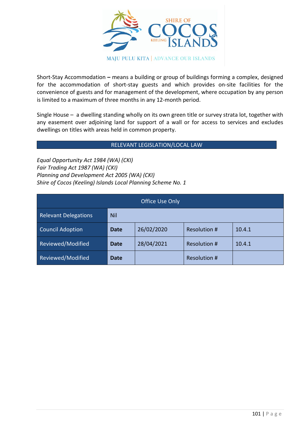

Short-Stay Accommodation **–** means a building or group of buildings forming a complex, designed for the accommodation of short-stay guests and which provides on-site facilities for the convenience of guests and for management of the development, where occupation by any person is limited to a maximum of three months in any 12-month period.

Single House – a dwelling standing wholly on its own green title or survey strata lot, together with any easement over adjoining land for support of a wall or for access to services and excludes dwellings on titles with areas held in common property.

## RELEVANT LEGISLATION/LOCAL LAW

*Equal Opportunity Act 1984 (WA) (CKI) Fair Trading Act 1987 (WA) (CKI) Planning and Development Act 2005 (WA) (CKI) Shire of Cocos (Keeling) Islands Local Planning Scheme No. 1*

| <b>Office Use Only</b>      |             |            |              |        |  |
|-----------------------------|-------------|------------|--------------|--------|--|
| <b>Relevant Delegations</b> | <b>Nil</b>  |            |              |        |  |
| <b>Council Adoption</b>     | <b>Date</b> | 26/02/2020 | Resolution # | 10.4.1 |  |
| Reviewed/Modified           | Date        | 28/04/2021 | Resolution # | 10.4.1 |  |
| Reviewed/Modified           | <b>Date</b> |            | Resolution # |        |  |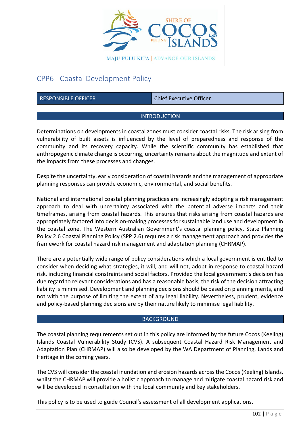

# CPP6 - Coastal Development Policy

RESPONSIBLE OFFICER CHIEF Chief Executive Officer

## **INTRODUCTION**

Determinations on developments in coastal zones must consider coastal risks. The risk arising from vulnerability of built assets is influenced by the level of preparedness and response of the community and its recovery capacity. While the scientific community has established that anthropogenic climate change is occurring, uncertainty remains about the magnitude and extent of the impacts from these processes and changes.

Despite the uncertainty, early consideration of coastal hazards and the management of appropriate planning responses can provide economic, environmental, and social benefits.

National and international coastal planning practices are increasingly adopting a risk management approach to deal with uncertainty associated with the potential adverse impacts and their timeframes, arising from coastal hazards. This ensures that risks arising from coastal hazards are appropriately factored into decision-making processes for sustainable land use and development in the coastal zone. The Western Australian Government's coastal planning policy, State Planning Policy 2.6 Coastal Planning Policy (SPP 2.6) requires a risk management approach and provides the framework for coastal hazard risk management and adaptation planning (CHRMAP).

There are a potentially wide range of policy considerations which a local government is entitled to consider when deciding what strategies, it will, and will not, adopt in response to coastal hazard risk, including financial constraints and social factors. Provided the local government's decision has due regard to relevant considerations and has a reasonable basis, the risk of the decision attracting liability is minimised. Development and planning decisions should be based on planning merits, and not with the purpose of limiting the extent of any legal liability. Nevertheless, prudent, evidence and policy-based planning decisions are by their nature likely to minimise legal liability.

## **BACKGROUND**

The coastal planning requirements set out in this policy are informed by the future Cocos (Keeling) Islands Coastal Vulnerability Study (CVS). A subsequent Coastal Hazard Risk Management and Adaptation Plan (CHRMAP) will also be developed by the WA Department of Planning, Lands and Heritage in the coming years.

The CVS will consider the coastal inundation and erosion hazards across the Cocos (Keeling) Islands, whilst the CHRMAP will provide a holistic approach to manage and mitigate coastal hazard risk and will be developed in consultation with the local community and key stakeholders.

This policy is to be used to guide Council's assessment of all development applications.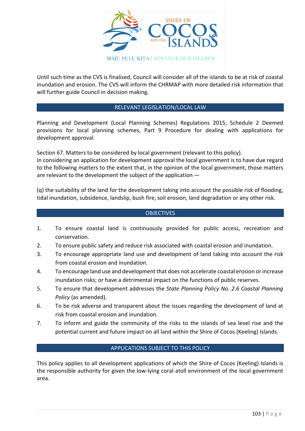

Until such time as the CVS is finalised, Council will consider all of the islands to be at risk of coastal inundation and erosion. The CVS will inform the CHRMAP with more detailed risk information that will further guide Council in decision making.

## RELEVANT LEGISLATION/LOCAL LAW

Planning and Development (Local Planning Schemes) Regulations 2015; Schedule 2 Deemed provisions for local planning schemes, Part 9 Procedure for dealing with applications for development approval

Section 67. Matters to be considered by local government (relevant to this policy). In considering an application for development approval the local government is to have due regard to the following matters to the extent that, in the opinion of the local government, those matters are relevant to the development the subject of the application —

(q) the suitability of the land for the development taking into account the possible risk of flooding, tidal inundation, subsidence, landslip, bush fire, soil erosion, land degradation or any other risk.

## **OBJECTIVES**

- 1. To ensure coastal land is continuously provided for public access, recreation and conservation.
- 2. To ensure public safety and reduce risk associated with coastal erosion and inundation.
- 3. To encourage appropriate land use and development of land taking into account the risk from coastal erosion and inundation.
- 4. To encourage land use and development that does not accelerate coastal erosion or increase inundation risks; or have a detrimental impact on the functions of public reserves.
- 5. To ensure that development addresses the *State Planning Policy No. 2.6 Coastal Planning Policy* (as amended).
- 6. To be risk adverse and transparent about the issues regarding the development of land at risk from coastal erosion and inundation.
- 7. To inform and guide the community of the risks to the islands of sea level rise and the potential current and future impact on all land within the Shire of Cocos (Keeling) Islands.

## APPLICATIONS SUBJECT TO THIS POLICY

This policy applies to all development applications of which the Shire of Cocos (Keeling) Islands is the responsible authority for given the low-lying coral atoll environment of the local government area.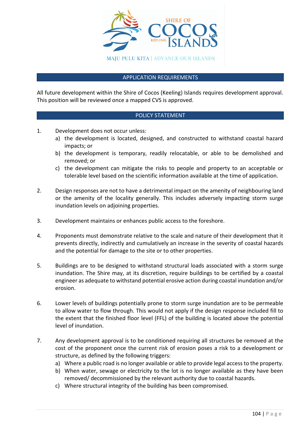

#### APPLICATION REQUIREMENTS

All future development within the Shire of Cocos (Keeling) Islands requires development approval. This position will be reviewed once a mapped CVS is approved.

## POLICY STATEMENT

- 1. Development does not occur unless:
	- a) the development is located, designed, and constructed to withstand coastal hazard impacts; or
	- b) the development is temporary, readily relocatable, or able to be demolished and removed; or
	- c) the development can mitigate the risks to people and property to an acceptable or tolerable level based on the scientific information available at the time of application.
- 2. Design responses are not to have a detrimental impact on the amenity of neighbouring land or the amenity of the locality generally. This includes adversely impacting storm surge inundation levels on adjoining properties.
- 3. Development maintains or enhances public access to the foreshore.
- 4. Proponents must demonstrate relative to the scale and nature of their development that it prevents directly, indirectly and cumulatively an increase in the severity of coastal hazards and the potential for damage to the site or to other properties.
- 5. Buildings are to be designed to withstand structural loads associated with a storm surge inundation. The Shire may, at its discretion, require buildings to be certified by a coastal engineer as adequate to withstand potential erosive action during coastal inundation and/or erosion.
- 6. Lower levels of buildings potentially prone to storm surge inundation are to be permeable to allow water to flow through. This would not apply if the design response included fill to the extent that the finished floor level (FFL) of the building is located above the potential level of inundation.
- 7. Any development approval is to be conditioned requiring all structures be removed at the cost of the proponent once the current risk of erosion poses a risk to a development or structure, as defined by the following triggers:
	- a) Where a public road is no longer available or able to provide legal access to the property.
	- b) When water, sewage or electricity to the lot is no longer available as they have been removed/ decommissioned by the relevant authority due to coastal hazards.
	- c) Where structural integrity of the building has been compromised.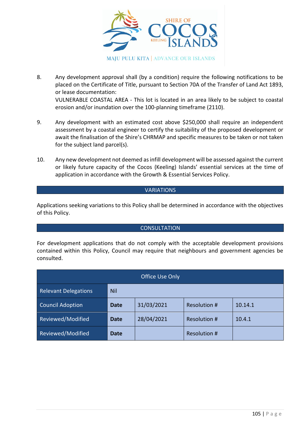

- 8. Any development approval shall (by a condition) require the following notifications to be placed on the Certificate of Title, pursuant to Section 70A of the Transfer of Land Act 1893, or lease documentation: VULNERABLE COASTAL AREA - This lot is located in an area likely to be subject to coastal erosion and/or inundation over the 100-planning timeframe (2110).
- 9. Any development with an estimated cost above \$250,000 shall require an independent assessment by a coastal engineer to certify the suitability of the proposed development or await the finalisation of the Shire's CHRMAP and specific measures to be taken or not taken for the subject land parcel(s).
- 10. Any new development not deemed as infill development will be assessed against the current or likely future capacity of the Cocos (Keeling) Islands' essential services at the time of application in accordance with the Growth & Essential Services Policy.

## VARIATIONS

Applications seeking variations to this Policy shall be determined in accordance with the objectives of this Policy.

## **CONSULTATION**

For development applications that do not comply with the acceptable development provisions contained within this Policy, Council may require that neighbours and government agencies be consulted.

| Office Use Only             |             |            |              |         |  |
|-----------------------------|-------------|------------|--------------|---------|--|
| <b>Relevant Delegations</b> | <b>Nil</b>  |            |              |         |  |
| <b>Council Adoption</b>     | <b>Date</b> | 31/03/2021 | Resolution # | 10.14.1 |  |
| Reviewed/Modified           | Date        | 28/04/2021 | Resolution # | 10.4.1  |  |
| Reviewed/Modified           | <b>Date</b> |            | Resolution # |         |  |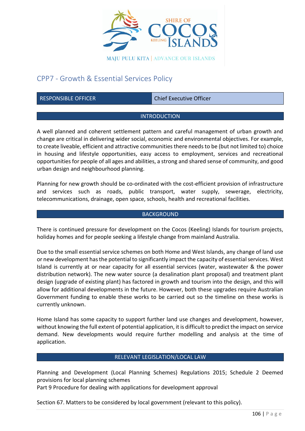

# CPP7 - Growth & Essential Services Policy

RESPONSIBLE OFFICER CHIEF Chief Executive Officer

#### **INTRODUCTION**

A well planned and coherent settlement pattern and careful management of urban growth and change are critical in delivering wider social, economic and environmental objectives. For example, to create liveable, efficient and attractive communities there needs to be (but not limited to) choice in housing and lifestyle opportunities, easy access to employment, services and recreational opportunities for people of all ages and abilities, a strong and shared sense of community, and good urban design and neighbourhood planning.

Planning for new growth should be co-ordinated with the cost-efficient provision of infrastructure and services such as roads, public transport, water supply, sewerage, electricity, telecommunications, drainage, open space, schools, health and recreational facilities.

#### **BACKGROUND**

There is continued pressure for development on the Cocos (Keeling) Islands for tourism projects, holiday homes and for people seeking a lifestyle change from mainland Australia.

Due to the small essential service schemes on both Home and West Islands, any change of land use or new development has the potential to significantly impact the capacity of essential services. West Island is currently at or near capacity for all essential services (water, wastewater & the power distribution network). The new water source (a desalination plant proposal) and treatment plant design (upgrade of existing plant) has factored in growth and tourism into the design, and this will allow for additional developments in the future. However, both these upgrades require Australian Government funding to enable these works to be carried out so the timeline on these works is currently unknown.

Home Island has some capacity to support further land use changes and development, however, without knowing the full extent of potential application, it is difficult to predict the impact on service demand. New developments would require further modelling and analysis at the time of application.

## RELEVANT LEGISLATION/LOCAL LAW

Planning and Development (Local Planning Schemes) Regulations 2015; Schedule 2 Deemed provisions for local planning schemes

Part 9 Procedure for dealing with applications for development approval

Section 67. Matters to be considered by local government (relevant to this policy).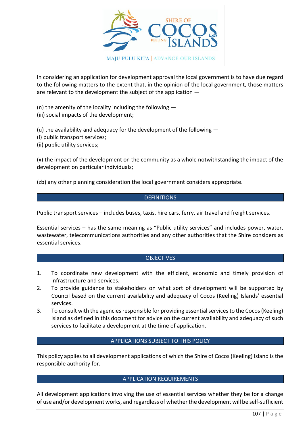

In considering an application for development approval the local government is to have due regard to the following matters to the extent that, in the opinion of the local government, those matters are relevant to the development the subject of the application —

(n) the amenity of the locality including the following —

(iii) social impacts of the development;

(u) the availability and adequacy for the development of the following —

(i) public transport services;

(ii) public utility services;

(x) the impact of the development on the community as a whole notwithstanding the impact of the development on particular individuals;

(zb) any other planning consideration the local government considers appropriate.

## **DEFINITIONS**

Public transport services – includes buses, taxis, hire cars, ferry, air travel and freight services.

Essential services – has the same meaning as "Public utility services" and includes power, water, wastewater, telecommunications authorities and any other authorities that the Shire considers as essential services.

## **OBJECTIVES**

- 1. To coordinate new development with the efficient, economic and timely provision of infrastructure and services.
- 2. To provide guidance to stakeholders on what sort of development will be supported by Council based on the current availability and adequacy of Cocos (Keeling) Islands' essential services.
- 3. To consult with the agencies responsible for providing essential services to the Cocos (Keeling) Island as defined in this document for advice on the current availability and adequacy of such services to facilitate a development at the time of application.

## APPLICATIONS SUBJECT TO THIS POLICY

This policy applies to all development applications of which the Shire of Cocos (Keeling) Island is the responsible authority for.

## APPLICATION REQUIREMENTS

All development applications involving the use of essential services whether they be for a change of use and/or development works, and regardless of whether the development will be self-sufficient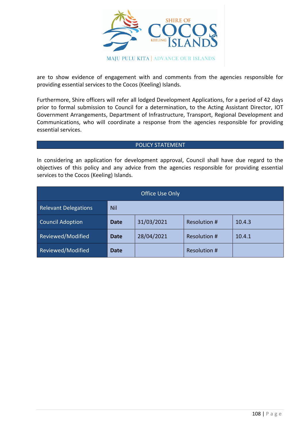

are to show evidence of engagement with and comments from the agencies responsible for providing essential services to the Cocos (Keeling) Islands.

Furthermore, Shire officers will refer all lodged Development Applications, for a period of 42 days prior to formal submission to Council for a determination, to the Acting Assistant Director, IOT Government Arrangements, Department of Infrastructure, Transport, Regional Development and Communications, who will coordinate a response from the agencies responsible for providing essential services.

#### POLICY STATEMENT

In considering an application for development approval, Council shall have due regard to the objectives of this policy and any advice from the agencies responsible for providing essential services to the Cocos (Keeling) Islands.

| Office Use Only             |             |            |                     |        |
|-----------------------------|-------------|------------|---------------------|--------|
| <b>Relevant Delegations</b> | <b>Nil</b>  |            |                     |        |
| <b>Council Adoption</b>     | <b>Date</b> | 31/03/2021 | <b>Resolution #</b> | 10.4.3 |
| Reviewed/Modified           | <b>Date</b> | 28/04/2021 | Resolution #        | 10.4.1 |
| Reviewed/Modified           | <b>Date</b> |            | Resolution #        |        |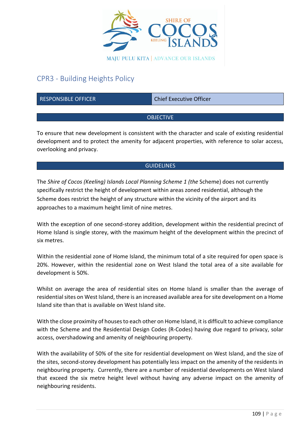

# CPR3 - Building Heights Policy

| <b>RESPONSIBLE OFFICER</b> | <b>Chief Executive Officer</b> |  |
|----------------------------|--------------------------------|--|
|                            |                                |  |
|                            | <b>OBJECTIVE</b>               |  |

To ensure that new development is consistent with the character and scale of existing residential development and to protect the amenity for adjacent properties, with reference to solar access, overlooking and privacy.

# **GUIDELINES**

The *Shire of Cocos (Keeling) Islands Local Planning Scheme 1 (the* Scheme) does not currently specifically restrict the height of development within areas zoned residential, although the Scheme does restrict the height of any structure within the vicinity of the airport and its approaches to a maximum height limit of nine metres.

With the exception of one second-storey addition, development within the residential precinct of Home Island is single storey, with the maximum height of the development within the precinct of six metres.

Within the residential zone of Home Island, the minimum total of a site required for open space is 20%. However, within the residential zone on West Island the total area of a site available for development is 50%.

Whilst on average the area of residential sites on Home Island is smaller than the average of residential sites on West Island, there is an increased available area for site development on a Home Island site than that is available on West Island site.

With the close proximity of houses to each other on Home Island, it is difficult to achieve compliance with the Scheme and the Residential Design Codes (R-Codes) having due regard to privacy, solar access, overshadowing and amenity of neighbouring property.

With the availability of 50% of the site for residential development on West Island, and the size of the sites, second-storey development has potentially less impact on the amenity of the residents in neighbouring property. Currently, there are a number of residential developments on West Island that exceed the six metre height level without having any adverse impact on the amenity of neighbouring residents.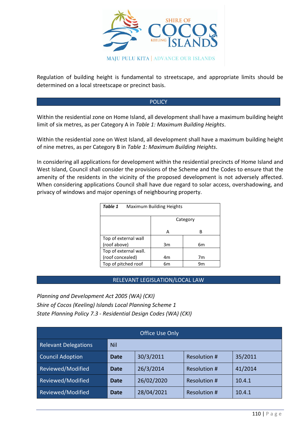

Regulation of building height is fundamental to streetscape, and appropriate limits should be determined on a local streetscape or precinct basis.

#### POLICY

Within the residential zone on Home Island, all development shall have a maximum building height limit of six metres, as per Category A in *Table 1: Maximum Building Heights*.

Within the residential zone on West Island, all development shall have a maximum building height of nine metres, as per Category B in *Table 1: Maximum Building Heights*.

In considering all applications for development within the residential precincts of Home Island and West Island, Council shall consider the provisions of the Scheme and the Codes to ensure that the amenity of the residents in the vicinity of the proposed development is not adversely affected. When considering applications Council shall have due regard to solar access, overshadowing, and privacy of windows and major openings of neighbouring property.

| Table 1<br>Maximum Building Heights |          |    |  |
|-------------------------------------|----------|----|--|
|                                     | Category |    |  |
|                                     | А        | B  |  |
| Top of external wall                |          |    |  |
| (roof above)                        | 3m       | 6m |  |
| Top of external wall.               |          |    |  |
| (roof concealed)                    | 4m       | 7m |  |
| Top of pitched roof                 | 6m       | ٩m |  |

# RELEVANT LEGISLATION/LOCAL LAW

*Planning and Development Act 2005 (WA) (CKI) Shire of Cocos (Keeling) Islands Local Planning Scheme 1 State Planning Policy 7.3 - Residential Design Codes (WA) (CKI)*

| <b>Office Use Only</b>      |             |            |              |         |
|-----------------------------|-------------|------------|--------------|---------|
| <b>Relevant Delegations</b> | <b>Nil</b>  |            |              |         |
| <b>Council Adoption</b>     | Date        | 30/3/2011  | Resolution # | 35/2011 |
| Reviewed/Modified           | Date        | 26/3/2014  | Resolution # | 41/2014 |
| Reviewed/Modified           | <b>Date</b> | 26/02/2020 | Resolution # | 10.4.1  |
| Reviewed/Modified           | Date        | 28/04/2021 | Resolution # | 10.4.1  |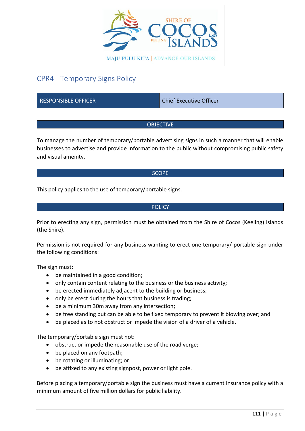

# CPR4 - Temporary Signs Policy

RESPONSIBLE OFFICER CHIEF CHIEF Chief Executive Officer

# **OBJECTIVE**

To manage the number of temporary/portable advertising signs in such a manner that will enable businesses to advertise and provide information to the public without compromising public safety and visual amenity.

#### **SCOPE**

This policy applies to the use of temporary/portable signs.

#### **POLICY**

Prior to erecting any sign, permission must be obtained from the Shire of Cocos (Keeling) Islands (the Shire).

Permission is not required for any business wanting to erect one temporary/ portable sign under the following conditions:

The sign must:

- be maintained in a good condition;
- only contain content relating to the business or the business activity;
- be erected immediately adjacent to the building or business;
- only be erect during the hours that business is trading;
- be a minimum 30m away from any intersection;
- be free standing but can be able to be fixed temporary to prevent it blowing over; and
- be placed as to not obstruct or impede the vision of a driver of a vehicle.

The temporary/portable sign must not:

- obstruct or impede the reasonable use of the road verge;
- be placed on any footpath;
- be rotating or illuminating; or
- be affixed to any existing signpost, power or light pole.

Before placing a temporary/portable sign the business must have a current insurance policy with a minimum amount of five million dollars for public liability.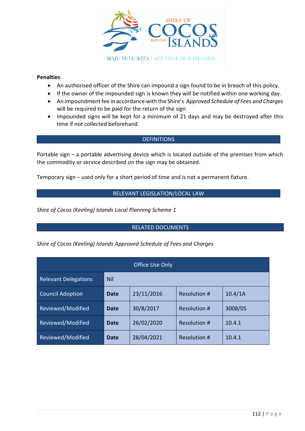

#### **Penalties**

- An authorised officer of the Shire can impound a sign found to be in breach of this policy.
- If the owner of the impounded sign is known they will be notified within one working day.
- An impoundment fee in accordance with the Shire's *Approved Schedule of Fees and Charges*  will be required to be paid for the return of the sign
- Impounded signs will be kept for a minimum of 21 days and may be destroyed after this time if not collected beforehand.

#### **DEFINITIONS**

Portable sign – a portable advertising device which is located outside of the premises from which the commodity or service described on the sign may be obtained.

Temporary sign – used only for a short period of time and is not a permanent fixture.

# RELEVANT LEGISLATION/LOCAL LAW

*Shire of Cocos (Keeling) Islands Local Planning Scheme 1*

# RELATED DOCUMENTS

*Shire of Cocos (Keeling) Islands Approved Schedule of Fees and Charges*

| <b>Office Use Only</b>      |            |            |                     |         |
|-----------------------------|------------|------------|---------------------|---------|
| <b>Relevant Delegations</b> | <b>Nil</b> |            |                     |         |
| <b>Council Adoption</b>     | Date       | 23/11/2016 | Resolution #        | 10.4/1A |
| Reviewed/Modified           | Date       | 30/8/2017  | Resolution #        | 3008/05 |
| Reviewed/Modified           | Date       | 26/02/2020 | Resolution #        | 10.4.1  |
| Reviewed/Modified           | Date       | 28/04/2021 | <b>Resolution #</b> | 10.4.1  |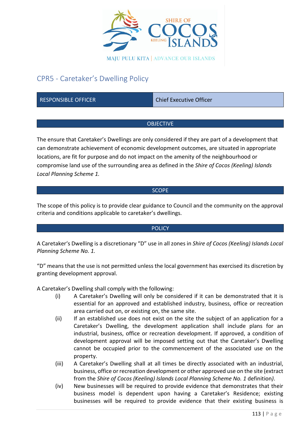

# CPR5 - Caretaker's Dwelling Policy

RESPONSIBLE OFFICER CHIEF CHIEF Chief Executive Officer

# **OBJECTIVE**

The ensure that Caretaker's Dwellings are only considered if they are part of a development that can demonstrate achievement of economic development outcomes, are situated in appropriate locations, are fit for purpose and do not impact on the amenity of the neighbourhood or compromise land use of the surrounding area as defined in the *Shire of Cocos (Keeling) Islands Local Planning Scheme 1.*

#### **SCOPE**

The scope of this policy is to provide clear guidance to Council and the community on the approval criteria and conditions applicable to caretaker's dwellings.

# **POLICY**

A Caretaker's Dwelling is a discretionary "D" use in all zones in *Shire of Cocos (Keeling) Islands Local Planning Scheme No. 1.*

"D" means that the use is not permitted unless the local government has exercised its discretion by granting development approval.

A Caretaker's Dwelling shall comply with the following:

- (i) A Caretaker's Dwelling will only be considered if it can be demonstrated that it is essential for an approved and established industry, business, office or recreation area carried out on, or existing on, the same site.
- (ii) If an established use does not exist on the site the subject of an application for a Caretaker's Dwelling, the development application shall include plans for an industrial, business, office or recreation development. If approved, a condition of development approval will be imposed setting out that the Caretaker's Dwelling cannot be occupied prior to the commencement of the associated use on the property.
- (iii) A Caretaker's Dwelling shall at all times be directly associated with an industrial, business, office or recreation development or other approved use on the site (extract from the *Shire of Cocos (Keeling) Islands Local Planning Scheme No. 1* definition*)*.
- (iv) New businesses will be required to provide evidence that demonstrates that their business model is dependent upon having a Caretaker's Residence; existing businesses will be required to provide evidence that their existing business is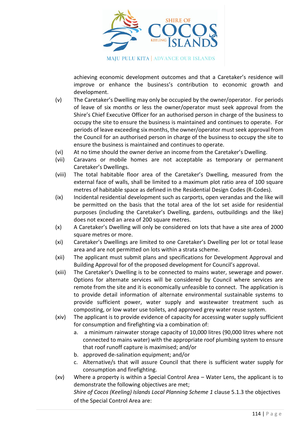

achieving economic development outcomes and that a Caretaker's residence will improve or enhance the business's contribution to economic growth and development.

- (v) The Caretaker's Dwelling may only be occupied by the owner/operator. For periods of leave of six months or less the owner/operator must seek approval from the Shire's Chief Executive Officer for an authorised person in charge of the business to occupy the site to ensure the business is maintained and continues to operate. For periods of leave exceeding six months, the owner/operator must seek approval from the Council for an authorised person in charge of the business to occupy the site to ensure the business is maintained and continues to operate.
- (vi) At no time should the owner derive an income from the Caretaker's Dwelling.
- (vii) Caravans or mobile homes are not acceptable as temporary or permanent Caretaker's Dwellings.
- (viii) The total habitable floor area of the Caretaker's Dwelling, measured from the external face of walls, shall be limited to a maximum plot ratio area of 100 square metres of habitable space as defined in the Residential Design Codes (R-Codes).
- (ix) Incidental residential development such as carports, open verandas and the like will be permitted on the basis that the total area of the lot set aside for residential purposes (including the Caretaker's Dwelling, gardens, outbuildings and the like) does not exceed an area of 200 square metres.
- (x) A Caretaker's Dwelling will only be considered on lots that have a site area of 2000 square metres or more.
- (xi) Caretaker's Dwellings are limited to one Caretaker's Dwelling per lot or total lease area and are not permitted on lots within a strata scheme.
- (xii) The applicant must submit plans and specifications for Development Approval and Building Approval for of the proposed development for Council's approval.
- (xiii) The Caretaker's Dwelling is to be connected to mains water, sewerage and power. Options for alternate services will be considered by Council where services are remote from the site and it is economically unfeasible to connect. The application is to provide detail information of alternate environmental sustainable systems to provide sufficient power, water supply and wastewater treatment such as composting, or low water use toilets, and approved grey water reuse system.
- (xiv) The applicant is to provide evidence of capacity for accessing water supply sufficient for consumption and firefighting via a combination of:
	- a. a minimum rainwater storage capacity of 10,000 litres (90,000 litres where not connected to mains water) with the appropriate roof plumbing system to ensure that roof runoff capture is maximised; and/or
	- b. approved de-salination equipment; and/or
	- c. Alternative/s that will assure Council that there is sufficient water supply for consumption and firefighting.
- (xv) Where a property is within a Special Control Area Water Lens, the applicant is to demonstrate the following objectives are met; *Shire of Cocos (Keeling) Islands Local Planning Scheme 1* clause 5.1.3 the objectives of the Special Control Area are: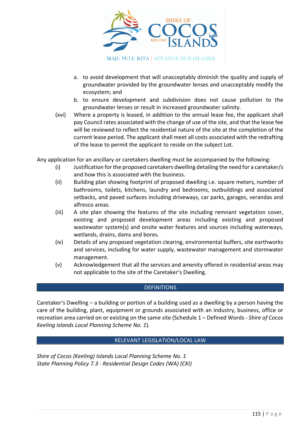

- a. to avoid development that will unacceptably diminish the quality and supply of groundwater provided by the groundwater lenses and unacceptably modify the ecosystem; and
- b. to ensure development and subdivision does not cause pollution to the groundwater lenses or result in increased groundwater salinity.
- (xvi) Where a property is leased, in addition to the annual lease fee, the applicant shall pay Council rates associated with the change of use of the site, and that the lease fee will be reviewed to reflect the residential nature of the site at the completion of the current lease period. The applicant shall meet all costs associated with the redrafting of the lease to permit the applicant to reside on the subject Lot.

Any application for an ancillary or caretakers dwelling must be accompanied by the following:

- (i) Justification for the proposed caretakers dwelling detailing the need for a caretaker/s and how this is associated with the business.
- (ii) Building plan showing footprint of proposed dwelling i.e. square meters, number of bathrooms, toilets, kitchens, laundry and bedrooms, outbuildings and associated setbacks, and paved surfaces including driveways, car parks, garages, verandas and alfresco areas.
- (iii) A site plan showing the features of the site including remnant vegetation cover, existing and proposed development areas including existing and proposed wastewater system(s) and onsite water features and sources including waterways, wetlands, drains, dams and bores.
- (iv) Details of any proposed vegetation clearing, environmental buffers, site earthworks and services, including for water supply, wastewater management and stormwater management.
- (v) Acknowledgement that all the services and amenity offered in residential areas may not applicable to the site of the Caretaker's Dwelling.

#### **DEFINITIONS**

Caretaker's Dwelling – a building or portion of a building used as a dwelling by a person having the care of the building, plant, equipment or grounds associated with an industry, business, office or recreation area carried on or existing on the same site (Schedule 1 – Defined Words - *Shire of Cocos Keeling Islands Local Planning Scheme No. 1*).

#### RELEVANT LEGISLATION/LOCAL LAW

*Shire of Cocos (Keeling) Islands Local Planning Scheme No. 1 State Planning Policy 7.3 - Residential Design Codes (WA) (CKI)*